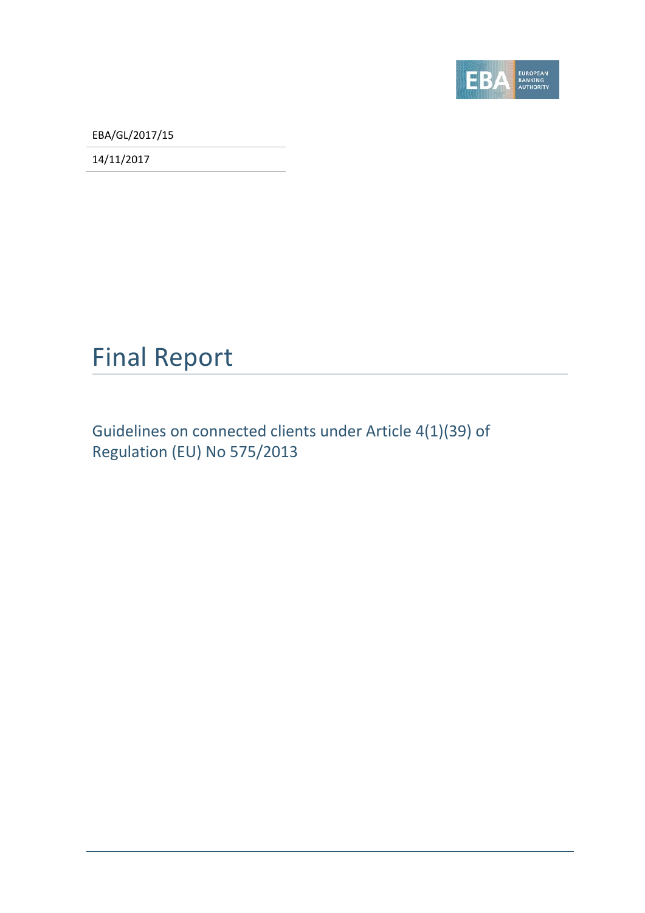

EBA/GL/2017/15

14/11/2017

## Final Report

Guidelines on connected clients under Article 4(1)(39) of Regulation (EU) No 575/2013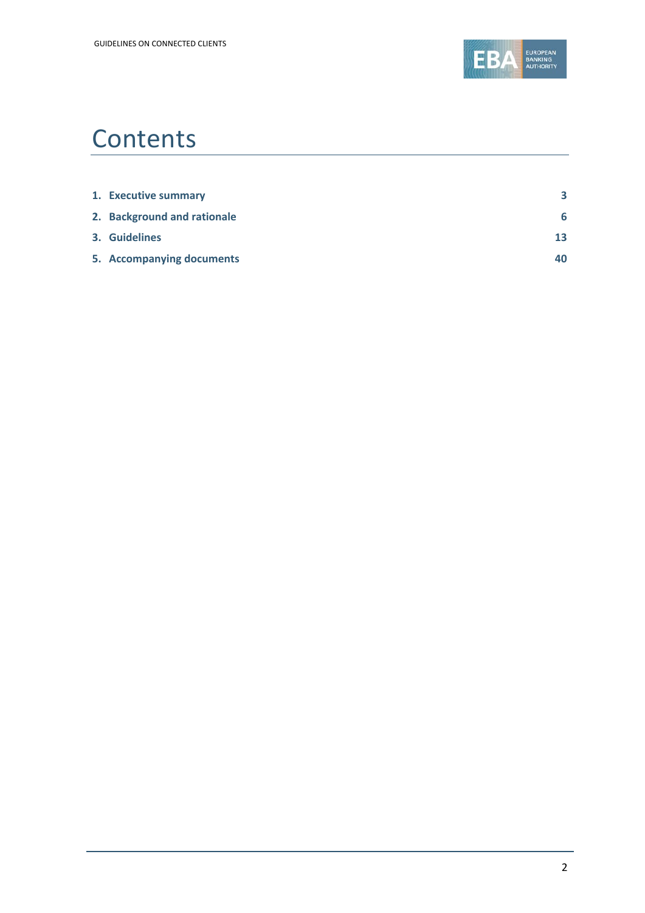

## **Contents**

| 1. Executive summary        | 3  |
|-----------------------------|----|
| 2. Background and rationale | 6  |
| 3. Guidelines               | 13 |
| 5. Accompanying documents   | 40 |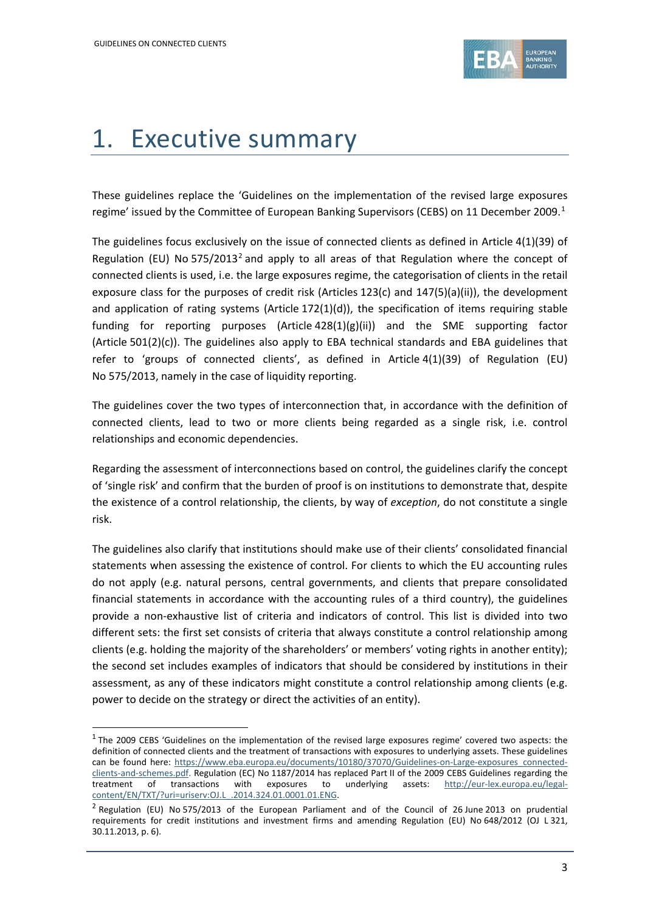$\overline{a}$ 



## <span id="page-2-0"></span>1. Executive summary

These guidelines replace the 'Guidelines on the implementation of the revised large exposures regime' issued by the Committee of European Banking Supervisors (CEBS) on [1](#page-2-1)1 December 2009.<sup>1</sup>

The guidelines focus exclusively on the issue of connected clients as defined in Article 4(1)(39) of Regulation (EU) No 575/[2](#page-2-2)013<sup>2</sup> and apply to all areas of that Regulation where the concept of connected clients is used, i.e. the large exposures regime, the categorisation of clients in the retail exposure class for the purposes of credit risk (Articles 123(c) and 147(5)(a)(ii)), the development and application of rating systems (Article  $172(1)(d)$ ), the specification of items requiring stable funding for reporting purposes (Article 428(1)(g)(ii)) and the SME supporting factor (Article 501(2)(c)). The guidelines also apply to EBA technical standards and EBA guidelines that refer to 'groups of connected clients', as defined in Article 4(1)(39) of Regulation (EU) No 575/2013, namely in the case of liquidity reporting.

The guidelines cover the two types of interconnection that, in accordance with the definition of connected clients, lead to two or more clients being regarded as a single risk, i.e. control relationships and economic dependencies.

Regarding the assessment of interconnections based on control, the guidelines clarify the concept of 'single risk' and confirm that the burden of proof is on institutions to demonstrate that, despite the existence of a control relationship, the clients, by way of *exception*, do not constitute a single risk.

The guidelines also clarify that institutions should make use of their clients' consolidated financial statements when assessing the existence of control. For clients to which the EU accounting rules do not apply (e.g. natural persons, central governments, and clients that prepare consolidated financial statements in accordance with the accounting rules of a third country), the guidelines provide a non-exhaustive list of criteria and indicators of control. This list is divided into two different sets: the first set consists of criteria that always constitute a control relationship among clients (e.g. holding the majority of the shareholders' or members' voting rights in another entity); the second set includes examples of indicators that should be considered by institutions in their assessment, as any of these indicators might constitute a control relationship among clients (e.g. power to decide on the strategy or direct the activities of an entity).

<span id="page-2-1"></span> $1$  The 2009 CEBS 'Guidelines on the implementation of the revised large exposures regime' covered two aspects: the definition of connected clients and the treatment of transactions with exposures to underlying assets. These guidelines can be found here: [https://www.eba.europa.eu/documents/10180/37070/Guidelines-on-Large-exposures\\_connected](https://www.eba.europa.eu/documents/10180/37070/Guidelines-on-Large-exposures_connected-clients-and-schemes.pdf)[clients-and-schemes.pdf.](https://www.eba.europa.eu/documents/10180/37070/Guidelines-on-Large-exposures_connected-clients-and-schemes.pdf) Regulation (EC) No 1187/2014 has replaced Part II of the 2009 CEBS Guidelines regarding the treatment of transactions with exposures to underlying assets: [http://eur-lex.europa.eu/legal](http://eur-lex.europa.eu/legal-content/EN/TXT/?uri=uriserv:OJ.L_.2014.324.01.0001.01.ENG)[content/EN/TXT/?uri=uriserv:OJ.L\\_.2014.324.01.0001.01.ENG.](http://eur-lex.europa.eu/legal-content/EN/TXT/?uri=uriserv:OJ.L_.2014.324.01.0001.01.ENG)

<span id="page-2-2"></span> $<sup>2</sup>$  Regulation (EU) No 575/2013 of the European Parliament and of the Council of 26 June 2013 on prudential</sup> requirements for credit institutions and investment firms and amending Regulation (EU) No 648/2012 (OJ L 321, 30.11.2013, p. 6).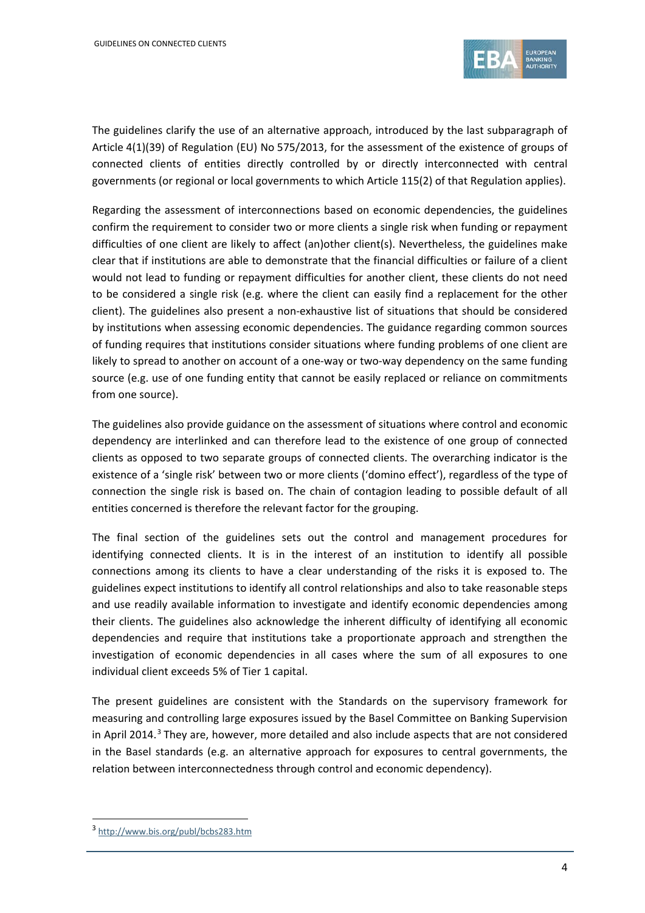

The guidelines clarify the use of an alternative approach, introduced by the last subparagraph of Article 4(1)(39) of Regulation (EU) No 575/2013, for the assessment of the existence of groups of connected clients of entities directly controlled by or directly interconnected with central governments (or regional or local governments to which Article 115(2) of that Regulation applies).

Regarding the assessment of interconnections based on economic dependencies, the guidelines confirm the requirement to consider two or more clients a single risk when funding or repayment difficulties of one client are likely to affect (an)other client(s). Nevertheless, the guidelines make clear that if institutions are able to demonstrate that the financial difficulties or failure of a client would not lead to funding or repayment difficulties for another client, these clients do not need to be considered a single risk (e.g. where the client can easily find a replacement for the other client). The guidelines also present a non-exhaustive list of situations that should be considered by institutions when assessing economic dependencies. The guidance regarding common sources of funding requires that institutions consider situations where funding problems of one client are likely to spread to another on account of a one-way or two-way dependency on the same funding source (e.g. use of one funding entity that cannot be easily replaced or reliance on commitments from one source).

The guidelines also provide guidance on the assessment of situations where control and economic dependency are interlinked and can therefore lead to the existence of one group of connected clients as opposed to two separate groups of connected clients. The overarching indicator is the existence of a 'single risk' between two or more clients ('domino effect'), regardless of the type of connection the single risk is based on. The chain of contagion leading to possible default of all entities concerned is therefore the relevant factor for the grouping.

The final section of the guidelines sets out the control and management procedures for identifying connected clients. It is in the interest of an institution to identify all possible connections among its clients to have a clear understanding of the risks it is exposed to. The guidelines expect institutions to identify all control relationships and also to take reasonable steps and use readily available information to investigate and identify economic dependencies among their clients. The guidelines also acknowledge the inherent difficulty of identifying all economic dependencies and require that institutions take a proportionate approach and strengthen the investigation of economic dependencies in all cases where the sum of all exposures to one individual client exceeds 5% of Tier 1 capital.

The present guidelines are consistent with the Standards on the supervisory framework for measuring and controlling large exposures issued by the Basel Committee on Banking Supervision in April 2014.<sup>[3](#page-3-0)</sup> They are, however, more detailed and also include aspects that are not considered in the Basel standards (e.g. an alternative approach for exposures to central governments, the relation between interconnectedness through control and economic dependency).

 $\overline{a}$ 

<span id="page-3-0"></span><sup>3</sup> <http://www.bis.org/publ/bcbs283.htm>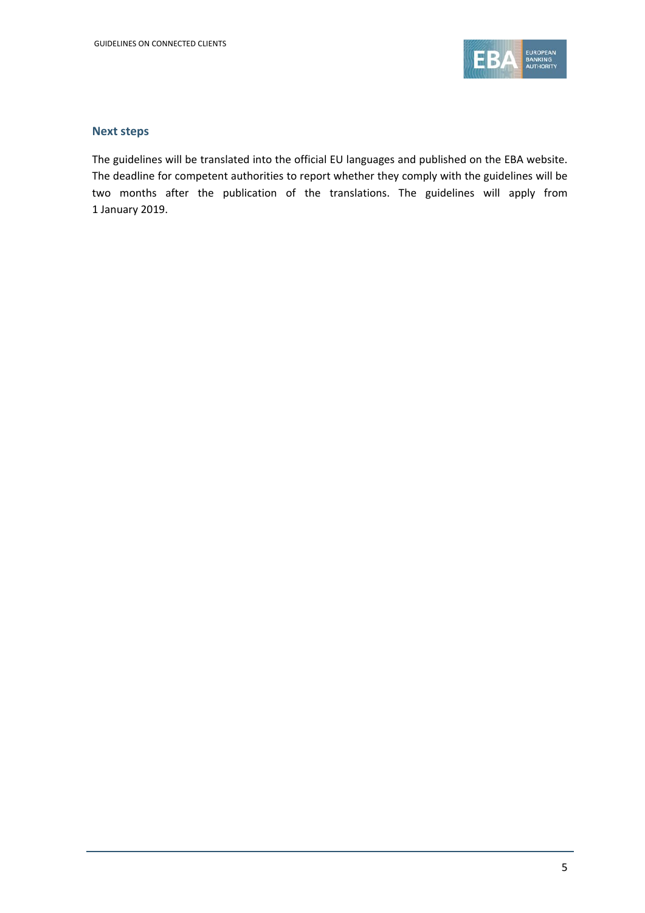

#### **Next steps**

The guidelines will be translated into the official EU languages and published on the EBA website. The deadline for competent authorities to report whether they comply with the guidelines will be two months after the publication of the translations. The guidelines will apply from 1 January 2019.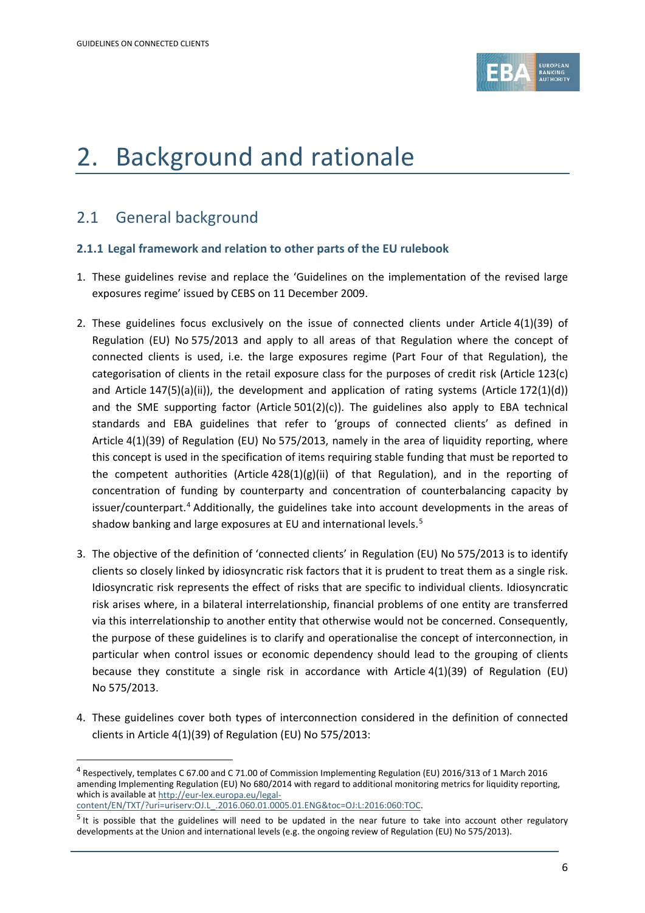

# <span id="page-5-0"></span>2. Background and rationale

### 2.1 General background

1

### **2.1.1 Legal framework and relation to other parts of the EU rulebook**

- 1. These guidelines revise and replace the 'Guidelines on the implementation of the revised large exposures regime' issued by CEBS on 11 December 2009.
- 2. These guidelines focus exclusively on the issue of connected clients under Article 4(1)(39) of Regulation (EU) No 575/2013 and apply to all areas of that Regulation where the concept of connected clients is used, i.e. the large exposures regime (Part Four of that Regulation), the categorisation of clients in the retail exposure class for the purposes of credit risk (Article 123(c) and Article  $147(5)(a)(ii)$ , the development and application of rating systems (Article  $172(1)(d)$ ) and the SME supporting factor (Article  $501(2)(c)$ ). The guidelines also apply to EBA technical standards and EBA guidelines that refer to 'groups of connected clients' as defined in Article 4(1)(39) of Regulation (EU) No 575/2013, namely in the area of liquidity reporting, where this concept is used in the specification of items requiring stable funding that must be reported to the competent authorities (Article  $428(1)(g)(ii)$  of that Regulation), and in the reporting of concentration of funding by counterparty and concentration of counterbalancing capacity by issuer/counterpart.<sup>[4](#page-5-1)</sup> Additionally, the guidelines take into account developments in the areas of shadow banking and large exposures at EU and international levels.<sup>[5](#page-5-2)</sup>
- 3. The objective of the definition of 'connected clients' in Regulation (EU) No 575/2013 is to identify clients so closely linked by idiosyncratic risk factors that it is prudent to treat them as a single risk. Idiosyncratic risk represents the effect of risks that are specific to individual clients. Idiosyncratic risk arises where, in a bilateral interrelationship, financial problems of one entity are transferred via this interrelationship to another entity that otherwise would not be concerned. Consequently, the purpose of these guidelines is to clarify and operationalise the concept of interconnection, in particular when control issues or economic dependency should lead to the grouping of clients because they constitute a single risk in accordance with Article 4(1)(39) of Regulation (EU) No 575/2013.
- 4. These guidelines cover both types of interconnection considered in the definition of connected clients in Article 4(1)(39) of Regulation (EU) No 575/2013:

<span id="page-5-1"></span><sup>4</sup> Respectively, templates C 67.00 and C 71.00 of Commission Implementing Regulation (EU) 2016/313 of 1 March 2016 amending Implementing Regulation (EU) No 680/2014 with regard to additional monitoring metrics for liquidity reporting, which is available a[t http://eur-lex.europa.eu/legal](http://eur-lex.europa.eu/legal-content/EN/TXT/?uri=uriserv:OJ.L_.2016.060.01.0005.01.ENG&toc=OJ:L:2016:060:TOC)[content/EN/TXT/?uri=uriserv:OJ.L\\_.2016.060.01.0005.01.ENG&toc=OJ:L:2016:060:TOC.](http://eur-lex.europa.eu/legal-content/EN/TXT/?uri=uriserv:OJ.L_.2016.060.01.0005.01.ENG&toc=OJ:L:2016:060:TOC)

<span id="page-5-2"></span> $5$  It is possible that the guidelines will need to be updated in the near future to take into account other regulatory developments at the Union and international levels (e.g. the ongoing review of Regulation (EU) No 575/2013).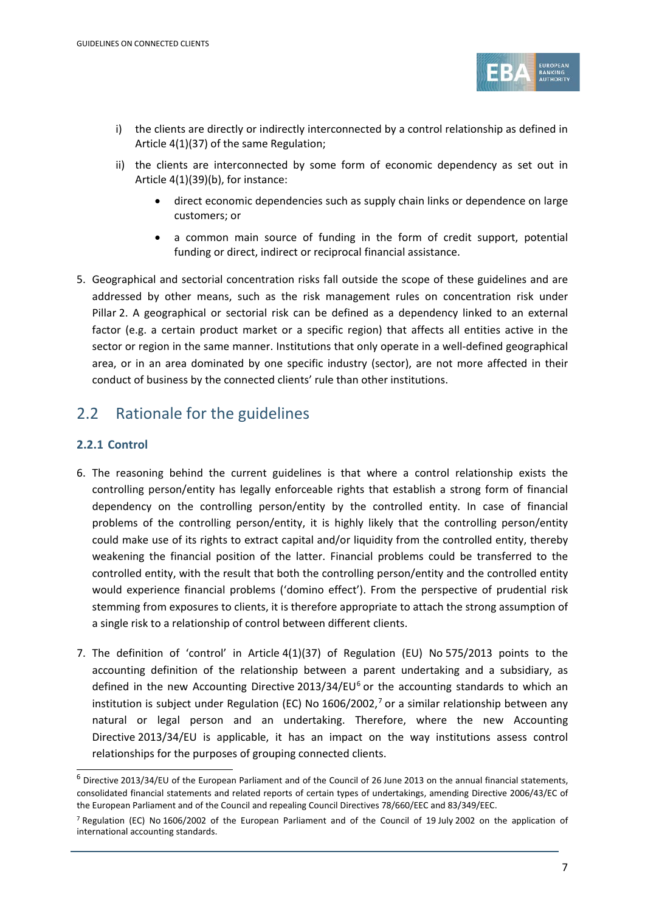

- i) the clients are directly or indirectly interconnected by a control relationship as defined in Article 4(1)(37) of the same Regulation;
- ii) the clients are interconnected by some form of economic dependency as set out in Article 4(1)(39)(b), for instance:
	- direct economic dependencies such as supply chain links or dependence on large customers; or
	- a common main source of funding in the form of credit support, potential funding or direct, indirect or reciprocal financial assistance.
- 5. Geographical and sectorial concentration risks fall outside the scope of these guidelines and are addressed by other means, such as the risk management rules on concentration risk under Pillar 2. A geographical or sectorial risk can be defined as a dependency linked to an external factor (e.g. a certain product market or a specific region) that affects all entities active in the sector or region in the same manner. Institutions that only operate in a well-defined geographical area, or in an area dominated by one specific industry (sector), are not more affected in their conduct of business by the connected clients' rule than other institutions.

### 2.2 Rationale for the guidelines

### **2.2.1 Control**

1

- 6. The reasoning behind the current guidelines is that where a control relationship exists the controlling person/entity has legally enforceable rights that establish a strong form of financial dependency on the controlling person/entity by the controlled entity. In case of financial problems of the controlling person/entity, it is highly likely that the controlling person/entity could make use of its rights to extract capital and/or liquidity from the controlled entity, thereby weakening the financial position of the latter. Financial problems could be transferred to the controlled entity, with the result that both the controlling person/entity and the controlled entity would experience financial problems ('domino effect'). From the perspective of prudential risk stemming from exposures to clients, it is therefore appropriate to attach the strong assumption of a single risk to a relationship of control between different clients.
- 7. The definition of 'control' in Article 4(1)(37) of Regulation (EU) No 575/2013 points to the accounting definition of the relationship between a parent undertaking and a subsidiary, as defined in the new Accounting Directive 2013/34/EU $<sup>6</sup>$  $<sup>6</sup>$  $<sup>6</sup>$  or the accounting standards to which an</sup> institution is subject under Regulation (EC) No 1606/2002, [7](#page-6-1) or a similar relationship between any natural or legal person and an undertaking. Therefore, where the new Accounting Directive 2013/34/EU is applicable, it has an impact on the way institutions assess control relationships for the purposes of grouping connected clients.

<span id="page-6-0"></span> $6$  Directive 2013/34/EU of the European Parliament and of the Council of 26 June 2013 on the annual financial statements, consolidated financial statements and related reports of certain types of undertakings, amending Directive 2006/43/EC of the European Parliament and of the Council and repealing Council Directives 78/660/EEC and 83/349/EEC.

<span id="page-6-1"></span><sup>7</sup> Regulation (EC) No 1606/2002 of the European Parliament and of the Council of 19 July 2002 on the application of international accounting standards.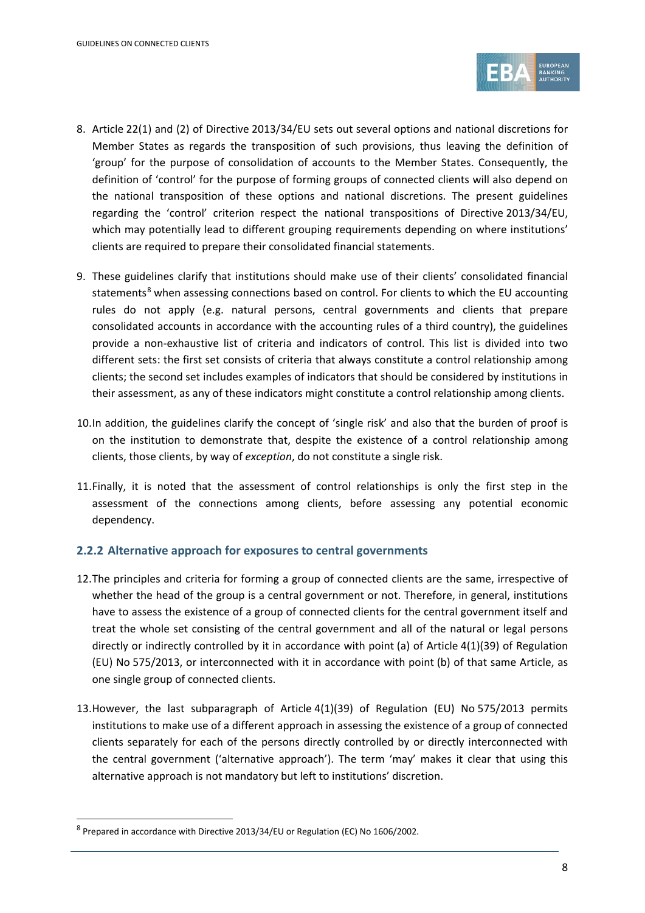

- 8. Article 22(1) and (2) of Directive 2013/34/EU sets out several options and national discretions for Member States as regards the transposition of such provisions, thus leaving the definition of 'group' for the purpose of consolidation of accounts to the Member States. Consequently, the definition of 'control' for the purpose of forming groups of connected clients will also depend on the national transposition of these options and national discretions. The present guidelines regarding the 'control' criterion respect the national transpositions of Directive 2013/34/EU, which may potentially lead to different grouping requirements depending on where institutions' clients are required to prepare their consolidated financial statements.
- 9. These guidelines clarify that institutions should make use of their clients' consolidated financial statements<sup>[8](#page-7-0)</sup> when assessing connections based on control. For clients to which the EU accounting rules do not apply (e.g. natural persons, central governments and clients that prepare consolidated accounts in accordance with the accounting rules of a third country), the guidelines provide a non-exhaustive list of criteria and indicators of control. This list is divided into two different sets: the first set consists of criteria that always constitute a control relationship among clients; the second set includes examples of indicators that should be considered by institutions in their assessment, as any of these indicators might constitute a control relationship among clients.
- 10.In addition, the guidelines clarify the concept of 'single risk' and also that the burden of proof is on the institution to demonstrate that, despite the existence of a control relationship among clients, those clients, by way of *exception*, do not constitute a single risk.
- 11.Finally, it is noted that the assessment of control relationships is only the first step in the assessment of the connections among clients, before assessing any potential economic dependency.

### **2.2.2 Alternative approach for exposures to central governments**

- 12.The principles and criteria for forming a group of connected clients are the same, irrespective of whether the head of the group is a central government or not. Therefore, in general, institutions have to assess the existence of a group of connected clients for the central government itself and treat the whole set consisting of the central government and all of the natural or legal persons directly or indirectly controlled by it in accordance with point (a) of Article 4(1)(39) of Regulation (EU) No 575/2013, or interconnected with it in accordance with point (b) of that same Article, as one single group of connected clients.
- 13.However, the last subparagraph of Article 4(1)(39) of Regulation (EU) No 575/2013 permits institutions to make use of a different approach in assessing the existence of a group of connected clients separately for each of the persons directly controlled by or directly interconnected with the central government ('alternative approach'). The term 'may' makes it clear that using this alternative approach is not mandatory but left to institutions' discretion.

1

<span id="page-7-0"></span><sup>8</sup> Prepared in accordance with Directive 2013/34/EU or Regulation (EC) No 1606/2002.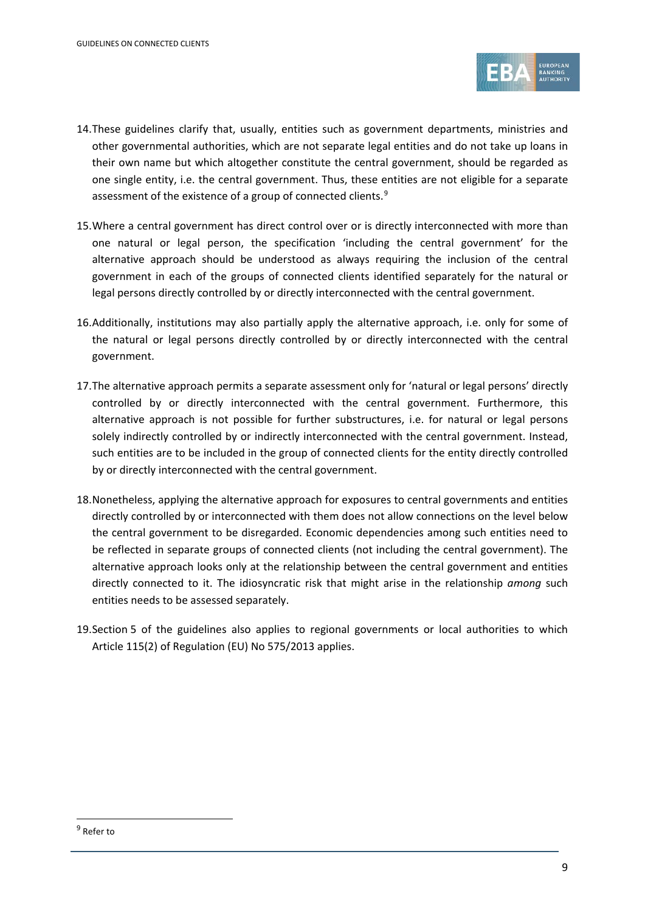

- 14.These guidelines clarify that, usually, entities such as government departments, ministries and other governmental authorities, which are not separate legal entities and do not take up loans in their own name but which altogether constitute the central government, should be regarded as one single entity, i.e. the central government. Thus, these entities are not eligible for a separate assessment of the existence of a group of connected clients.<sup>[9](#page-8-0)</sup>
- 15.Where a central government has direct control over or is directly interconnected with more than one natural or legal person, the specification 'including the central government' for the alternative approach should be understood as always requiring the inclusion of the central government in each of the groups of connected clients identified separately for the natural or legal persons directly controlled by or directly interconnected with the central government.
- 16.Additionally, institutions may also partially apply the alternative approach, i.e. only for some of the natural or legal persons directly controlled by or directly interconnected with the central government.
- 17.The alternative approach permits a separate assessment only for 'natural or legal persons' directly controlled by or directly interconnected with the central government. Furthermore, this alternative approach is not possible for further substructures, i.e. for natural or legal persons solely indirectly controlled by or indirectly interconnected with the central government. Instead, such entities are to be included in the group of connected clients for the entity directly controlled by or directly interconnected with the central government.
- 18.Nonetheless, applying the alternative approach for exposures to central governments and entities directly controlled by or interconnected with them does not allow connections on the level below the central government to be disregarded. Economic dependencies among such entities need to be reflected in separate groups of connected clients (not including the central government). The alternative approach looks only at the relationship between the central government and entities directly connected to it. The idiosyncratic risk that might arise in the relationship *among* such entities needs to be assessed separately.
- 19.Section 5 of the guidelines also applies to regional governments or local authorities to which Article 115(2) of Regulation (EU) No 575/2013 applies.

1

<span id="page-8-0"></span><sup>9</sup> Refer to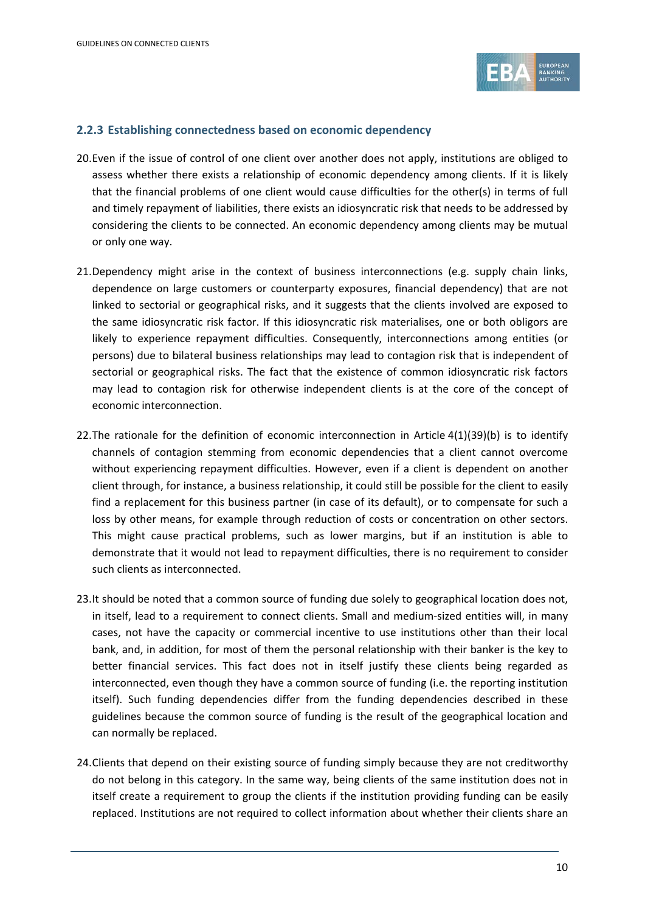

#### **2.2.3 Establishing connectedness based on economic dependency**

- 20.Even if the issue of control of one client over another does not apply, institutions are obliged to assess whether there exists a relationship of economic dependency among clients. If it is likely that the financial problems of one client would cause difficulties for the other(s) in terms of full and timely repayment of liabilities, there exists an idiosyncratic risk that needs to be addressed by considering the clients to be connected. An economic dependency among clients may be mutual or only one way.
- 21.Dependency might arise in the context of business interconnections (e.g. supply chain links, dependence on large customers or counterparty exposures, financial dependency) that are not linked to sectorial or geographical risks, and it suggests that the clients involved are exposed to the same idiosyncratic risk factor. If this idiosyncratic risk materialises, one or both obligors are likely to experience repayment difficulties. Consequently, interconnections among entities (or persons) due to bilateral business relationships may lead to contagion risk that is independent of sectorial or geographical risks. The fact that the existence of common idiosyncratic risk factors may lead to contagion risk for otherwise independent clients is at the core of the concept of economic interconnection.
- 22.The rationale for the definition of economic interconnection in Article 4(1)(39)(b) is to identify channels of contagion stemming from economic dependencies that a client cannot overcome without experiencing repayment difficulties. However, even if a client is dependent on another client through, for instance, a business relationship, it could still be possible for the client to easily find a replacement for this business partner (in case of its default), or to compensate for such a loss by other means, for example through reduction of costs or concentration on other sectors. This might cause practical problems, such as lower margins, but if an institution is able to demonstrate that it would not lead to repayment difficulties, there is no requirement to consider such clients as interconnected.
- 23.It should be noted that a common source of funding due solely to geographical location does not, in itself, lead to a requirement to connect clients. Small and medium-sized entities will, in many cases, not have the capacity or commercial incentive to use institutions other than their local bank, and, in addition, for most of them the personal relationship with their banker is the key to better financial services. This fact does not in itself justify these clients being regarded as interconnected, even though they have a common source of funding (i.e. the reporting institution itself). Such funding dependencies differ from the funding dependencies described in these guidelines because the common source of funding is the result of the geographical location and can normally be replaced.
- 24.Clients that depend on their existing source of funding simply because they are not creditworthy do not belong in this category. In the same way, being clients of the same institution does not in itself create a requirement to group the clients if the institution providing funding can be easily replaced. Institutions are not required to collect information about whether their clients share an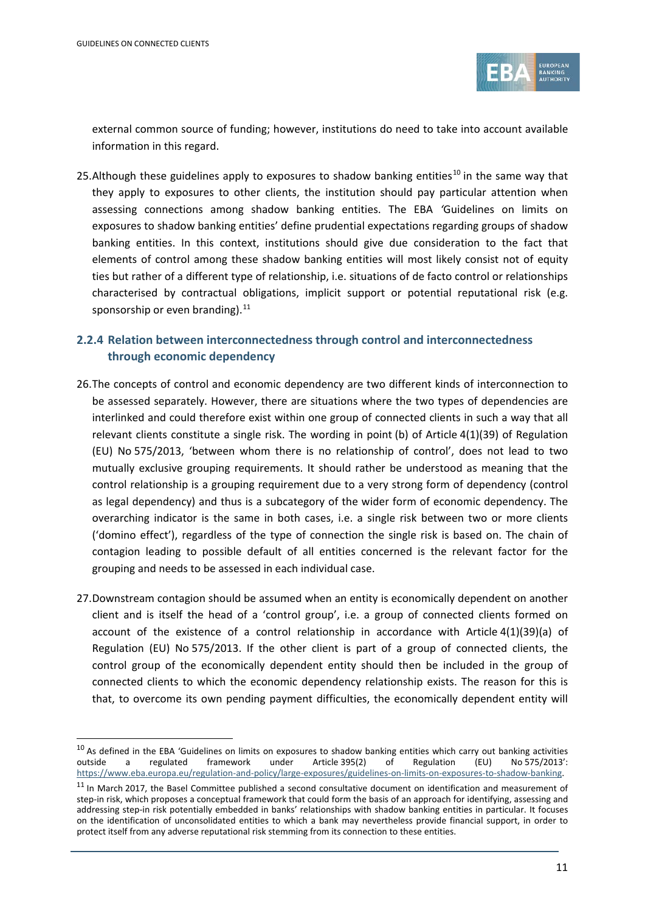1



external common source of funding; however, institutions do need to take into account available information in this regard.

25.Although these guidelines apply to exposures to shadow banking entities<sup>[10](#page-10-0)</sup> in the same way that they apply to exposures to other clients, the institution should pay particular attention when assessing connections among shadow banking entities. The EBA *'*Guidelines on limits on exposures to shadow banking entities' define prudential expectations regarding groups of shadow banking entities. In this context, institutions should give due consideration to the fact that elements of control among these shadow banking entities will most likely consist not of equity ties but rather of a different type of relationship, i.e. situations of de facto control or relationships characterised by contractual obligations, implicit support or potential reputational risk (e.g. sponsorship or even branding).<sup>[11](#page-10-1)</sup>

### **2.2.4 Relation between interconnectedness through control and interconnectedness through economic dependency**

- 26.The concepts of control and economic dependency are two different kinds of interconnection to be assessed separately. However, there are situations where the two types of dependencies are interlinked and could therefore exist within one group of connected clients in such a way that all relevant clients constitute a single risk. The wording in point (b) of Article 4(1)(39) of Regulation (EU) No 575/2013, 'between whom there is no relationship of control', does not lead to two mutually exclusive grouping requirements. It should rather be understood as meaning that the control relationship is a grouping requirement due to a very strong form of dependency (control as legal dependency) and thus is a subcategory of the wider form of economic dependency. The overarching indicator is the same in both cases, i.e. a single risk between two or more clients ('domino effect'), regardless of the type of connection the single risk is based on. The chain of contagion leading to possible default of all entities concerned is the relevant factor for the grouping and needs to be assessed in each individual case.
- 27.Downstream contagion should be assumed when an entity is economically dependent on another client and is itself the head of a 'control group', i.e. a group of connected clients formed on account of the existence of a control relationship in accordance with Article 4(1)(39)(a) of Regulation (EU) No 575/2013. If the other client is part of a group of connected clients, the control group of the economically dependent entity should then be included in the group of connected clients to which the economic dependency relationship exists. The reason for this is that, to overcome its own pending payment difficulties, the economically dependent entity will

<span id="page-10-0"></span><sup>&</sup>lt;sup>10</sup> As defined in the EBA 'Guidelines on limits on exposures to shadow banking entities which carry out banking activities outside a regulated framework under Article 395(2) of Regulation (EU) No 575/2013': a regulated framework under Article 395(2) of Regulation (EU) No 575/2013': [https://www.eba.europa.eu/regulation-and-policy/large-exposures/guidelines-on-limits-on-exposures-to-shadow-banking.](https://www.eba.europa.eu/regulation-and-policy/large-exposures/guidelines-on-limits-on-exposures-to-shadow-banking)

<span id="page-10-1"></span> $11$  In March 2017, the Basel Committee published a second consultative document on identification and measurement of step-in risk, which proposes a conceptual framework that could form the basis of an approach for identifying, assessing and addressing step-in risk potentially embedded in banks' relationships with shadow banking entities in particular. It focuses on the identification of unconsolidated entities to which a bank may nevertheless provide financial support, in order to protect itself from any adverse reputational risk stemming from its connection to these entities.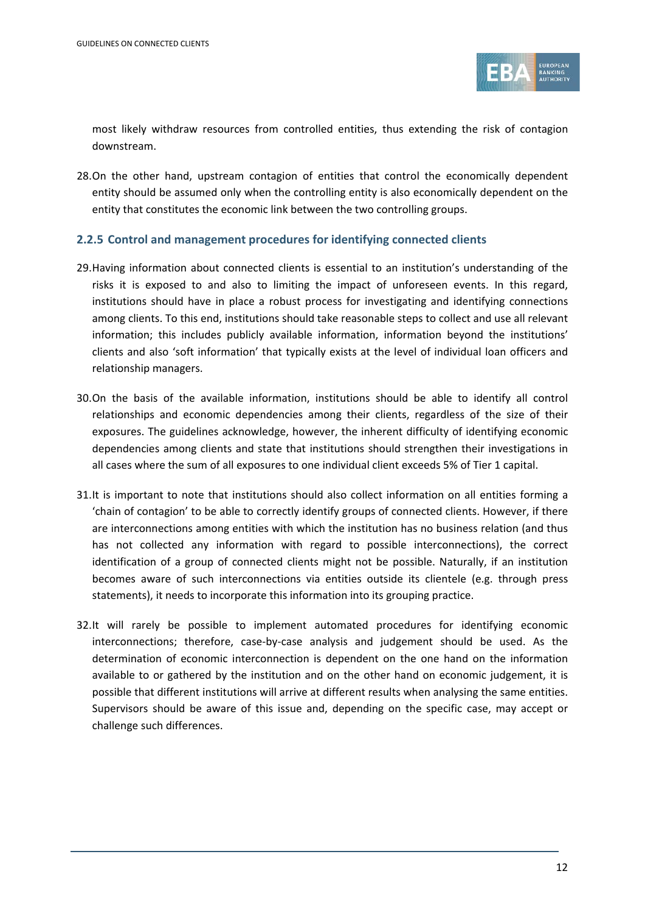

most likely withdraw resources from controlled entities, thus extending the risk of contagion downstream.

28.On the other hand, upstream contagion of entities that control the economically dependent entity should be assumed only when the controlling entity is also economically dependent on the entity that constitutes the economic link between the two controlling groups.

#### **2.2.5 Control and management procedures for identifying connected clients**

- 29.Having information about connected clients is essential to an institution's understanding of the risks it is exposed to and also to limiting the impact of unforeseen events. In this regard, institutions should have in place a robust process for investigating and identifying connections among clients. To this end, institutions should take reasonable steps to collect and use all relevant information; this includes publicly available information, information beyond the institutions' clients and also 'soft information' that typically exists at the level of individual loan officers and relationship managers.
- 30.On the basis of the available information, institutions should be able to identify all control relationships and economic dependencies among their clients, regardless of the size of their exposures. The guidelines acknowledge, however, the inherent difficulty of identifying economic dependencies among clients and state that institutions should strengthen their investigations in all cases where the sum of all exposures to one individual client exceeds 5% of Tier 1 capital.
- 31.It is important to note that institutions should also collect information on all entities forming a 'chain of contagion' to be able to correctly identify groups of connected clients. However, if there are interconnections among entities with which the institution has no business relation (and thus has not collected any information with regard to possible interconnections), the correct identification of a group of connected clients might not be possible. Naturally, if an institution becomes aware of such interconnections via entities outside its clientele (e.g. through press statements), it needs to incorporate this information into its grouping practice.
- 32.It will rarely be possible to implement automated procedures for identifying economic interconnections; therefore, case-by-case analysis and judgement should be used. As the determination of economic interconnection is dependent on the one hand on the information available to or gathered by the institution and on the other hand on economic judgement, it is possible that different institutions will arrive at different results when analysing the same entities. Supervisors should be aware of this issue and, depending on the specific case, may accept or challenge such differences.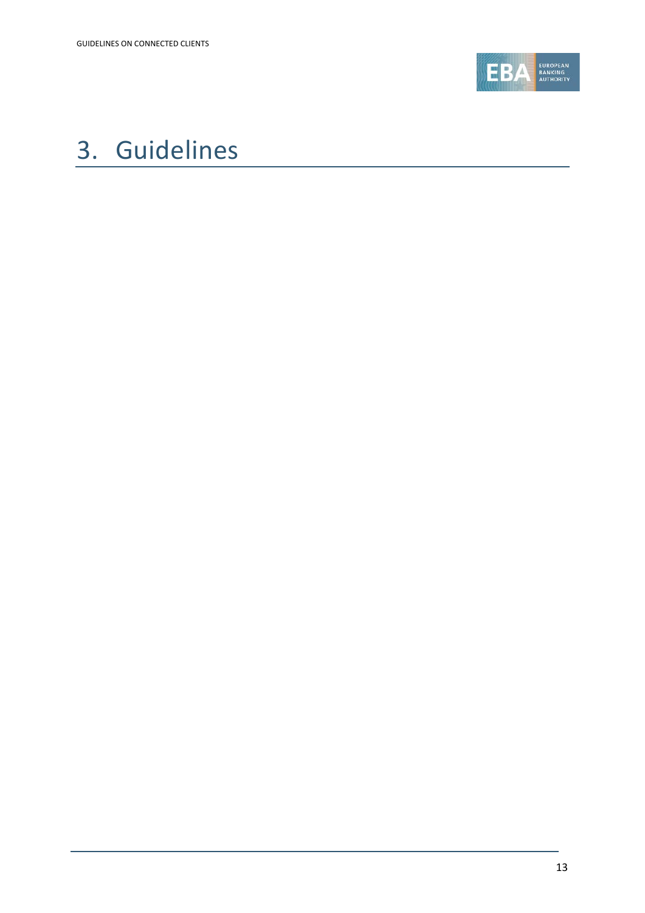

## <span id="page-12-0"></span>3. Guidelines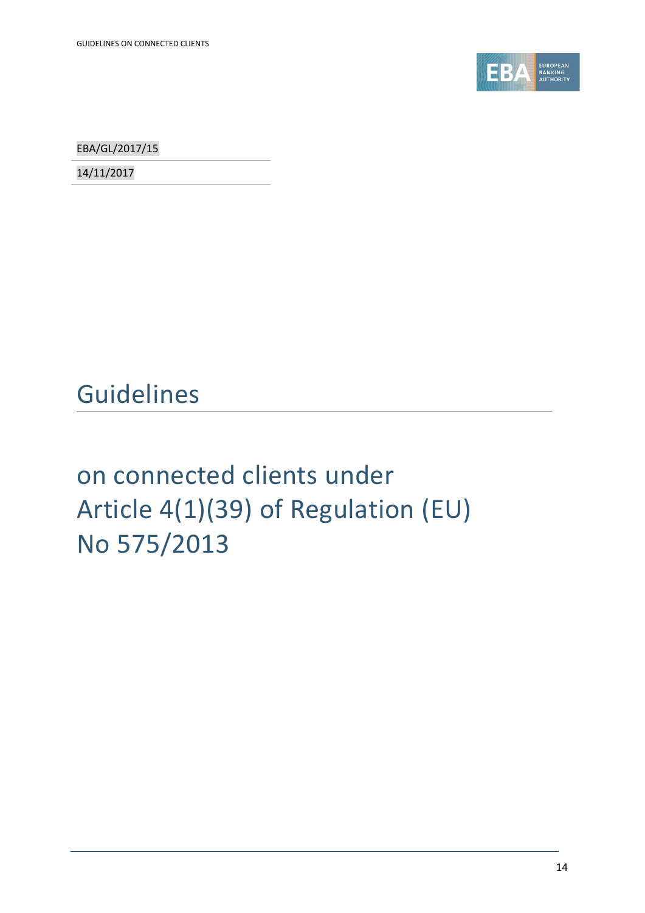

EBA/GL/2017/15

14/11/2017

## Guidelines

# on connected clients under Article 4(1)(39) of Regulation (EU) No 575/2013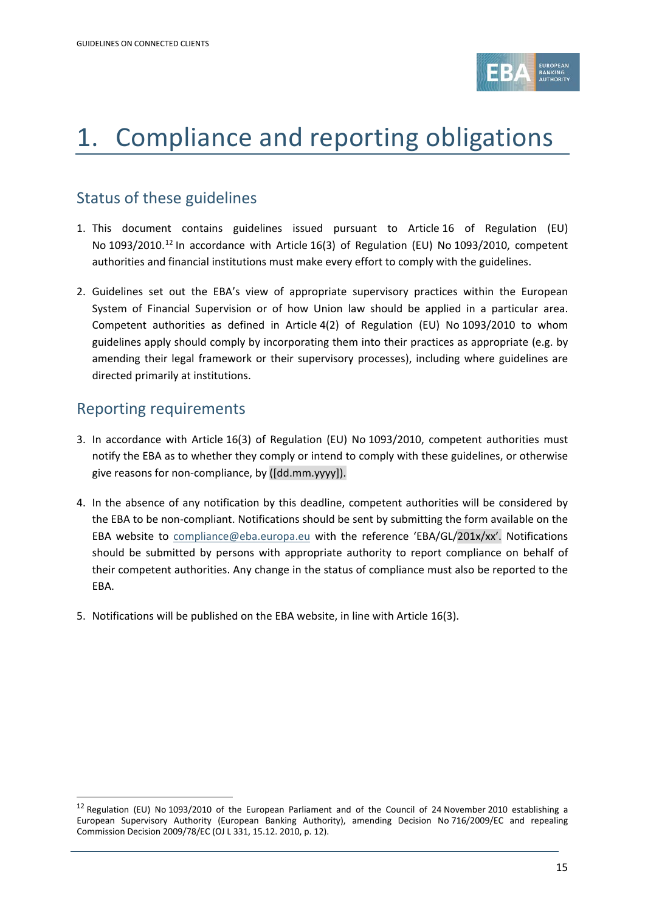

## 1. Compliance and reporting obligations

### Status of these guidelines

- 1. This document contains guidelines issued pursuant to Article 16 of Regulation (EU) No 1093/2010.<sup>[12](#page-14-0)</sup> In accordance with Article 16(3) of Regulation (EU) No 1093/2010, competent authorities and financial institutions must make every effort to comply with the guidelines.
- 2. Guidelines set out the EBA's view of appropriate supervisory practices within the European System of Financial Supervision or of how Union law should be applied in a particular area. Competent authorities as defined in Article 4(2) of Regulation (EU) No 1093/2010 to whom guidelines apply should comply by incorporating them into their practices as appropriate (e.g. by amending their legal framework or their supervisory processes), including where guidelines are directed primarily at institutions.

### Reporting requirements

.

- 3. In accordance with Article 16(3) of Regulation (EU) No 1093/2010, competent authorities must notify the EBA as to whether they comply or intend to comply with these guidelines, or otherwise give reasons for non-compliance, by ([dd.mm.yyyy]).
- 4. In the absence of any notification by this deadline, competent authorities will be considered by the EBA to be non-compliant. Notifications should be sent by submitting the form available on the EBA website to [compliance@eba.europa.eu](mailto:compliance@eba.europa.eu) with the reference 'EBA/GL/201x/xx'. Notifications should be submitted by persons with appropriate authority to report compliance on behalf of their competent authorities. Any change in the status of compliance must also be reported to the EBA.
- 5. Notifications will be published on the EBA website, in line with Article 16(3).

<span id="page-14-0"></span><sup>&</sup>lt;sup>12</sup> Regulation (EU) No 1093/2010 of the European Parliament and of the Council of 24 November 2010 establishing a European Supervisory Authority (European Banking Authority), amending Decision No 716/2009/EC and repealing Commission Decision 2009/78/EC (OJ L 331, 15.12. 2010, p. 12).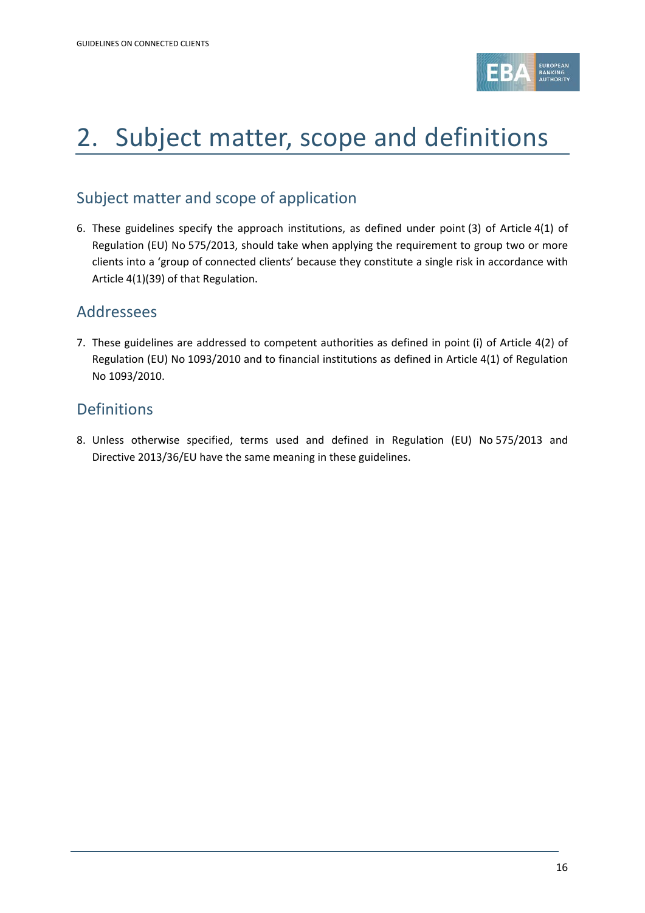

## 2. Subject matter, scope and definitions

### Subject matter and scope of application

6. These guidelines specify the approach institutions, as defined under point (3) of Article 4(1) of Regulation (EU) No 575/2013, should take when applying the requirement to group two or more clients into a 'group of connected clients' because they constitute a single risk in accordance with Article 4(1)(39) of that Regulation.

### Addressees

7. These guidelines are addressed to competent authorities as defined in point (i) of Article 4(2) of Regulation (EU) No 1093/2010 and to financial institutions as defined in Article 4(1) of Regulation No 1093/2010.

### Definitions

8. Unless otherwise specified, terms used and defined in Regulation (EU) No 575/2013 and Directive 2013/36/EU have the same meaning in these guidelines.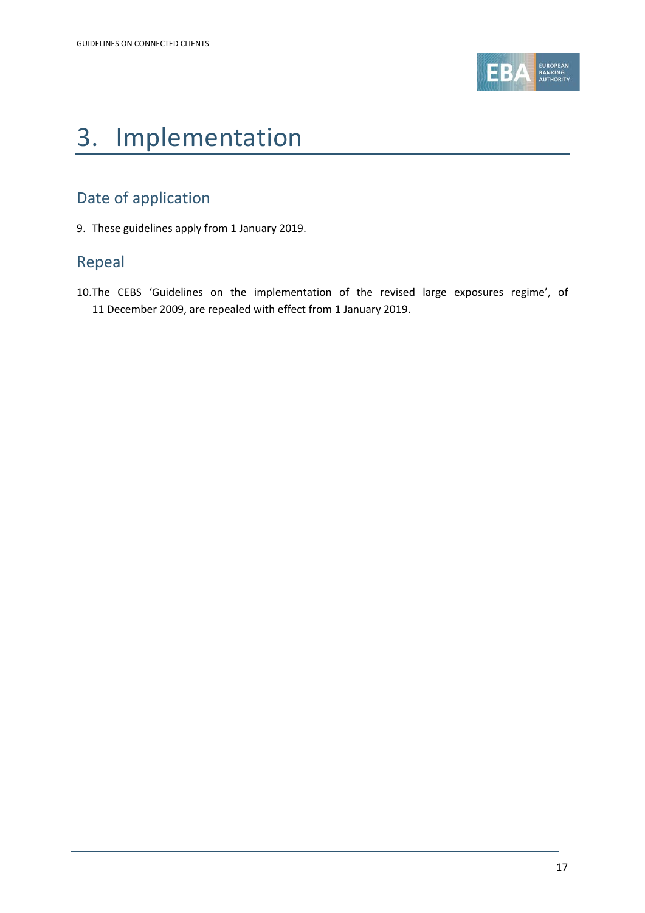

## 3. Implementation

### Date of application

9. These guidelines apply from 1 January 2019.

### Repeal

10.The CEBS 'Guidelines on the implementation of the revised large exposures regime', of 11 December 2009, are repealed with effect from 1 January 2019.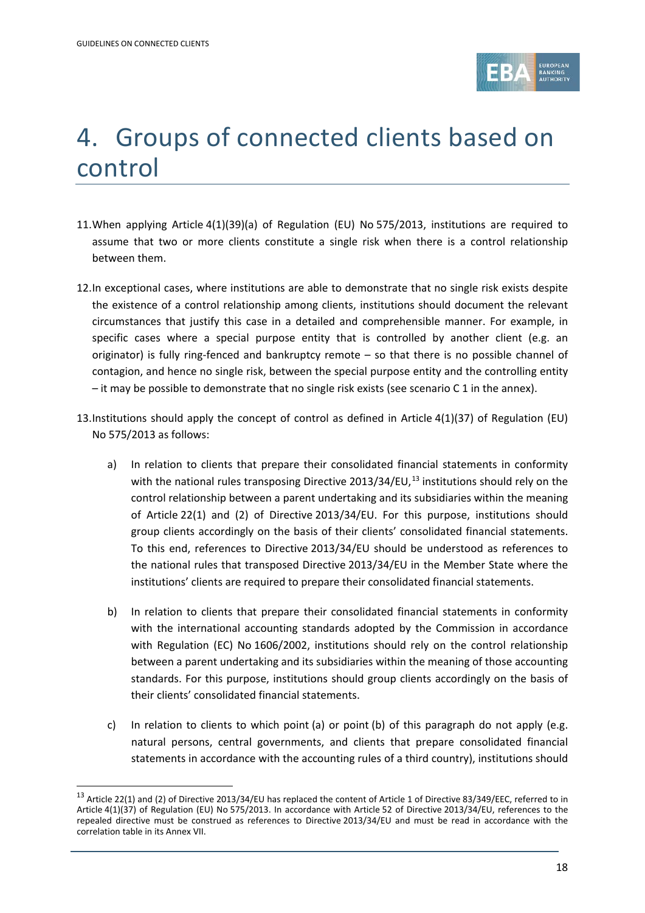1



## 4. Groups of connected clients based on control

- 11.When applying Article 4(1)(39)(a) of Regulation (EU) No 575/2013, institutions are required to assume that two or more clients constitute a single risk when there is a control relationship between them.
- 12.In exceptional cases, where institutions are able to demonstrate that no single risk exists despite the existence of a control relationship among clients, institutions should document the relevant circumstances that justify this case in a detailed and comprehensible manner. For example, in specific cases where a special purpose entity that is controlled by another client (e.g. an originator) is fully ring-fenced and bankruptcy remote – so that there is no possible channel of contagion, and hence no single risk, between the special purpose entity and the controlling entity – it may be possible to demonstrate that no single risk exists (see scenario C 1 in the annex).
- 13.Institutions should apply the concept of control as defined in Article 4(1)(37) of Regulation (EU) No 575/2013 as follows:
	- a) In relation to clients that prepare their consolidated financial statements in conformity with the national rules transposing Directive 20[13](#page-17-0)/34/EU,<sup>13</sup> institutions should rely on the control relationship between a parent undertaking and its subsidiaries within the meaning of Article 22(1) and (2) of Directive 2013/34/EU. For this purpose, institutions should group clients accordingly on the basis of their clients' consolidated financial statements. To this end, references to Directive 2013/34/EU should be understood as references to the national rules that transposed Directive 2013/34/EU in the Member State where the institutions' clients are required to prepare their consolidated financial statements.
	- b) In relation to clients that prepare their consolidated financial statements in conformity with the international accounting standards adopted by the Commission in accordance with Regulation (EC) No 1606/2002, institutions should rely on the control relationship between a parent undertaking and its subsidiaries within the meaning of those accounting standards. For this purpose, institutions should group clients accordingly on the basis of their clients' consolidated financial statements.
	- c) In relation to clients to which point (a) or point (b) of this paragraph do not apply (e.g. natural persons, central governments, and clients that prepare consolidated financial statements in accordance with the accounting rules of a third country), institutions should

<span id="page-17-0"></span><sup>&</sup>lt;sup>13</sup> Article 22(1) and (2) of Directive 2013/34/EU has replaced the content of Article 1 of Directive 83/349/EEC, referred to in Article 4(1)(37) of Regulation (EU) No 575/2013. In accordance with Article 52 of Directive 2013/34/EU, references to the repealed directive must be construed as references to Directive 2013/34/EU and must be read in accordance with the correlation table in its Annex VII.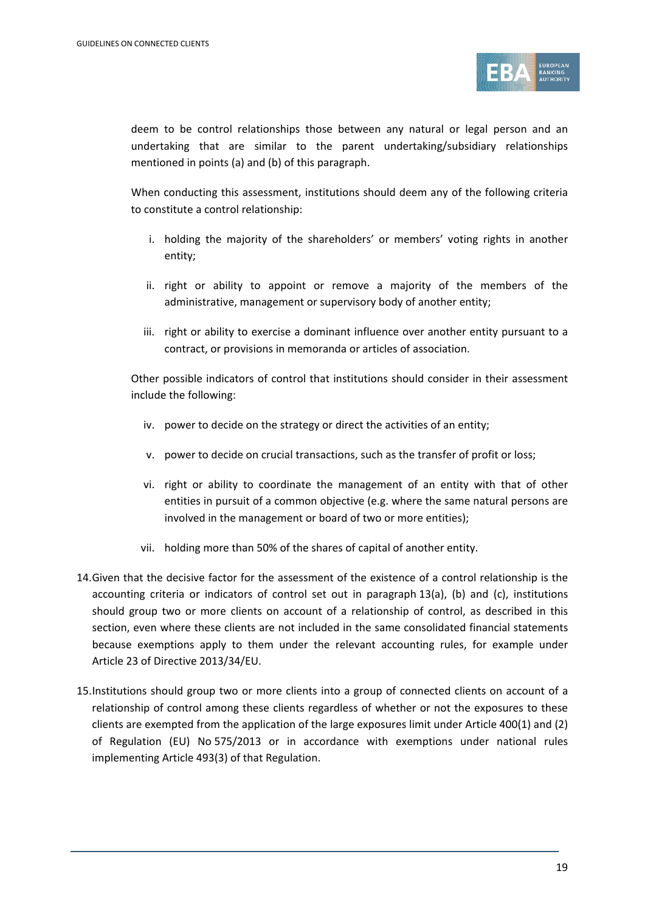

deem to be control relationships those between any natural or legal person and an undertaking that are similar to the parent undertaking/subsidiary relationships mentioned in points (a) and (b) of this paragraph.

When conducting this assessment, institutions should deem any of the following criteria to constitute a control relationship:

- i. holding the majority of the shareholders' or members' voting rights in another entity;
- ii. right or ability to appoint or remove a majority of the members of the administrative, management or supervisory body of another entity;
- iii. right or ability to exercise a dominant influence over another entity pursuant to a contract, or provisions in memoranda or articles of association.

Other possible indicators of control that institutions should consider in their assessment include the following:

- iv. power to decide on the strategy or direct the activities of an entity;
- v. power to decide on crucial transactions, such as the transfer of profit or loss;
- vi. right or ability to coordinate the management of an entity with that of other entities in pursuit of a common objective (e.g. where the same natural persons are involved in the management or board of two or more entities);
- vii. holding more than 50% of the shares of capital of another entity.
- 14.Given that the decisive factor for the assessment of the existence of a control relationship is the accounting criteria or indicators of control set out in paragraph 13(a), (b) and (c), institutions should group two or more clients on account of a relationship of control, as described in this section, even where these clients are not included in the same consolidated financial statements because exemptions apply to them under the relevant accounting rules, for example under Article 23 of Directive 2013/34/EU.
- 15.Institutions should group two or more clients into a group of connected clients on account of a relationship of control among these clients regardless of whether or not the exposures to these clients are exempted from the application of the large exposures limit under Article 400(1) and (2) of Regulation (EU) No 575/2013 or in accordance with exemptions under national rules implementing Article 493(3) of that Regulation.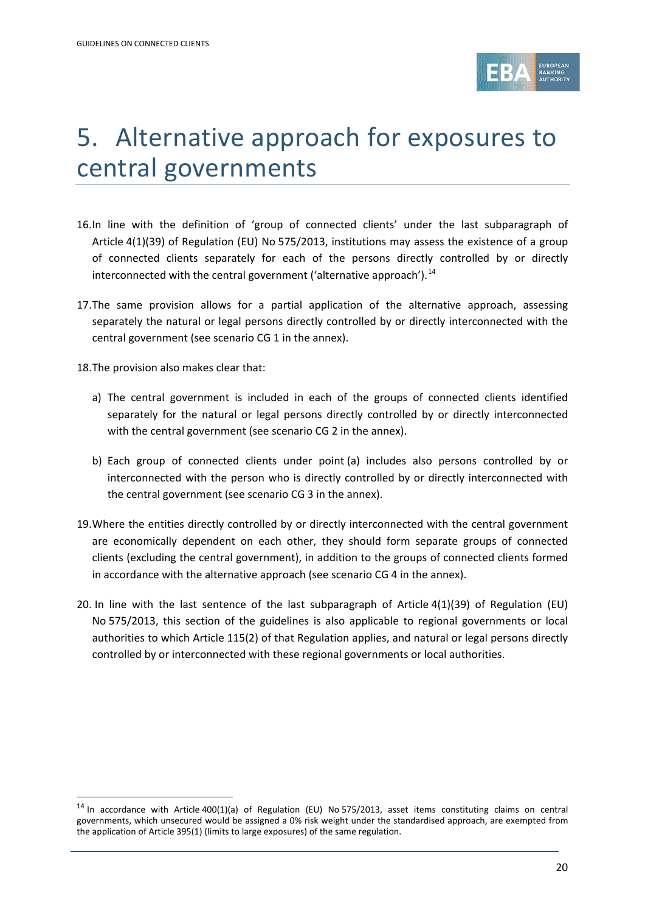

## 5. Alternative approach for exposures to central governments

- 16.In line with the definition of 'group of connected clients' under the last subparagraph of Article 4(1)(39) of Regulation (EU) No 575/2013, institutions may assess the existence of a group of connected clients separately for each of the persons directly controlled by or directly interconnected with the central government ('alternative approach').<sup>[14](#page-19-0)</sup>
- 17.The same provision allows for a partial application of the alternative approach, assessing separately the natural or legal persons directly controlled by or directly interconnected with the central government (see scenario CG 1 in the annex).

18.The provision also makes clear that:

.

- a) The central government is included in each of the groups of connected clients identified separately for the natural or legal persons directly controlled by or directly interconnected with the central government (see scenario CG 2 in the annex).
- b) Each group of connected clients under point (a) includes also persons controlled by or interconnected with the person who is directly controlled by or directly interconnected with the central government (see scenario CG 3 in the annex).
- 19.Where the entities directly controlled by or directly interconnected with the central government are economically dependent on each other, they should form separate groups of connected clients (excluding the central government), in addition to the groups of connected clients formed in accordance with the alternative approach (see scenario CG 4 in the annex).
- 20. In line with the last sentence of the last subparagraph of Article 4(1)(39) of Regulation (EU) No 575/2013, this section of the guidelines is also applicable to regional governments or local authorities to which Article 115(2) of that Regulation applies, and natural or legal persons directly controlled by or interconnected with these regional governments or local authorities.

<span id="page-19-0"></span> $14$  In accordance with Article 400(1)(a) of Regulation (EU) No 575/2013, asset items constituting claims on central governments, which unsecured would be assigned a 0% risk weight under the standardised approach, are exempted from the application of Article 395(1) (limits to large exposures) of the same regulation.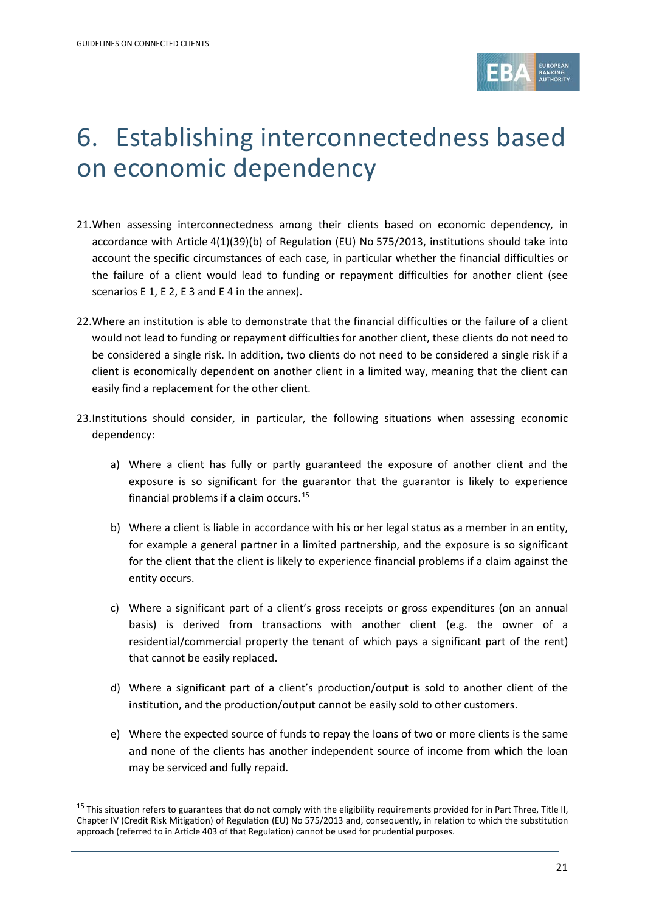.



## 6. Establishing interconnectedness based on economic dependency

- 21.When assessing interconnectedness among their clients based on economic dependency, in accordance with Article 4(1)(39)(b) of Regulation (EU) No 575/2013, institutions should take into account the specific circumstances of each case, in particular whether the financial difficulties or the failure of a client would lead to funding or repayment difficulties for another client (see scenarios E 1, E 2, E 3 and E 4 in the annex).
- 22.Where an institution is able to demonstrate that the financial difficulties or the failure of a client would not lead to funding or repayment difficulties for another client, these clients do not need to be considered a single risk. In addition, two clients do not need to be considered a single risk if a client is economically dependent on another client in a limited way, meaning that the client can easily find a replacement for the other client.
- 23.Institutions should consider, in particular, the following situations when assessing economic dependency:
	- a) Where a client has fully or partly guaranteed the exposure of another client and the exposure is so significant for the guarantor that the guarantor is likely to experience financial problems if a claim occurs. [15](#page-20-0)
	- b) Where a client is liable in accordance with his or her legal status as a member in an entity, for example a general partner in a limited partnership, and the exposure is so significant for the client that the client is likely to experience financial problems if a claim against the entity occurs.
	- c) Where a significant part of a client's gross receipts or gross expenditures (on an annual basis) is derived from transactions with another client (e.g. the owner of a residential/commercial property the tenant of which pays a significant part of the rent) that cannot be easily replaced.
	- d) Where a significant part of a client's production/output is sold to another client of the institution, and the production/output cannot be easily sold to other customers.
	- e) Where the expected source of funds to repay the loans of two or more clients is the same and none of the clients has another independent source of income from which the loan may be serviced and fully repaid.

<span id="page-20-0"></span><sup>&</sup>lt;sup>15</sup> This situation refers to guarantees that do not comply with the eligibility requirements provided for in Part Three, Title II, Chapter IV (Credit Risk Mitigation) of Regulation (EU) No 575/2013 and, consequently, in relation to which the substitution approach (referred to in Article 403 of that Regulation) cannot be used for prudential purposes.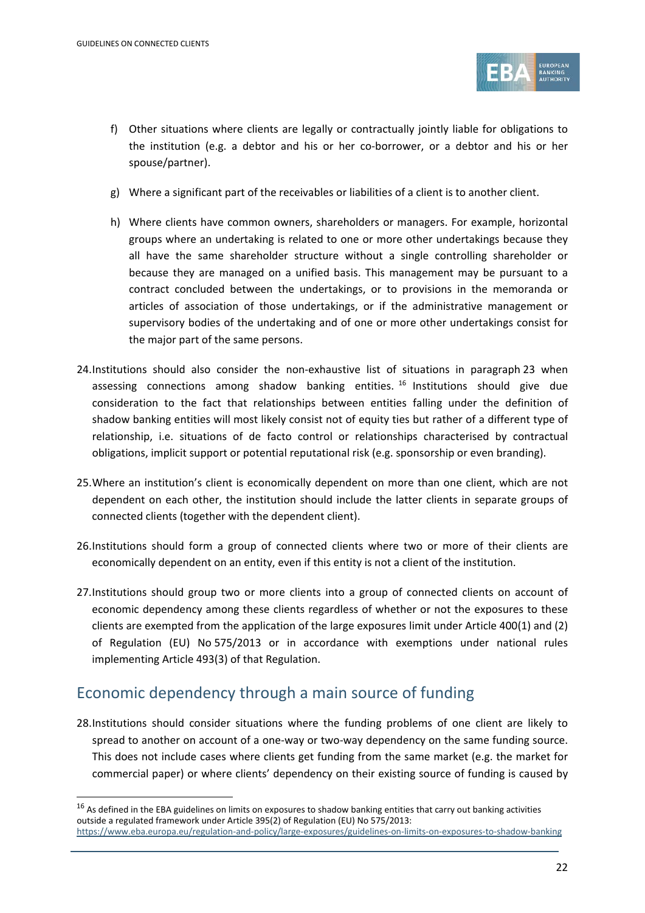.



- f) Other situations where clients are legally or contractually jointly liable for obligations to the institution (e.g. a debtor and his or her co-borrower, or a debtor and his or her spouse/partner).
- g) Where a significant part of the receivables or liabilities of a client is to another client.
- h) Where clients have common owners, shareholders or managers. For example, horizontal groups where an undertaking is related to one or more other undertakings because they all have the same shareholder structure without a single controlling shareholder or because they are managed on a unified basis. This management may be pursuant to a contract concluded between the undertakings, or to provisions in the memoranda or articles of association of those undertakings, or if the administrative management or supervisory bodies of the undertaking and of one or more other undertakings consist for the major part of the same persons.
- 24.Institutions should also consider the non-exhaustive list of situations in paragraph 23 when assessing connections among shadow banking entities.  $16$  Institutions should give due consideration to the fact that relationships between entities falling under the definition of shadow banking entities will most likely consist not of equity ties but rather of a different type of relationship, i.e. situations of de facto control or relationships characterised by contractual obligations, implicit support or potential reputational risk (e.g. sponsorship or even branding).
- 25.Where an institution's client is economically dependent on more than one client, which are not dependent on each other, the institution should include the latter clients in separate groups of connected clients (together with the dependent client).
- 26.Institutions should form a group of connected clients where two or more of their clients are economically dependent on an entity, even if this entity is not a client of the institution.
- 27.Institutions should group two or more clients into a group of connected clients on account of economic dependency among these clients regardless of whether or not the exposures to these clients are exempted from the application of the large exposures limit under Article 400(1) and (2) of Regulation (EU) No 575/2013 or in accordance with exemptions under national rules implementing Article 493(3) of that Regulation.

### Economic dependency through a main source of funding

28.Institutions should consider situations where the funding problems of one client are likely to spread to another on account of a one-way or two-way dependency on the same funding source. This does not include cases where clients get funding from the same market (e.g. the market for commercial paper) or where clients' dependency on their existing source of funding is caused by

<span id="page-21-0"></span> $16$  As defined in the EBA guidelines on limits on exposures to shadow banking entities that carry out banking activities outside a regulated framework under Article 395(2) of Regulation (EU) No 575/2013: <https://www.eba.europa.eu/regulation-and-policy/large-exposures/guidelines-on-limits-on-exposures-to-shadow-banking>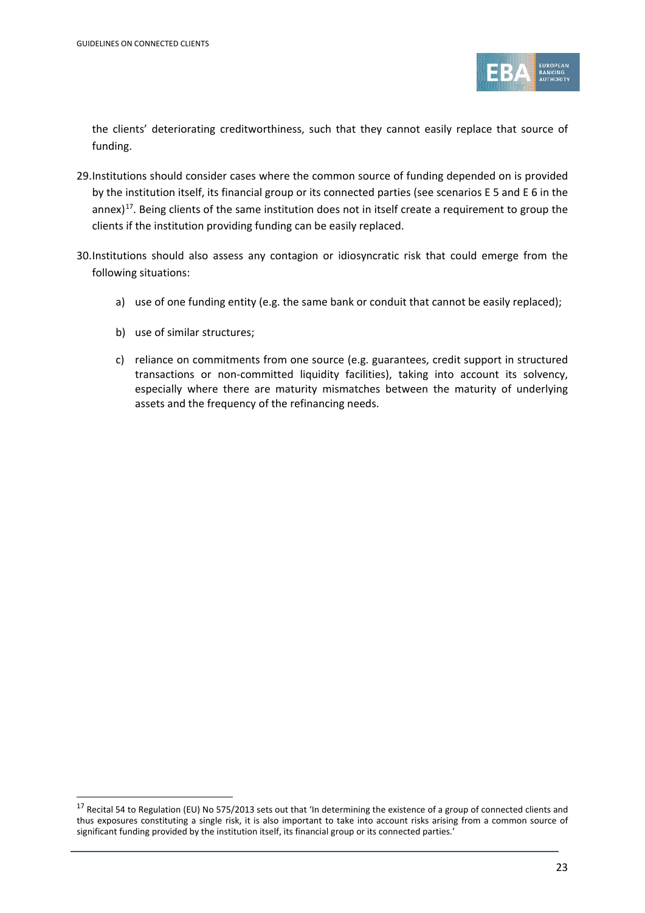

the clients' deteriorating creditworthiness, such that they cannot easily replace that source of funding.

- 29.Institutions should consider cases where the common source of funding depended on is provided by the institution itself, its financial group or its connected parties (see scenarios E 5 and E 6 in the annex)<sup>[17](#page-22-0)</sup>. Being clients of the same institution does not in itself create a requirement to group the clients if the institution providing funding can be easily replaced.
- 30.Institutions should also assess any contagion or idiosyncratic risk that could emerge from the following situations:
	- a) use of one funding entity (e.g. the same bank or conduit that cannot be easily replaced);
	- b) use of similar structures;

.

c) reliance on commitments from one source (e.g. guarantees, credit support in structured transactions or non-committed liquidity facilities), taking into account its solvency, especially where there are maturity mismatches between the maturity of underlying assets and the frequency of the refinancing needs.

<span id="page-22-0"></span><sup>&</sup>lt;sup>17</sup> Recital 54 to Regulation (EU) No 575/2013 sets out that 'In determining the existence of a group of connected clients and thus exposures constituting a single risk, it is also important to take into account risks arising from a common source of significant funding provided by the institution itself, its financial group or its connected parties.'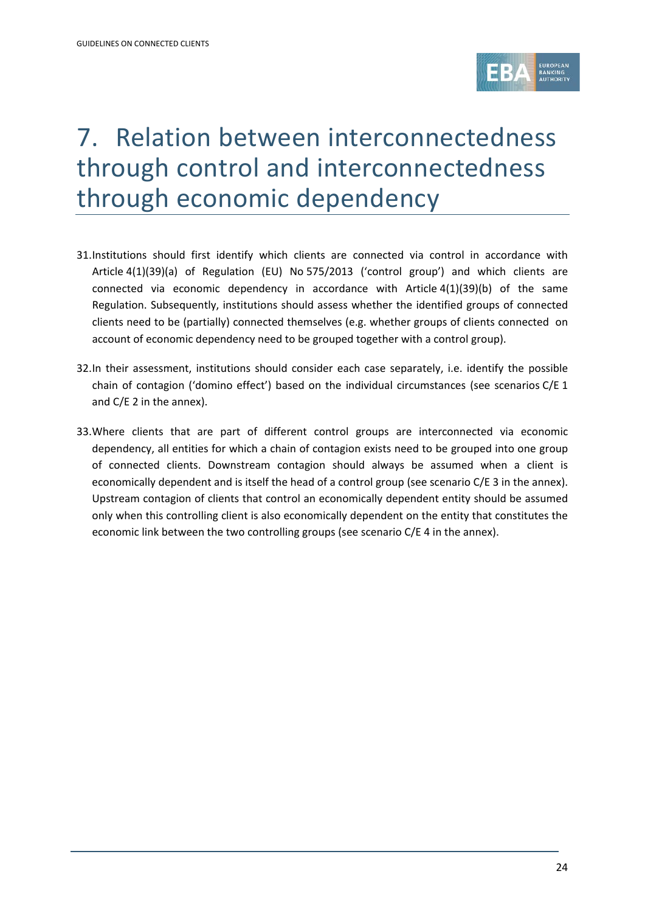

## 7. Relation between interconnectedness through control and interconnectedness through economic dependency

- 31.Institutions should first identify which clients are connected via control in accordance with Article 4(1)(39)(a) of Regulation (EU) No 575/2013 ('control group') and which clients are connected via economic dependency in accordance with Article 4(1)(39)(b) of the same Regulation. Subsequently, institutions should assess whether the identified groups of connected clients need to be (partially) connected themselves (e.g. whether groups of clients connected on account of economic dependency need to be grouped together with a control group).
- 32.In their assessment, institutions should consider each case separately, i.e. identify the possible chain of contagion ('domino effect') based on the individual circumstances (see scenarios C/E 1 and C/E 2 in the annex).
- 33.Where clients that are part of different control groups are interconnected via economic dependency, all entities for which a chain of contagion exists need to be grouped into one group of connected clients. Downstream contagion should always be assumed when a client is economically dependent and is itself the head of a control group (see scenario C/E 3 in the annex). Upstream contagion of clients that control an economically dependent entity should be assumed only when this controlling client is also economically dependent on the entity that constitutes the economic link between the two controlling groups (see scenario C/E 4 in the annex).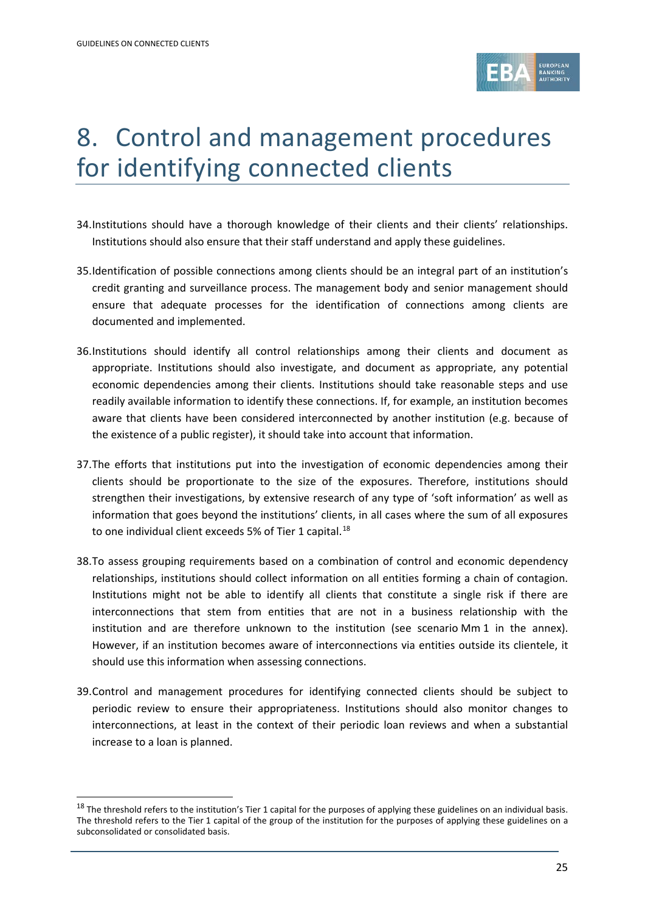.



## 8. Control and management procedures for identifying connected clients

- 34.Institutions should have a thorough knowledge of their clients and their clients' relationships. Institutions should also ensure that their staff understand and apply these guidelines.
- 35.Identification of possible connections among clients should be an integral part of an institution's credit granting and surveillance process. The management body and senior management should ensure that adequate processes for the identification of connections among clients are documented and implemented.
- 36.Institutions should identify all control relationships among their clients and document as appropriate. Institutions should also investigate, and document as appropriate, any potential economic dependencies among their clients. Institutions should take reasonable steps and use readily available information to identify these connections. If, for example, an institution becomes aware that clients have been considered interconnected by another institution (e.g. because of the existence of a public register), it should take into account that information.
- 37.The efforts that institutions put into the investigation of economic dependencies among their clients should be proportionate to the size of the exposures. Therefore, institutions should strengthen their investigations, by extensive research of any type of 'soft information' as well as information that goes beyond the institutions' clients, in all cases where the sum of all exposures to one individual client exceeds 5% of Tier 1 capital.<sup>[18](#page-24-0)</sup>
- 38.To assess grouping requirements based on a combination of control and economic dependency relationships, institutions should collect information on all entities forming a chain of contagion. Institutions might not be able to identify all clients that constitute a single risk if there are interconnections that stem from entities that are not in a business relationship with the institution and are therefore unknown to the institution (see scenario Mm 1 in the annex). However, if an institution becomes aware of interconnections via entities outside its clientele, it should use this information when assessing connections.
- 39.Control and management procedures for identifying connected clients should be subject to periodic review to ensure their appropriateness. Institutions should also monitor changes to interconnections, at least in the context of their periodic loan reviews and when a substantial increase to a loan is planned.

<span id="page-24-0"></span><sup>&</sup>lt;sup>18</sup> The threshold refers to the institution's Tier 1 capital for the purposes of applying these guidelines on an individual basis. The threshold refers to the Tier 1 capital of the group of the institution for the purposes of applying these guidelines on a subconsolidated or consolidated basis.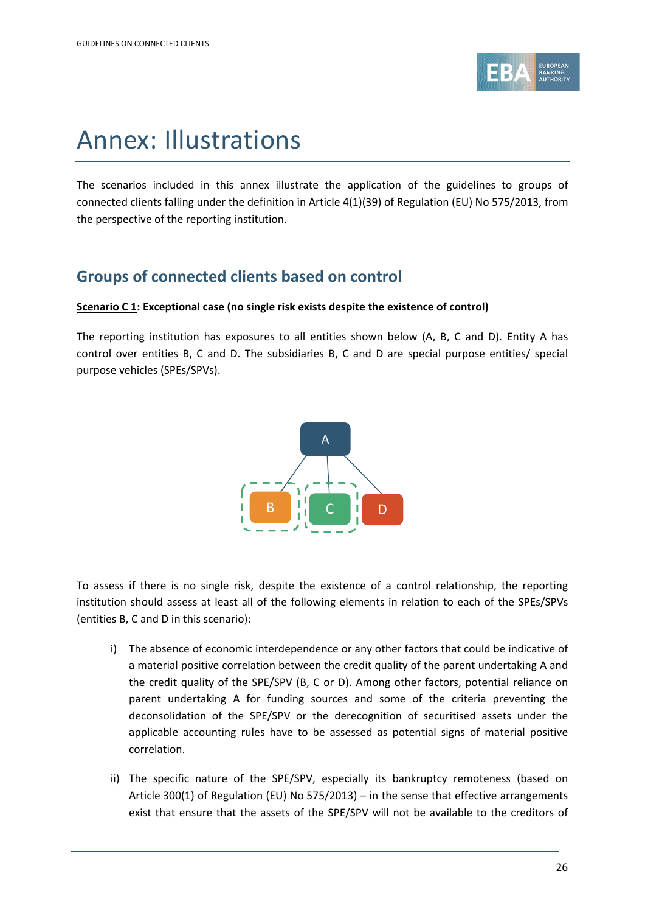

## Annex: Illustrations

The scenarios included in this annex illustrate the application of the guidelines to groups of connected clients falling under the definition in Article 4(1)(39) of Regulation (EU) No 575/2013, from the perspective of the reporting institution.

### **Groups of connected clients based on control**

### **Scenario C 1: Exceptional case (no single risk exists despite the existence of control)**

The reporting institution has exposures to all entities shown below (A, B, C and D). Entity A has control over entities B, C and D. The subsidiaries B, C and D are special purpose entities/ special purpose vehicles (SPEs/SPVs).



To assess if there is no single risk, despite the existence of a control relationship, the reporting institution should assess at least all of the following elements in relation to each of the SPEs/SPVs (entities B, C and D in this scenario):

- i) The absence of economic interdependence or any other factors that could be indicative of a material positive correlation between the credit quality of the parent undertaking A and the credit quality of the SPE/SPV (B, C or D). Among other factors, potential reliance on parent undertaking A for funding sources and some of the criteria preventing the deconsolidation of the SPE/SPV or the derecognition of securitised assets under the applicable accounting rules have to be assessed as potential signs of material positive correlation.
- ii) The specific nature of the SPE/SPV, especially its bankruptcy remoteness (based on Article 300(1) of Regulation (EU) No 575/2013) – in the sense that effective arrangements exist that ensure that the assets of the SPE/SPV will not be available to the creditors of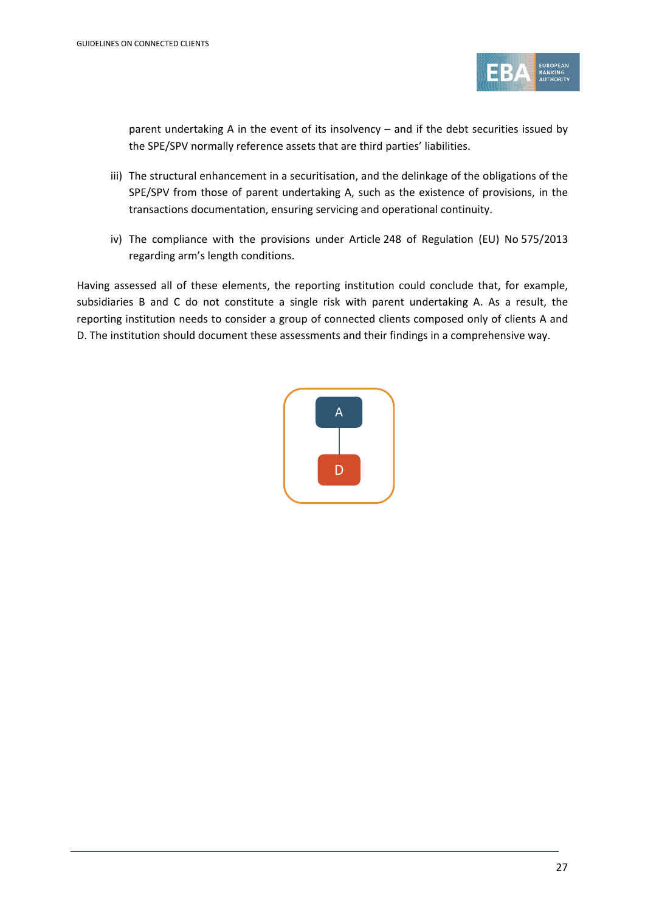

parent undertaking A in the event of its insolvency – and if the debt securities issued by the SPE/SPV normally reference assets that are third parties' liabilities.

- iii) The structural enhancement in a securitisation, and the delinkage of the obligations of the SPE/SPV from those of parent undertaking A, such as the existence of provisions, in the transactions documentation, ensuring servicing and operational continuity.
- iv) The compliance with the provisions under Article 248 of Regulation (EU) No 575/2013 regarding arm's length conditions.

Having assessed all of these elements, the reporting institution could conclude that, for example, subsidiaries B and C do not constitute a single risk with parent undertaking A. As a result, the reporting institution needs to consider a group of connected clients composed only of clients A and D. The institution should document these assessments and their findings in a comprehensive way.

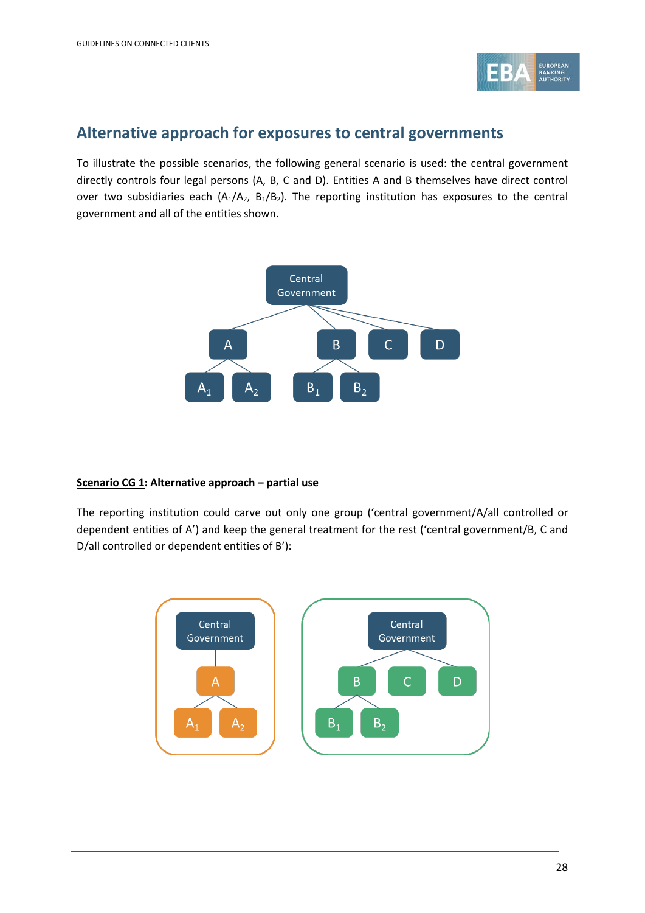

### **Alternative approach for exposures to central governments**

To illustrate the possible scenarios, the following general scenario is used: the central government directly controls four legal persons (A, B, C and D). Entities A and B themselves have direct control over two subsidiaries each  $(A_1/A_2, B_1/B_2)$ . The reporting institution has exposures to the central government and all of the entities shown.



### **Scenario CG 1: Alternative approach – partial use**

The reporting institution could carve out only one group ('central government/A/all controlled or dependent entities of A') and keep the general treatment for the rest ('central government/B, C and D/all controlled or dependent entities of B'):

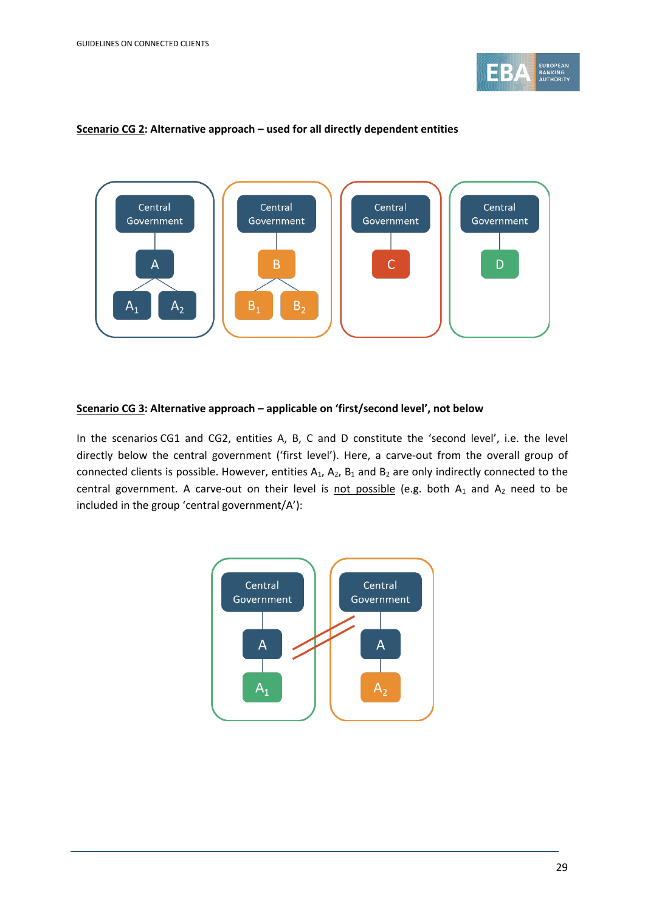



#### **Scenario CG 2: Alternative approach – used for all directly dependent entities**

#### **Scenario CG 3: Alternative approach – applicable on 'first/second level', not below**

In the scenarios CG1 and CG2, entities A, B, C and D constitute the 'second level', i.e. the level directly below the central government ('first level'). Here, a carve-out from the overall group of connected clients is possible. However, entities  $A_1$ ,  $A_2$ ,  $B_1$  and  $B_2$  are only indirectly connected to the central government. A carve-out on their level is not possible (e.g. both  $A_1$  and  $A_2$  need to be included in the group 'central government/A'):

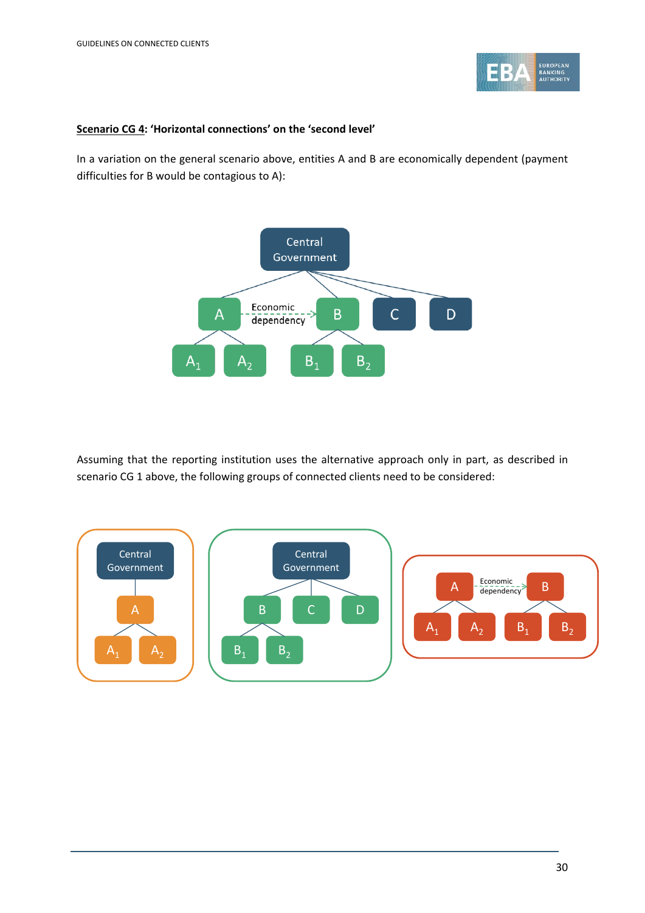

#### **Scenario CG 4: 'Horizontal connections' on the 'second level'**

In a variation on the general scenario above, entities A and B are economically dependent (payment difficulties for B would be contagious to A):



Assuming that the reporting institution uses the alternative approach only in part, as described in scenario CG 1 above, the following groups of connected clients need to be considered:

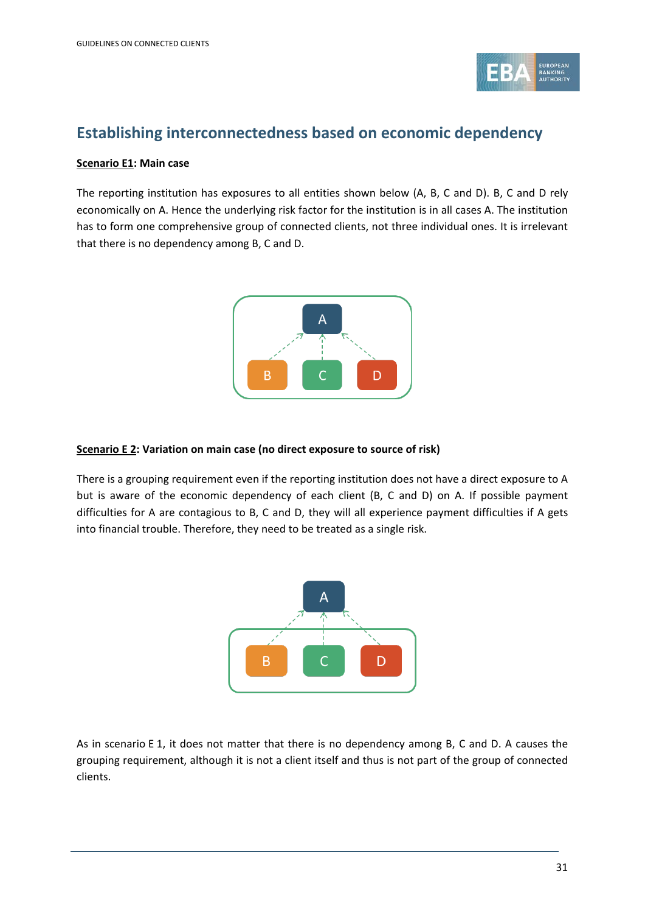

### **Establishing interconnectedness based on economic dependency**

#### **Scenario E1: Main case**

The reporting institution has exposures to all entities shown below (A, B, C and D). B, C and D rely economically on A. Hence the underlying risk factor for the institution is in all cases A. The institution has to form one comprehensive group of connected clients, not three individual ones. It is irrelevant that there is no dependency among B, C and D.



#### **Scenario E 2: Variation on main case (no direct exposure to source of risk)**

There is a grouping requirement even if the reporting institution does not have a direct exposure to A but is aware of the economic dependency of each client (B, C and D) on A. If possible payment difficulties for A are contagious to B, C and D, they will all experience payment difficulties if A gets into financial trouble. Therefore, they need to be treated as a single risk.



As in scenario E 1, it does not matter that there is no dependency among B, C and D. A causes the grouping requirement, although it is not a client itself and thus is not part of the group of connected clients.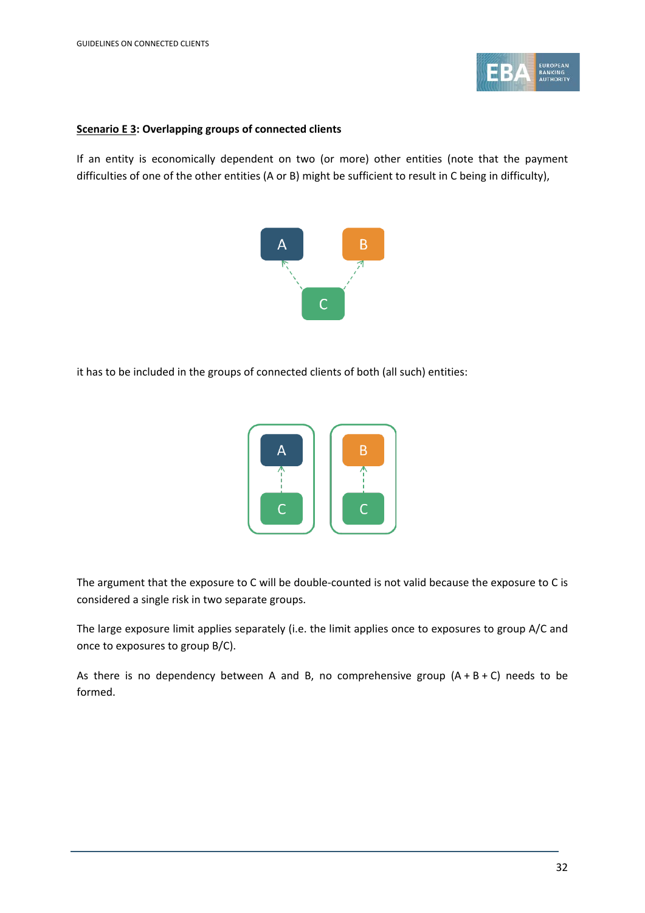

#### **Scenario E 3: Overlapping groups of connected clients**

If an entity is economically dependent on two (or more) other entities (note that the payment difficulties of one of the other entities (A or B) might be sufficient to result in C being in difficulty),



it has to be included in the groups of connected clients of both (all such) entities:



The argument that the exposure to C will be double-counted is not valid because the exposure to C is considered a single risk in two separate groups.

The large exposure limit applies separately (i.e. the limit applies once to exposures to group A/C and once to exposures to group B/C).

As there is no dependency between A and B, no comprehensive group  $(A + B + C)$  needs to be formed.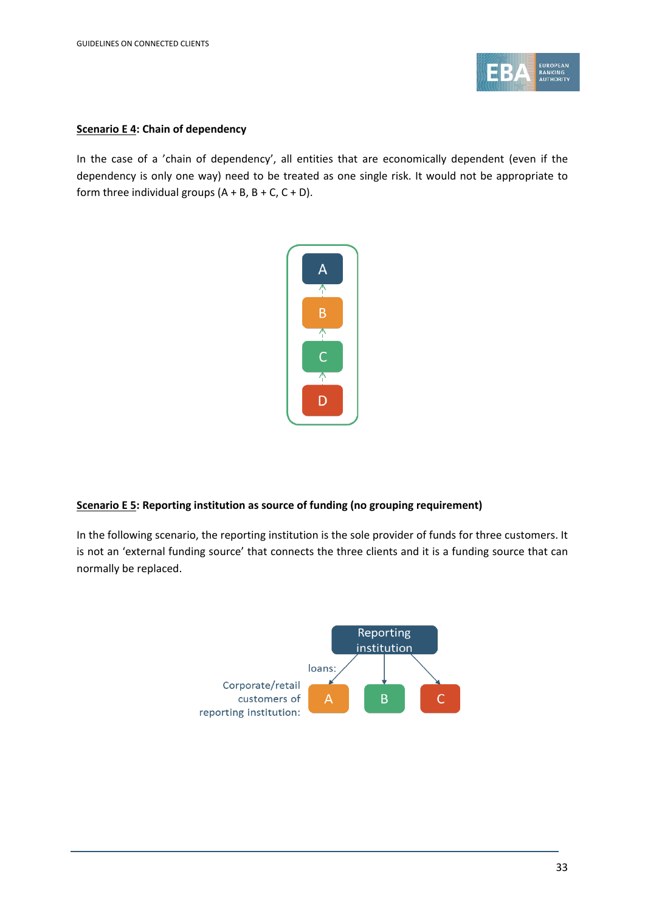

#### **Scenario E 4: Chain of dependency**

In the case of a 'chain of dependency', all entities that are economically dependent (even if the dependency is only one way) need to be treated as one single risk. It would not be appropriate to form three individual groups  $(A + B, B + C, C + D)$ .



### **Scenario E 5: Reporting institution as source of funding (no grouping requirement)**

In the following scenario, the reporting institution is the sole provider of funds for three customers. It is not an 'external funding source' that connects the three clients and it is a funding source that can normally be replaced.

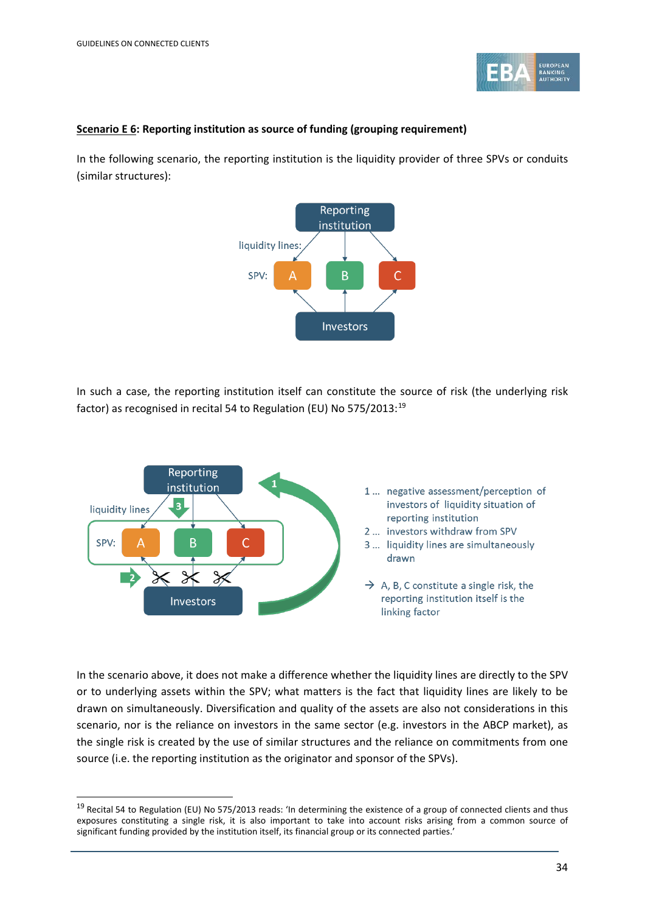.



#### **Scenario E 6: Reporting institution as source of funding (grouping requirement)**

In the following scenario, the reporting institution is the liquidity provider of three SPVs or conduits (similar structures):



In such a case, the reporting institution itself can constitute the source of risk (the underlying risk factor) as recognised in recital 54 to Regulation (EU) No 575/2013:<sup>[19](#page-33-0)</sup>



In the scenario above, it does not make a difference whether the liquidity lines are directly to the SPV or to underlying assets within the SPV; what matters is the fact that liquidity lines are likely to be drawn on simultaneously. Diversification and quality of the assets are also not considerations in this scenario, nor is the reliance on investors in the same sector (e.g. investors in the ABCP market), as the single risk is created by the use of similar structures and the reliance on commitments from one source (i.e. the reporting institution as the originator and sponsor of the SPVs).

<span id="page-33-0"></span><sup>&</sup>lt;sup>19</sup> Recital 54 to Regulation (EU) No 575/2013 reads: 'In determining the existence of a group of connected clients and thus exposures constituting a single risk, it is also important to take into account risks arising from a common source of significant funding provided by the institution itself, its financial group or its connected parties.'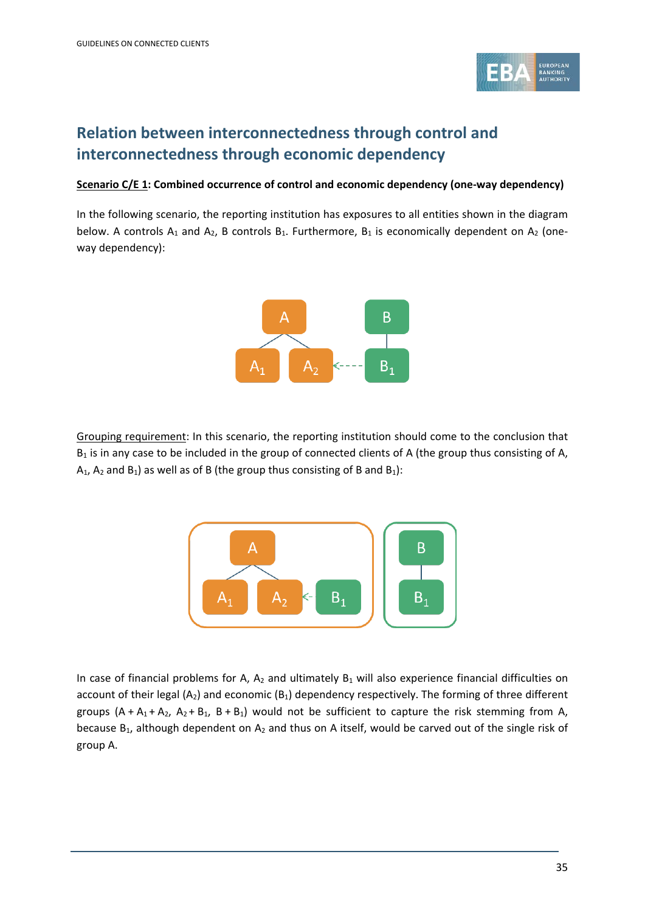

### **Relation between interconnectedness through control and interconnectedness through economic dependency**

#### **Scenario C/E 1: Combined occurrence of control and economic dependency (one-way dependency)**

In the following scenario, the reporting institution has exposures to all entities shown in the diagram below. A controls  $A_1$  and  $A_2$ , B controls  $B_1$ . Furthermore,  $B_1$  is economically dependent on  $A_2$  (oneway dependency):



Grouping requirement: In this scenario, the reporting institution should come to the conclusion that  $B_1$  is in any case to be included in the group of connected clients of A (the group thus consisting of A,  $A_1$ ,  $A_2$  and  $B_1$ ) as well as of B (the group thus consisting of B and  $B_1$ ):



In case of financial problems for A,  $A_2$  and ultimately  $B_1$  will also experience financial difficulties on account of their legal  $(A_2)$  and economic  $(B_1)$  dependency respectively. The forming of three different groups  $(A + A_1 + A_2, A_2 + B_1, B + B_1)$  would not be sufficient to capture the risk stemming from A, because  $B_1$ , although dependent on  $A_2$  and thus on A itself, would be carved out of the single risk of group A.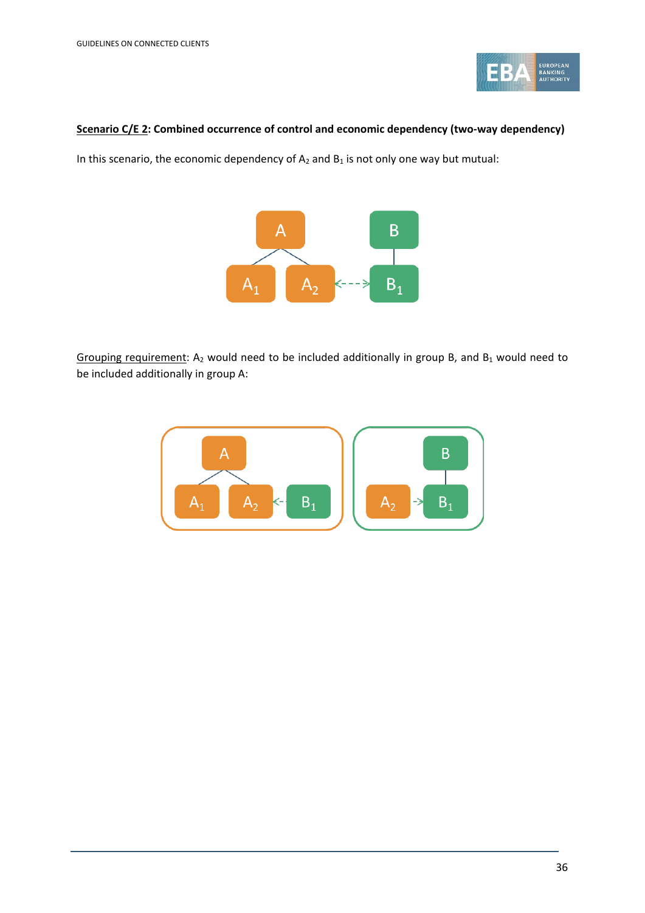

#### **Scenario C/E 2: Combined occurrence of control and economic dependency (two-way dependency)**

In this scenario, the economic dependency of  $A_2$  and  $B_1$  is not only one way but mutual:



Grouping requirement: A<sub>2</sub> would need to be included additionally in group B, and B<sub>1</sub> would need to be included additionally in group A:

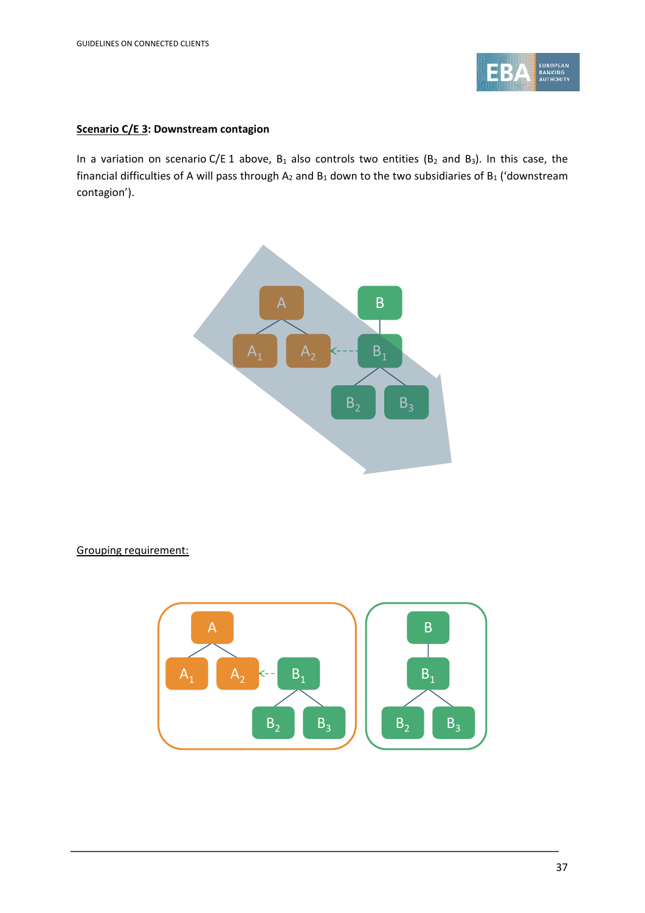

### **Scenario C/E 3: Downstream contagion**

In a variation on scenario C/E 1 above,  $B_1$  also controls two entities ( $B_2$  and  $B_3$ ). In this case, the financial difficulties of A will pass through  $A_2$  and  $B_1$  down to the two subsidiaries of  $B_1$  ('downstream contagion').



Grouping requirement:

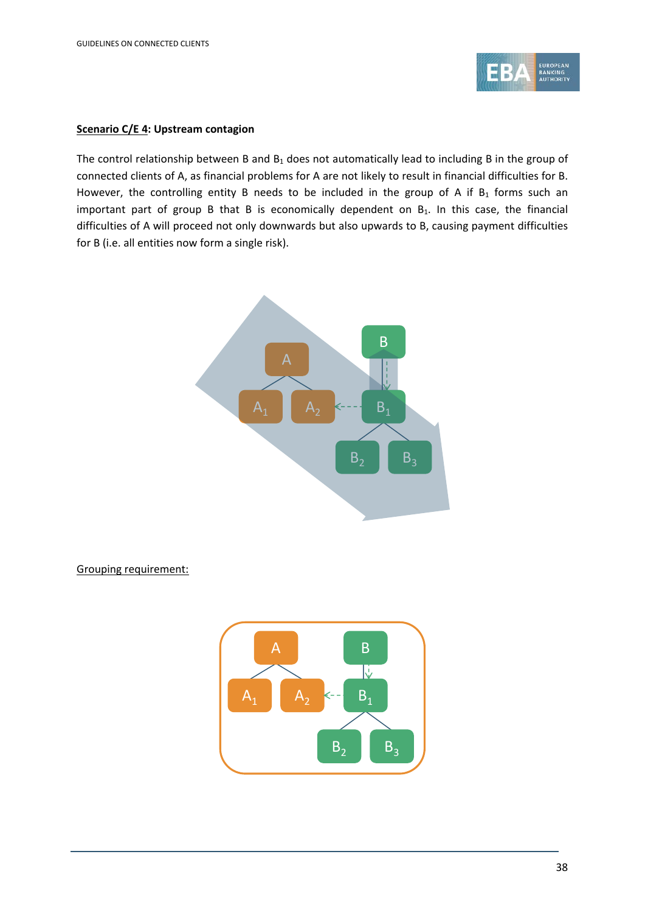

### **Scenario C/E 4: Upstream contagion**

The control relationship between B and  $B_1$  does not automatically lead to including B in the group of connected clients of A, as financial problems for A are not likely to result in financial difficulties for B. However, the controlling entity B needs to be included in the group of A if  $B_1$  forms such an important part of group B that B is economically dependent on  $B_1$ . In this case, the financial difficulties of A will proceed not only downwards but also upwards to B, causing payment difficulties for B (i.e. all entities now form a single risk).



### Grouping requirement:

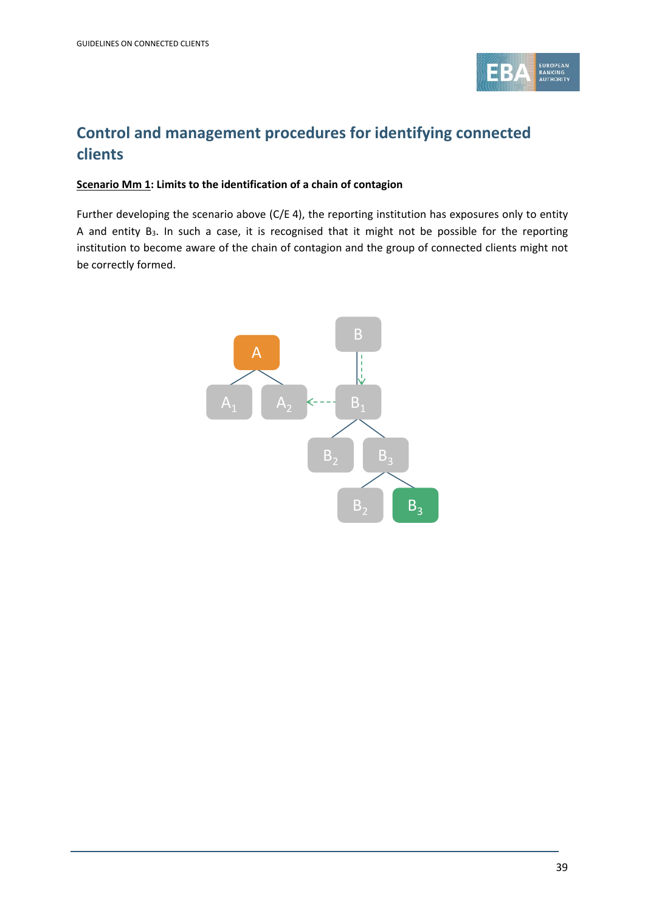

## **Control and management procedures for identifying connected clients**

### **Scenario Mm 1: Limits to the identification of a chain of contagion**

Further developing the scenario above (C/E 4), the reporting institution has exposures only to entity A and entity B<sub>3</sub>. In such a case, it is recognised that it might not be possible for the reporting institution to become aware of the chain of contagion and the group of connected clients might not be correctly formed.

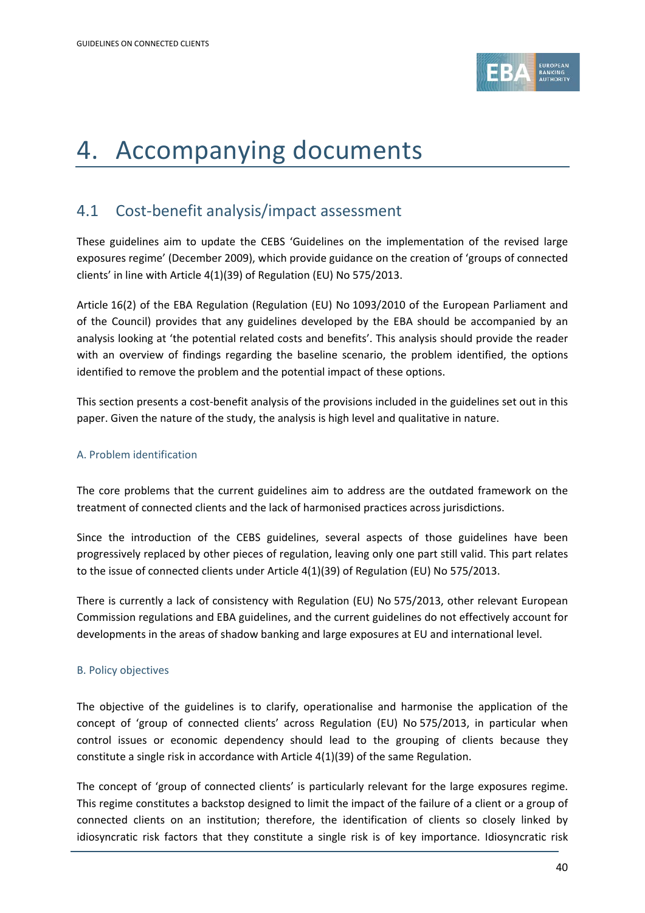

# 4. Accompanying documents

## 4.1 Cost-benefit analysis/impact assessment

These guidelines aim to update the CEBS 'Guidelines on the implementation of the revised large exposures regime' (December 2009), which provide guidance on the creation of 'groups of connected clients' in line with Article 4(1)(39) of Regulation (EU) No 575/2013.

Article 16(2) of the EBA Regulation (Regulation (EU) No 1093/2010 of the European Parliament and of the Council) provides that any guidelines developed by the EBA should be accompanied by an analysis looking at 'the potential related costs and benefits'. This analysis should provide the reader with an overview of findings regarding the baseline scenario, the problem identified, the options identified to remove the problem and the potential impact of these options.

This section presents a cost-benefit analysis of the provisions included in the guidelines set out in this paper. Given the nature of the study, the analysis is high level and qualitative in nature.

### A. Problem identification

The core problems that the current guidelines aim to address are the outdated framework on the treatment of connected clients and the lack of harmonised practices across jurisdictions.

Since the introduction of the CEBS guidelines, several aspects of those guidelines have been progressively replaced by other pieces of regulation, leaving only one part still valid. This part relates to the issue of connected clients under Article 4(1)(39) of Regulation (EU) No 575/2013.

There is currently a lack of consistency with Regulation (EU) No 575/2013, other relevant European Commission regulations and EBA guidelines, and the current guidelines do not effectively account for developments in the areas of shadow banking and large exposures at EU and international level.

### B. Policy objectives

The objective of the guidelines is to clarify, operationalise and harmonise the application of the concept of 'group of connected clients' across Regulation (EU) No 575/2013, in particular when control issues or economic dependency should lead to the grouping of clients because they constitute a single risk in accordance with Article 4(1)(39) of the same Regulation.

The concept of 'group of connected clients' is particularly relevant for the large exposures regime. This regime constitutes a backstop designed to limit the impact of the failure of a client or a group of connected clients on an institution; therefore, the identification of clients so closely linked by idiosyncratic risk factors that they constitute a single risk is of key importance. Idiosyncratic risk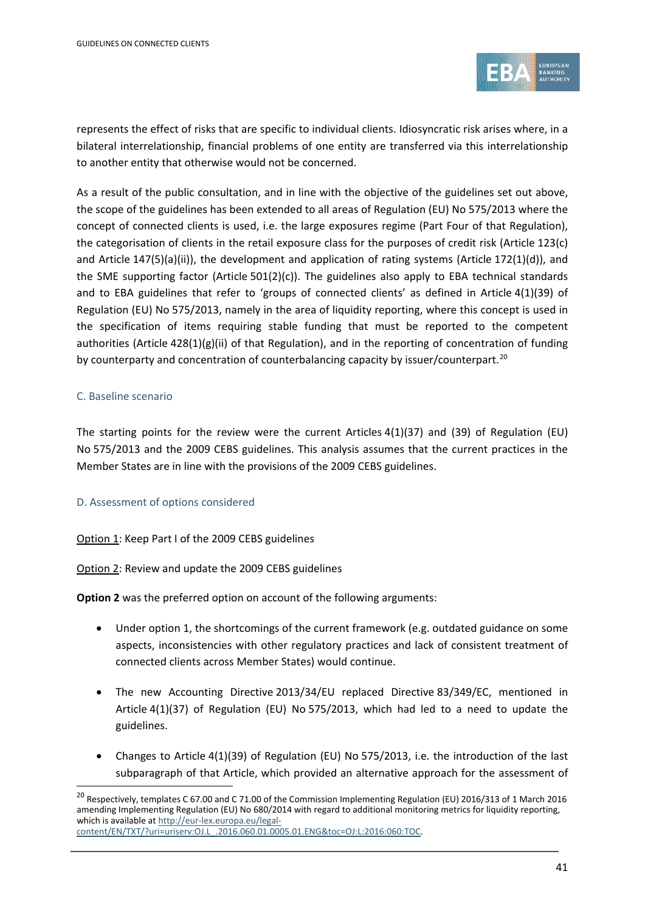

represents the effect of risks that are specific to individual clients. Idiosyncratic risk arises where, in a bilateral interrelationship, financial problems of one entity are transferred via this interrelationship to another entity that otherwise would not be concerned.

As a result of the public consultation, and in line with the objective of the guidelines set out above, the scope of the guidelines has been extended to all areas of Regulation (EU) No 575/2013 where the concept of connected clients is used, i.e. the large exposures regime (Part Four of that Regulation), the categorisation of clients in the retail exposure class for the purposes of credit risk (Article 123(c) and Article 147(5)(a)(ii)), the development and application of rating systems (Article 172(1)(d)), and the SME supporting factor (Article 501(2)(c)). The guidelines also apply to EBA technical standards and to EBA guidelines that refer to 'groups of connected clients' as defined in Article 4(1)(39) of Regulation (EU) No 575/2013, namely in the area of liquidity reporting, where this concept is used in the specification of items requiring stable funding that must be reported to the competent authorities (Article 428(1)(g)(ii) of that Regulation), and in the reporting of concentration of funding by counterparty and concentration of counterbalancing capacity by issuer/counterpart.<sup>[20](#page-40-0)</sup>

### C. Baseline scenario

The starting points for the review were the current Articles 4(1)(37) and (39) of Regulation (EU) No 575/2013 and the 2009 CEBS guidelines. This analysis assumes that the current practices in the Member States are in line with the provisions of the 2009 CEBS guidelines.

### D. Assessment of options considered

### Option 1: Keep Part I of the 2009 CEBS guidelines

Option 2: Review and update the 2009 CEBS guidelines

**Option 2** was the preferred option on account of the following arguments:

- Under option 1, the shortcomings of the current framework (e.g. outdated guidance on some aspects, inconsistencies with other regulatory practices and lack of consistent treatment of connected clients across Member States) would continue.
- The new Accounting Directive 2013/34/EU replaced Directive 83/349/EC, mentioned in Article 4(1)(37) of Regulation (EU) No 575/2013, which had led to a need to update the guidelines.
- Changes to Article 4(1)(39) of Regulation (EU) No 575/2013, i.e. the introduction of the last subparagraph of that Article, which provided an alternative approach for the assessment of

<span id="page-40-0"></span><sup>&</sup>lt;sup>20</sup> Respectively, templates C 67.00 and C 71.00 of the Commission Implementing Regulation (EU) 2016/313 of 1 March 2016 amending Implementing Regulation (EU) No 680/2014 with regard to additional monitoring metrics for liquidity reporting, which is available a[t http://eur-lex.europa.eu/legal](http://eur-lex.europa.eu/legal-content/EN/TXT/?uri=uriserv:OJ.L_.2016.060.01.0005.01.ENG&toc=OJ:L:2016:060:TOC)[content/EN/TXT/?uri=uriserv:OJ.L\\_.2016.060.01.0005.01.ENG&toc=OJ:L:2016:060:TOC.](http://eur-lex.europa.eu/legal-content/EN/TXT/?uri=uriserv:OJ.L_.2016.060.01.0005.01.ENG&toc=OJ:L:2016:060:TOC)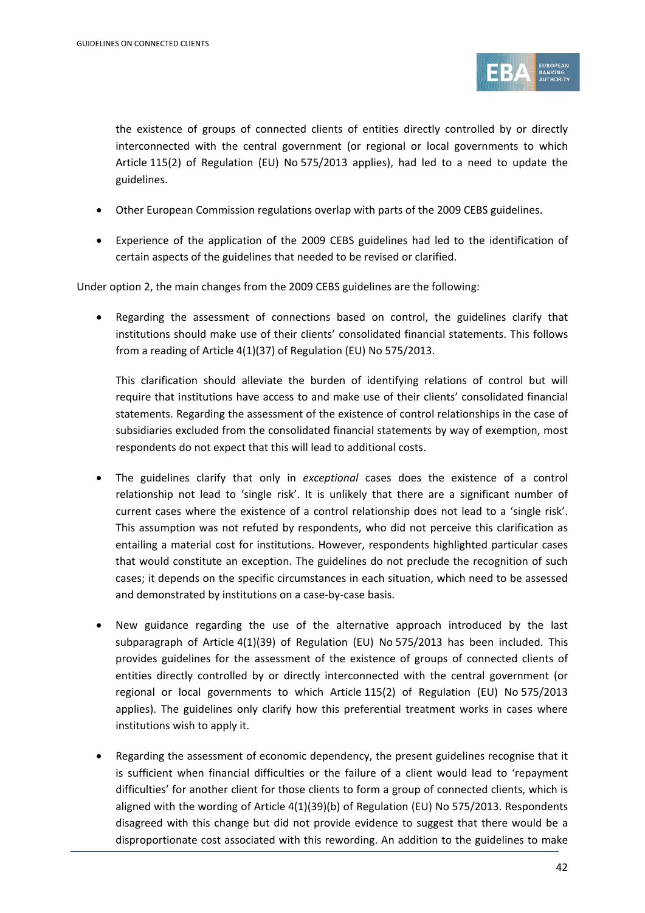

the existence of groups of connected clients of entities directly controlled by or directly interconnected with the central government (or regional or local governments to which Article 115(2) of Regulation (EU) No 575/2013 applies), had led to a need to update the guidelines.

- Other European Commission regulations overlap with parts of the 2009 CEBS guidelines.
- Experience of the application of the 2009 CEBS guidelines had led to the identification of certain aspects of the guidelines that needed to be revised or clarified.

Under option 2, the main changes from the 2009 CEBS guidelines are the following:

Regarding the assessment of connections based on control, the guidelines clarify that institutions should make use of their clients' consolidated financial statements. This follows from a reading of Article 4(1)(37) of Regulation (EU) No 575/2013.

This clarification should alleviate the burden of identifying relations of control but will require that institutions have access to and make use of their clients' consolidated financial statements. Regarding the assessment of the existence of control relationships in the case of subsidiaries excluded from the consolidated financial statements by way of exemption, most respondents do not expect that this will lead to additional costs.

- The guidelines clarify that only in *exceptional* cases does the existence of a control relationship not lead to 'single risk'. It is unlikely that there are a significant number of current cases where the existence of a control relationship does not lead to a 'single risk'. This assumption was not refuted by respondents, who did not perceive this clarification as entailing a material cost for institutions. However, respondents highlighted particular cases that would constitute an exception. The guidelines do not preclude the recognition of such cases; it depends on the specific circumstances in each situation, which need to be assessed and demonstrated by institutions on a case-by-case basis.
- New guidance regarding the use of the alternative approach introduced by the last subparagraph of Article 4(1)(39) of Regulation (EU) No 575/2013 has been included. This provides guidelines for the assessment of the existence of groups of connected clients of entities directly controlled by or directly interconnected with the central government (or regional or local governments to which Article 115(2) of Regulation (EU) No 575/2013 applies). The guidelines only clarify how this preferential treatment works in cases where institutions wish to apply it.
- Regarding the assessment of economic dependency, the present guidelines recognise that it is sufficient when financial difficulties or the failure of a client would lead to 'repayment difficulties' for another client for those clients to form a group of connected clients, which is aligned with the wording of Article 4(1)(39)(b) of Regulation (EU) No 575/2013. Respondents disagreed with this change but did not provide evidence to suggest that there would be a disproportionate cost associated with this rewording. An addition to the guidelines to make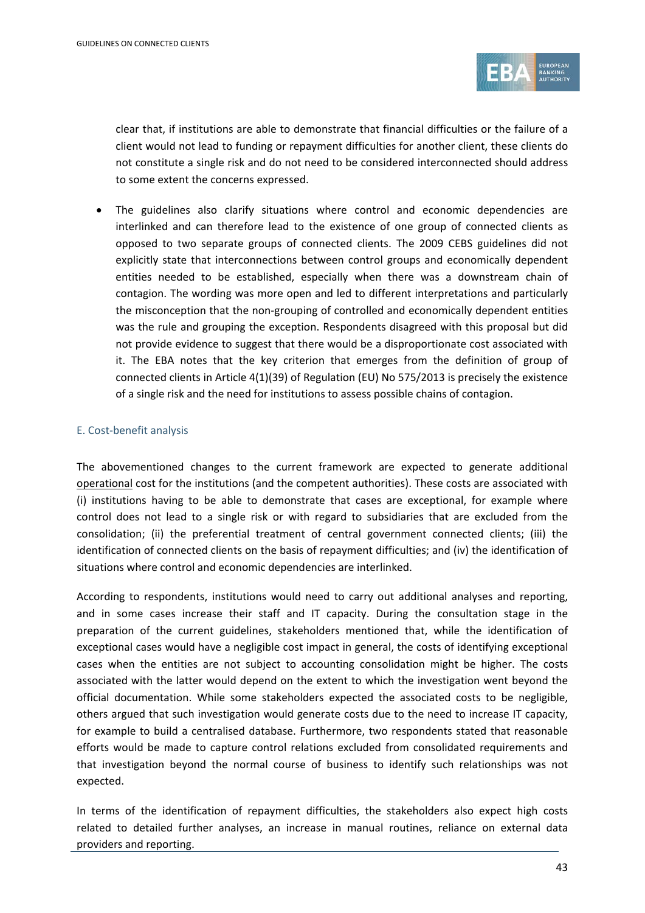

clear that, if institutions are able to demonstrate that financial difficulties or the failure of a client would not lead to funding or repayment difficulties for another client, these clients do not constitute a single risk and do not need to be considered interconnected should address to some extent the concerns expressed.

• The guidelines also clarify situations where control and economic dependencies are interlinked and can therefore lead to the existence of one group of connected clients as opposed to two separate groups of connected clients. The 2009 CEBS guidelines did not explicitly state that interconnections between control groups and economically dependent entities needed to be established, especially when there was a downstream chain of contagion. The wording was more open and led to different interpretations and particularly the misconception that the non-grouping of controlled and economically dependent entities was the rule and grouping the exception. Respondents disagreed with this proposal but did not provide evidence to suggest that there would be a disproportionate cost associated with it. The EBA notes that the key criterion that emerges from the definition of group of connected clients in Article 4(1)(39) of Regulation (EU) No 575/2013 is precisely the existence of a single risk and the need for institutions to assess possible chains of contagion.

### E. Cost-benefit analysis

The abovementioned changes to the current framework are expected to generate additional operational cost for the institutions (and the competent authorities). These costs are associated with (i) institutions having to be able to demonstrate that cases are exceptional, for example where control does not lead to a single risk or with regard to subsidiaries that are excluded from the consolidation; (ii) the preferential treatment of central government connected clients; (iii) the identification of connected clients on the basis of repayment difficulties; and (iv) the identification of situations where control and economic dependencies are interlinked.

According to respondents, institutions would need to carry out additional analyses and reporting, and in some cases increase their staff and IT capacity. During the consultation stage in the preparation of the current guidelines, stakeholders mentioned that, while the identification of exceptional cases would have a negligible cost impact in general, the costs of identifying exceptional cases when the entities are not subject to accounting consolidation might be higher. The costs associated with the latter would depend on the extent to which the investigation went beyond the official documentation. While some stakeholders expected the associated costs to be negligible, others argued that such investigation would generate costs due to the need to increase IT capacity, for example to build a centralised database. Furthermore, two respondents stated that reasonable efforts would be made to capture control relations excluded from consolidated requirements and that investigation beyond the normal course of business to identify such relationships was not expected.

In terms of the identification of repayment difficulties, the stakeholders also expect high costs related to detailed further analyses, an increase in manual routines, reliance on external data providers and reporting.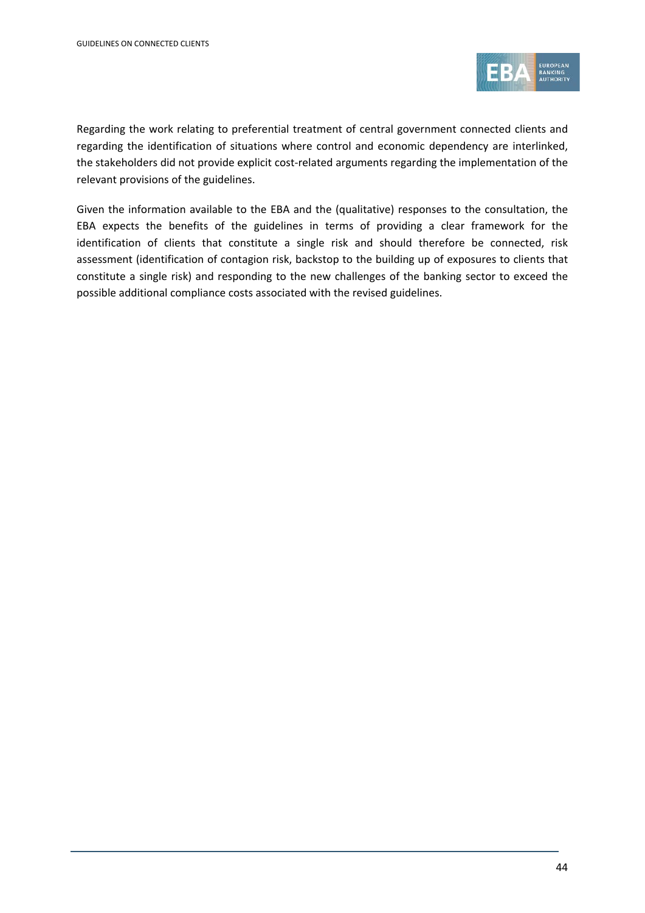

Regarding the work relating to preferential treatment of central government connected clients and regarding the identification of situations where control and economic dependency are interlinked, the stakeholders did not provide explicit cost-related arguments regarding the implementation of the relevant provisions of the guidelines.

Given the information available to the EBA and the (qualitative) responses to the consultation, the EBA expects the benefits of the guidelines in terms of providing a clear framework for the identification of clients that constitute a single risk and should therefore be connected, risk assessment (identification of contagion risk, backstop to the building up of exposures to clients that constitute a single risk) and responding to the new challenges of the banking sector to exceed the possible additional compliance costs associated with the revised guidelines.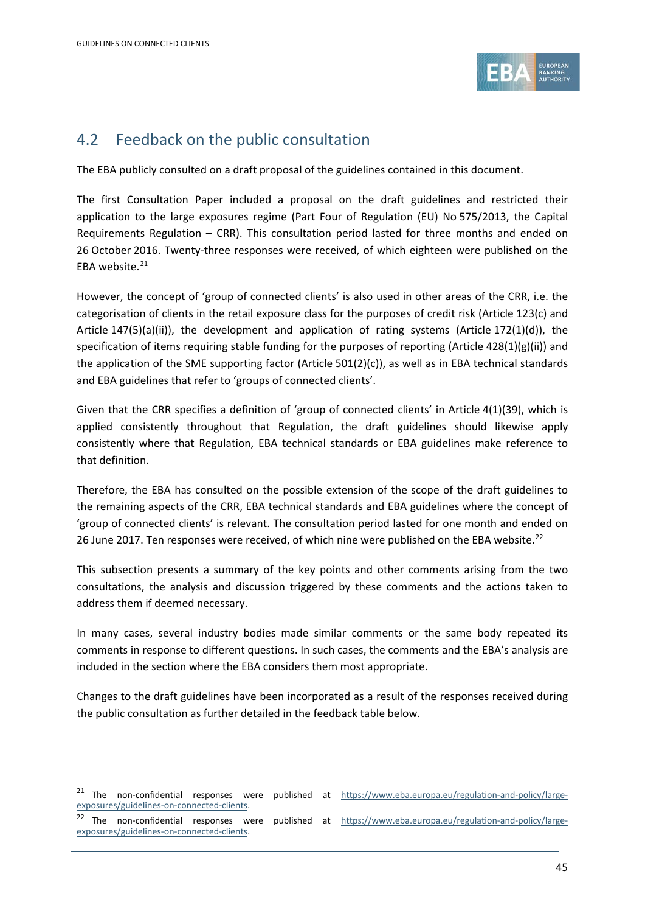1



## 4.2 Feedback on the public consultation

The EBA publicly consulted on a draft proposal of the guidelines contained in this document.

The first Consultation Paper included a proposal on the draft guidelines and restricted their application to the large exposures regime (Part Four of Regulation (EU) No 575/2013, the Capital Requirements Regulation – CRR). This consultation period lasted for three months and ended on 26 October 2016. Twenty-three responses were received, of which eighteen were published on the EBA website. [21](#page-44-0)

However, the concept of 'group of connected clients' is also used in other areas of the CRR, i.e. the categorisation of clients in the retail exposure class for the purposes of credit risk (Article 123(c) and Article 147(5)(a)(ii)), the development and application of rating systems (Article 172(1)(d)), the specification of items requiring stable funding for the purposes of reporting (Article 428(1)(g)(ii)) and the application of the SME supporting factor (Article 501(2)(c)), as well as in EBA technical standards and EBA guidelines that refer to 'groups of connected clients'.

Given that the CRR specifies a definition of 'group of connected clients' in Article 4(1)(39), which is applied consistently throughout that Regulation, the draft guidelines should likewise apply consistently where that Regulation, EBA technical standards or EBA guidelines make reference to that definition.

Therefore, the EBA has consulted on the possible extension of the scope of the draft guidelines to the remaining aspects of the CRR, EBA technical standards and EBA guidelines where the concept of 'group of connected clients' is relevant. The consultation period lasted for one month and ended on 26 June 2017. Ten responses were received, of which nine were published on the EBA website.<sup>[22](#page-44-1)</sup>

This subsection presents a summary of the key points and other comments arising from the two consultations, the analysis and discussion triggered by these comments and the actions taken to address them if deemed necessary.

In many cases, several industry bodies made similar comments or the same body repeated its comments in response to different questions. In such cases, the comments and the EBA's analysis are included in the section where the EBA considers them most appropriate.

Changes to the draft guidelines have been incorporated as a result of the responses received during the public consultation as further detailed in the feedback table below.

<span id="page-44-0"></span><sup>&</sup>lt;sup>21</sup> The non-confidential responses were published at [https://www.eba.europa.eu/regulation-and-policy/large](https://www.eba.europa.eu/regulation-and-policy/large-exposures/guidelines-on-connected-clients)[exposures/guidelines-on-connected-clients.](https://www.eba.europa.eu/regulation-and-policy/large-exposures/guidelines-on-connected-clients)

<span id="page-44-1"></span><sup>&</sup>lt;sup>22</sup> The non-confidential responses were published at [https://www.eba.europa.eu/regulation-and-policy/large](https://www.eba.europa.eu/regulation-and-policy/large-exposures/guidelines-on-connected-clients)[exposures/guidelines-on-connected-clients.](https://www.eba.europa.eu/regulation-and-policy/large-exposures/guidelines-on-connected-clients)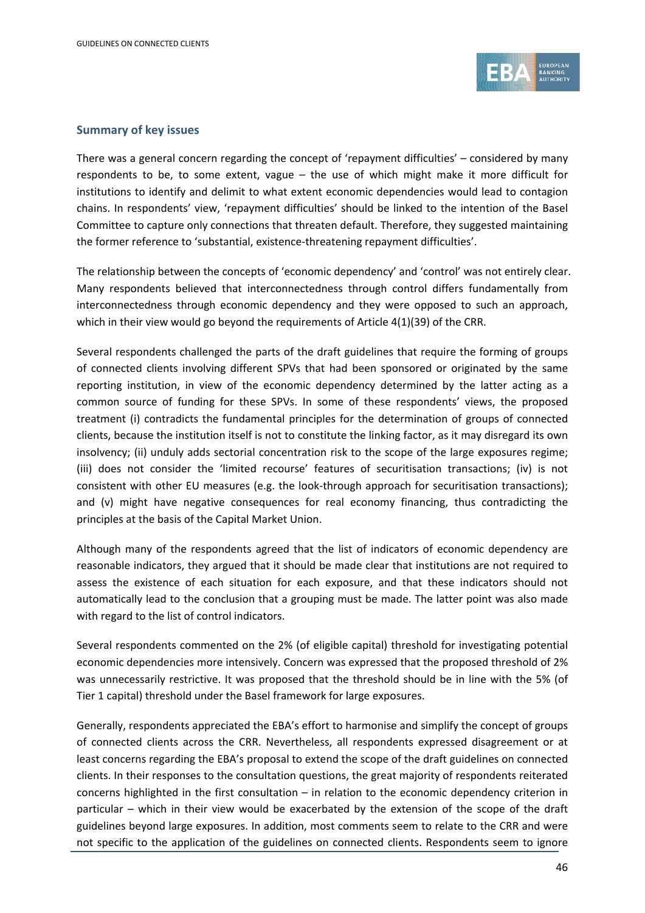

### **Summary of key issues**

There was a general concern regarding the concept of 'repayment difficulties' – considered by many respondents to be, to some extent, vague – the use of which might make it more difficult for institutions to identify and delimit to what extent economic dependencies would lead to contagion chains. In respondents' view, 'repayment difficulties' should be linked to the intention of the Basel Committee to capture only connections that threaten default. Therefore, they suggested maintaining the former reference to 'substantial, existence-threatening repayment difficulties'.

The relationship between the concepts of 'economic dependency' and 'control' was not entirely clear. Many respondents believed that interconnectedness through control differs fundamentally from interconnectedness through economic dependency and they were opposed to such an approach, which in their view would go beyond the requirements of Article 4(1)(39) of the CRR.

Several respondents challenged the parts of the draft guidelines that require the forming of groups of connected clients involving different SPVs that had been sponsored or originated by the same reporting institution, in view of the economic dependency determined by the latter acting as a common source of funding for these SPVs. In some of these respondents' views, the proposed treatment (i) contradicts the fundamental principles for the determination of groups of connected clients, because the institution itself is not to constitute the linking factor, as it may disregard its own insolvency; (ii) unduly adds sectorial concentration risk to the scope of the large exposures regime; (iii) does not consider the 'limited recourse' features of securitisation transactions; (iv) is not consistent with other EU measures (e.g. the look-through approach for securitisation transactions); and (v) might have negative consequences for real economy financing, thus contradicting the principles at the basis of the Capital Market Union.

Although many of the respondents agreed that the list of indicators of economic dependency are reasonable indicators, they argued that it should be made clear that institutions are not required to assess the existence of each situation for each exposure, and that these indicators should not automatically lead to the conclusion that a grouping must be made. The latter point was also made with regard to the list of control indicators.

Several respondents commented on the 2% (of eligible capital) threshold for investigating potential economic dependencies more intensively. Concern was expressed that the proposed threshold of 2% was unnecessarily restrictive. It was proposed that the threshold should be in line with the 5% (of Tier 1 capital) threshold under the Basel framework for large exposures.

Generally, respondents appreciated the EBA's effort to harmonise and simplify the concept of groups of connected clients across the CRR. Nevertheless, all respondents expressed disagreement or at least concerns regarding the EBA's proposal to extend the scope of the draft guidelines on connected clients. In their responses to the consultation questions, the great majority of respondents reiterated concerns highlighted in the first consultation – in relation to the economic dependency criterion in particular – which in their view would be exacerbated by the extension of the scope of the draft guidelines beyond large exposures. In addition, most comments seem to relate to the CRR and were not specific to the application of the guidelines on connected clients. Respondents seem to ignore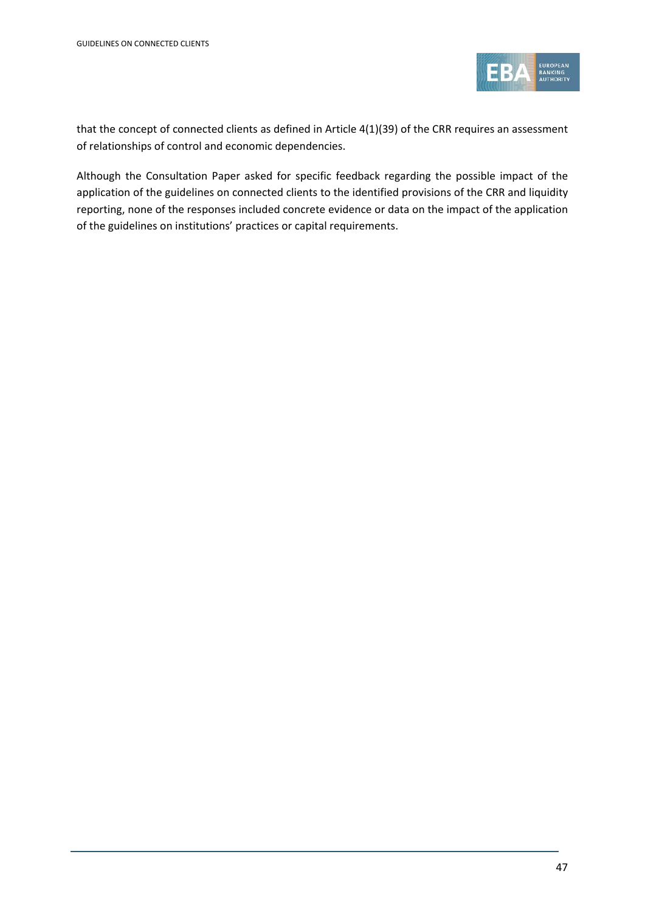

that the concept of connected clients as defined in Article 4(1)(39) of the CRR requires an assessment of relationships of control and economic dependencies.

Although the Consultation Paper asked for specific feedback regarding the possible impact of the application of the guidelines on connected clients to the identified provisions of the CRR and liquidity reporting, none of the responses included concrete evidence or data on the impact of the application of the guidelines on institutions' practices or capital requirements.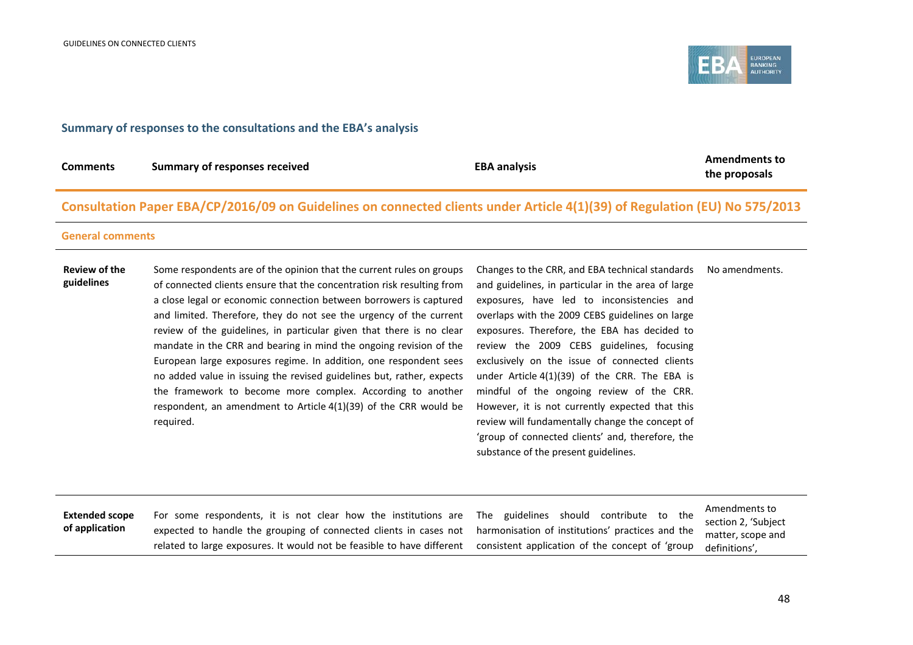**Extended scope of application**

### **Summary of responses to the consultations and the EBA's analysis**

For some respondents, it is not clear how the institutions are expected to handle the grouping of connected clients in cases not related to large exposures. It would not be feasible to have different

| <b>Comments</b>                    | <b>Summary of responses received</b>                                                                                                                                                                                                                                                                                                                                                                                                                                                                                                                                                                                                                                                                                                  | <b>EBA analysis</b>                                                                                                                                                                                                                                                                                                                                                                                                                                                                                                                                                                                                                                    | <b>Amendments to</b><br>the proposals |
|------------------------------------|---------------------------------------------------------------------------------------------------------------------------------------------------------------------------------------------------------------------------------------------------------------------------------------------------------------------------------------------------------------------------------------------------------------------------------------------------------------------------------------------------------------------------------------------------------------------------------------------------------------------------------------------------------------------------------------------------------------------------------------|--------------------------------------------------------------------------------------------------------------------------------------------------------------------------------------------------------------------------------------------------------------------------------------------------------------------------------------------------------------------------------------------------------------------------------------------------------------------------------------------------------------------------------------------------------------------------------------------------------------------------------------------------------|---------------------------------------|
|                                    | Consultation Paper EBA/CP/2016/09 on Guidelines on connected clients under Article 4(1)(39) of Regulation (EU) No 575/2013                                                                                                                                                                                                                                                                                                                                                                                                                                                                                                                                                                                                            |                                                                                                                                                                                                                                                                                                                                                                                                                                                                                                                                                                                                                                                        |                                       |
| <b>General comments</b>            |                                                                                                                                                                                                                                                                                                                                                                                                                                                                                                                                                                                                                                                                                                                                       |                                                                                                                                                                                                                                                                                                                                                                                                                                                                                                                                                                                                                                                        |                                       |
| <b>Review of the</b><br>guidelines | Some respondents are of the opinion that the current rules on groups<br>of connected clients ensure that the concentration risk resulting from<br>a close legal or economic connection between borrowers is captured<br>and limited. Therefore, they do not see the urgency of the current<br>review of the guidelines, in particular given that there is no clear<br>mandate in the CRR and bearing in mind the ongoing revision of the<br>European large exposures regime. In addition, one respondent sees<br>no added value in issuing the revised guidelines but, rather, expects<br>the framework to become more complex. According to another<br>respondent, an amendment to Article 4(1)(39) of the CRR would be<br>required. | Changes to the CRR, and EBA technical standards<br>and guidelines, in particular in the area of large<br>exposures, have led to inconsistencies and<br>overlaps with the 2009 CEBS guidelines on large<br>exposures. Therefore, the EBA has decided to<br>review the 2009 CEBS guidelines, focusing<br>exclusively on the issue of connected clients<br>under Article $4(1)(39)$ of the CRR. The EBA is<br>mindful of the ongoing review of the CRR.<br>However, it is not currently expected that this<br>review will fundamentally change the concept of<br>'group of connected clients' and, therefore, the<br>substance of the present guidelines. | No amendments.                        |

The guidelines should contribute to the harmonisation of institutions' practices and the consistent application of the concept of 'group

EUROPEAN<br>BANKING<br>AUTHORITY

section 2, 'Subject matter, scope and definitions',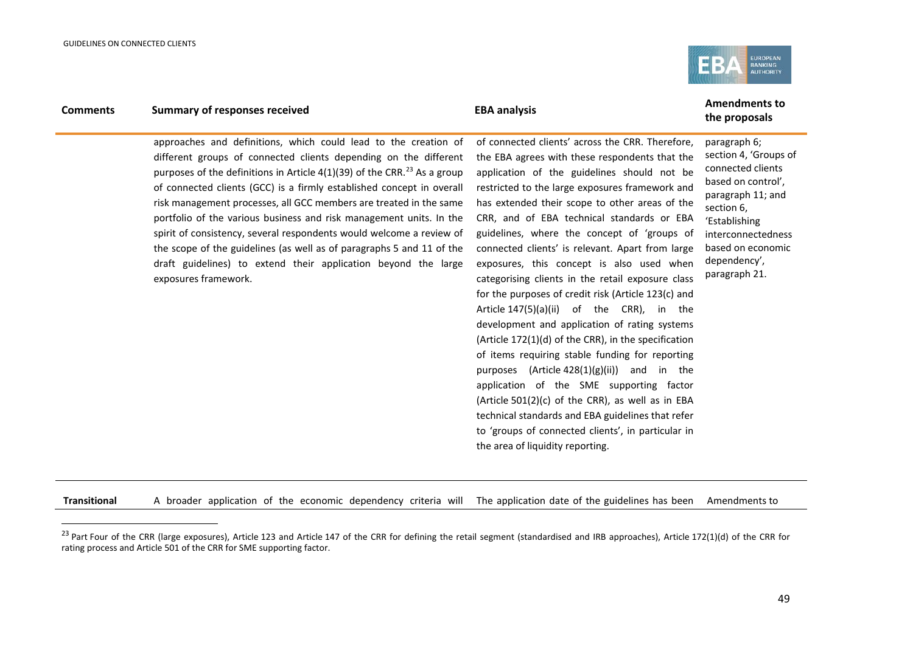j

<span id="page-48-0"></span>

## **Comments Summary of responses received EBA** analysis **EBA** analysis **Amendments to**

approaches and definitions, which could lead to the creation of different groups of connected clients depending on the different purposes of the definitions in Article 4(1)(39) of the CRR.<sup>[23](#page-48-0)</sup> As a group of connected clients (GCC) is a firmly established concept in overall risk management processes, all GCC members are treated in the same portfolio of the various business and risk management units. In the spirit of consistency, several respondents would welcome a review of the scope of the guidelines (as well as of paragraphs 5 and 11 of the draft guidelines) to extend their application beyond the large exposures framework.

of connected clients' across the CRR. Therefore, the EBA agrees with these respondents that the application of the guidelines should not be restricted to the large exposures framework and has extended their scope to other areas of the CRR, and of EBA technical standards or EBA guidelines, where the concept of 'groups of connected clients' is relevant. Apart from large exposures, this concept is also used when categorising clients in the retail exposure class for the purposes of credit risk (Article 123(c) and Article 147(5)(a)(ii) of the CRR), in the development and application of rating systems (Article 172(1)(d) of the CRR), in the specification of items requiring stable funding for reporting purposes  $(A$ rticle  $428(1)(g)(ii)$  and in the application of the SME supporting factor (Article 501(2)(c) of the CRR), as well as in EBA technical standards and EBA guidelines that refer to 'groups of connected clients', in particular in the area of liquidity reporting.

# **the proposals**

paragraph 6; section 4, 'Groups of connected clients based on control', paragraph 11; and section 6, 'Establishing interconnectedness based on economic dependency', paragraph 21.

**Transitional** A broader application of the economic dependency criteria will The application date of the guidelines has been Amendments to

<sup>&</sup>lt;sup>23</sup> Part Four of the CRR (large exposures), Article 123 and Article 147 of the CRR for defining the retail segment (standardised and IRB approaches), Article 172(1)(d) of the CRR for rating process and Article 501 of the CRR for SME supporting factor.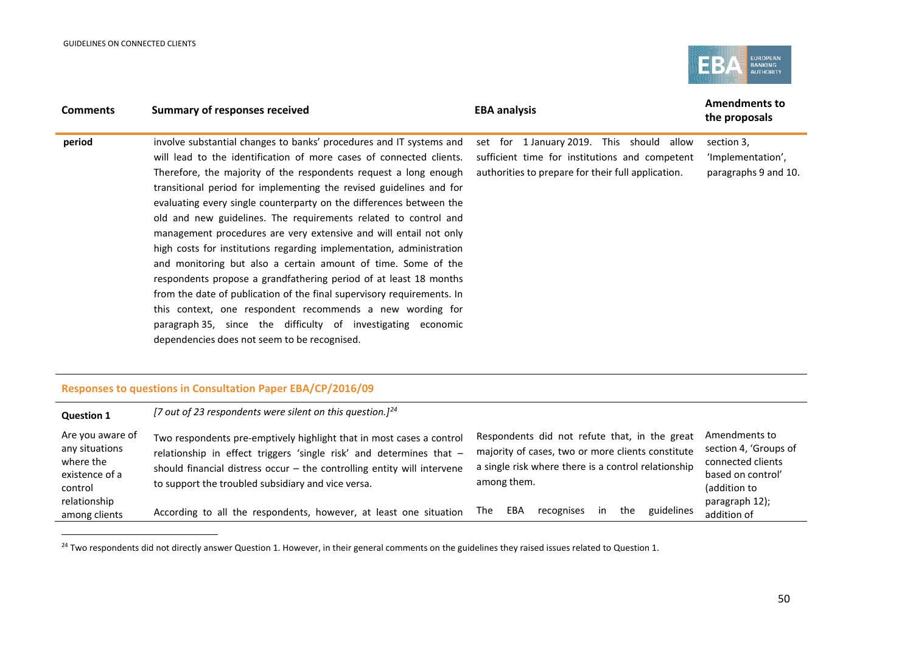j

<span id="page-49-0"></span>

| <b>Comments</b> | <b>Summary of responses received</b>                                                                                                                                                                                                                                                                                                                                                                                                                                                                                                                                                                                                                                                                                                                                                                                                                                                                                                                                      | <b>EBA analysis</b>                                                                                                                                  | <b>Amendments to</b><br>the proposals                   |
|-----------------|---------------------------------------------------------------------------------------------------------------------------------------------------------------------------------------------------------------------------------------------------------------------------------------------------------------------------------------------------------------------------------------------------------------------------------------------------------------------------------------------------------------------------------------------------------------------------------------------------------------------------------------------------------------------------------------------------------------------------------------------------------------------------------------------------------------------------------------------------------------------------------------------------------------------------------------------------------------------------|------------------------------------------------------------------------------------------------------------------------------------------------------|---------------------------------------------------------|
| period          | involve substantial changes to banks' procedures and IT systems and<br>will lead to the identification of more cases of connected clients.<br>Therefore, the majority of the respondents request a long enough<br>transitional period for implementing the revised guidelines and for<br>evaluating every single counterparty on the differences between the<br>old and new guidelines. The requirements related to control and<br>management procedures are very extensive and will entail not only<br>high costs for institutions regarding implementation, administration<br>and monitoring but also a certain amount of time. Some of the<br>respondents propose a grandfathering period of at least 18 months<br>from the date of publication of the final supervisory requirements. In<br>this context, one respondent recommends a new wording for<br>paragraph 35, since the difficulty of investigating economic<br>dependencies does not seem to be recognised. | set for 1 January 2019. This should<br>allow<br>sufficient time for institutions and competent<br>authorities to prepare for their full application. | section 3,<br>'Implementation',<br>paragraphs 9 and 10. |

### **Responses to questions in Consultation Paper EBA/CP/2016/09**

| <b>Question 1</b>                                                            | [7 out of 23 respondents were silent on this question.] <sup>24</sup>                                                                                                                                                                                                          |     |             |                                                                                                                                                           |    |     |            |                                                                                                  |
|------------------------------------------------------------------------------|--------------------------------------------------------------------------------------------------------------------------------------------------------------------------------------------------------------------------------------------------------------------------------|-----|-------------|-----------------------------------------------------------------------------------------------------------------------------------------------------------|----|-----|------------|--------------------------------------------------------------------------------------------------|
| Are you aware of<br>any situations<br>where the<br>existence of a<br>control | Two respondents pre-emptively highlight that in most cases a control<br>relationship in effect triggers 'single risk' and determines that -<br>should financial distress occur $-$ the controlling entity will intervene<br>to support the troubled subsidiary and vice versa. |     | among them. | Respondents did not refute that, in the great<br>majority of cases, two or more clients constitute<br>a single risk where there is a control relationship |    |     |            | Amendments to<br>section 4, 'Groups of<br>connected clients<br>based on control'<br>(addition to |
| relationship<br>among clients                                                | According to all the respondents, however, at least one situation                                                                                                                                                                                                              | The | EBA         | recognises                                                                                                                                                | in | the | guidelines | paragraph 12);<br>addition of                                                                    |

<sup>&</sup>lt;sup>24</sup> Two respondents did not directly answer Question 1. However, in their general comments on the guidelines they raised issues related to Question 1.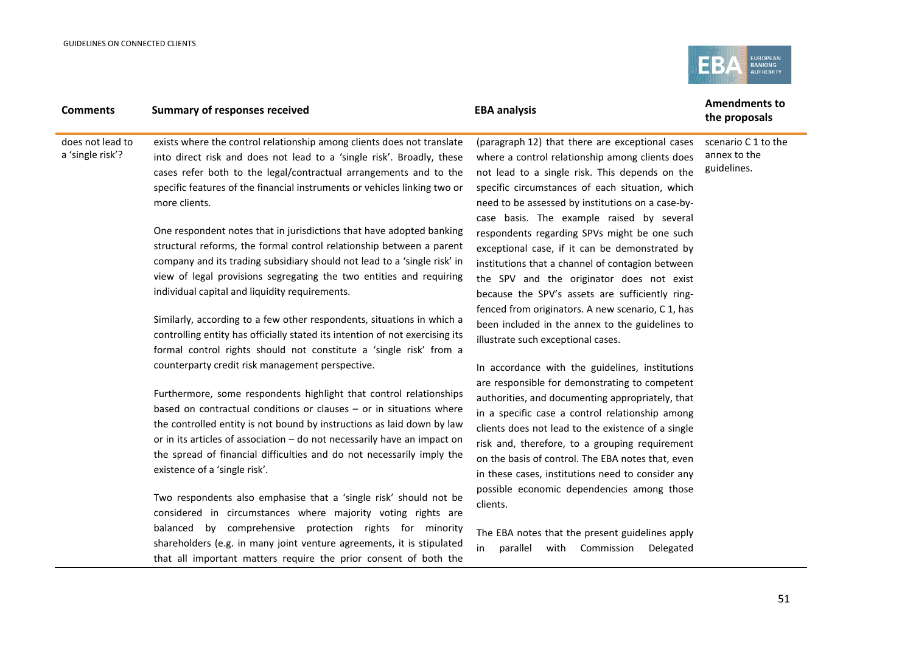

### **Comments Summary of responses received EBA** analysis **EBA** analysis **Amendments to the proposals** does not lead to a 'single risk'? exists where the control relationship among clients does not translate into direct risk and does not lead to a 'single risk'. Broadly, these cases refer both to the legal/contractual arrangements and to the specific features of the financial instruments or vehicles linking two or more clients. One respondent notes that in jurisdictions that have adopted banking structural reforms, the formal control relationship between a parent company and its trading subsidiary should not lead to a 'single risk' in view of legal provisions segregating the two entities and requiring individual capital and liquidity requirements. Similarly, according to a few other respondents, situations in which a controlling entity has officially stated its intention of not exercising its formal control rights should not constitute a 'single risk' from a counterparty credit risk management perspective. Furthermore, some respondents highlight that control relationships based on contractual conditions or clauses – or in situations where (paragraph 12) that there are exceptional cases where a control relationship among clients does not lead to a single risk. This depends on the specific circumstances of each situation, which need to be assessed by institutions on a case-bycase basis. The example raised by several respondents regarding SPVs might be one such exceptional case, if it can be demonstrated by institutions that a channel of contagion between the SPV and the originator does not exist because the SPV's assets are sufficiently ringfenced from originators. A new scenario, C 1, has been included in the annex to the guidelines to illustrate such exceptional cases. In accordance with the guidelines, institutions are responsible for demonstrating to competent authorities, and documenting appropriately, that in a specific case a control relationship among clients does not lead to the existence of a single annex to the guidelines.

the controlled entity is not bound by instructions as laid down by law or in its articles of association – do not necessarily have an impact on the spread of financial difficulties and do not necessarily imply the existence of a 'single risk'.

Two respondents also emphasise that a 'single risk' should not be considered in circumstances where majority voting rights are balanced by comprehensive protection rights for minority shareholders (e.g. in many joint venture agreements, it is stipulated that all important matters require the prior consent of both the

The EBA notes that the present guidelines apply in parallel with Commission Delegated

clients.

risk and, therefore, to a grouping requirement on the basis of control. The EBA notes that, even in these cases, institutions need to consider any possible economic dependencies among those

# scenario C 1 to the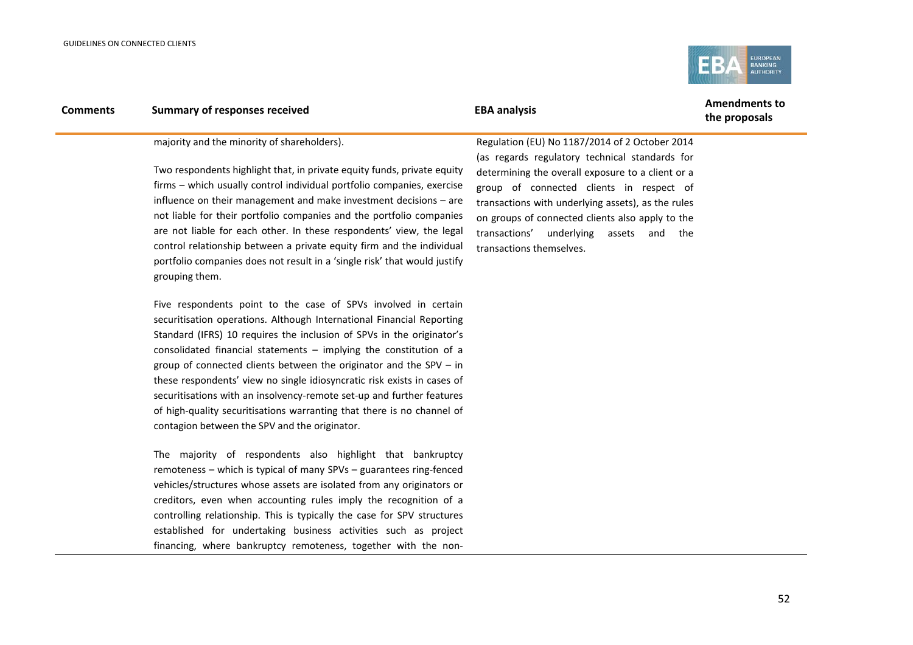

### majority and the minority of shareholders).

Two respondents highlight that, in private equity funds, private equity firms – which usually control individual portfolio companies, exercise influence on their management and make investment decisions – are not liable for their portfolio companies and the portfolio companies are not liable for each other. In these respondents' view, the legal control relationship between a private equity firm and the individual portfolio companies does not result in a 'single risk' that would justify grouping them.

Five respondents point to the case of SPVs involved in certain securitisation operations. Although International Financial Reporting Standard (IFRS) 10 requires the inclusion of SPVs in the originator's consolidated financial statements – implying the constitution of a group of connected clients between the originator and the SPV – in these respondents' view no single idiosyncratic risk exists in cases of securitisations with an insolvency-remote set-up and further features of high-quality securitisations warranting that there is no channel of contagion between the SPV and the originator.

The majority of respondents also highlight that bankruptcy remoteness – which is typical of many SPVs – guarantees ring-fenced vehicles/structures whose assets are isolated from any originators or creditors, even when accounting rules imply the recognition of a controlling relationship. This is typically the case for SPV structures established for undertaking business activities such as project financing, where bankruptcy remoteness, together with the non-

Regulation (EU) No 1187/2014 of 2 October 2014 (as regards regulatory technical standards for determining the overall exposure to a client or a group of connected clients in respect of transactions with underlying assets), as the rules on groups of connected clients also apply to the transactions' underlying assets and the transactions themselves.

**the proposals**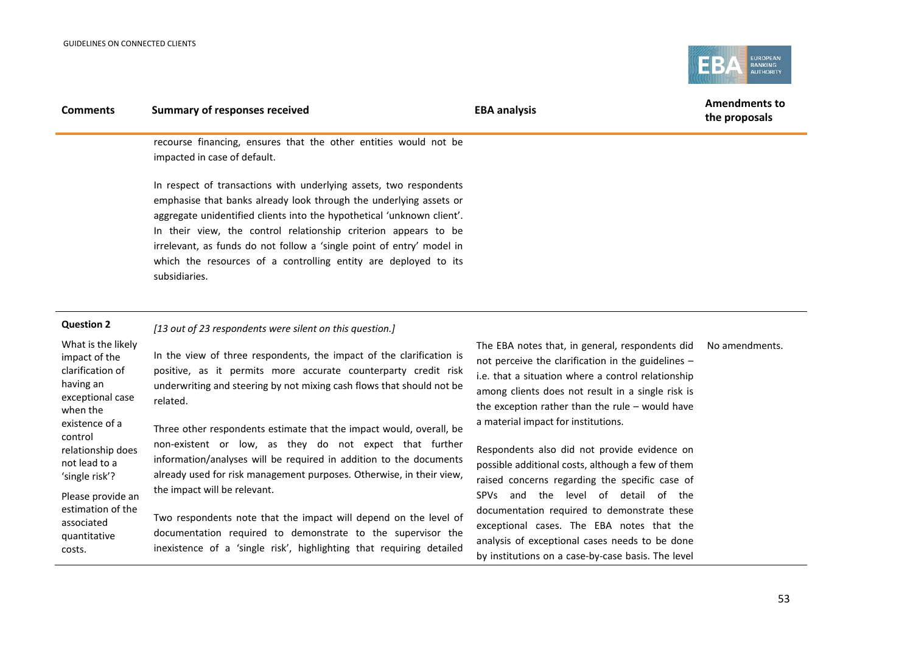

| <b>Comments</b>                                                                                                        | <b>Summary of responses received</b>                                                                                                                                                                                                                                                                                                                                                                                                               | <b>EBA analysis</b>                                                                                                                                                                                                                                                                                          | <b>Amendments to</b><br>the proposals |
|------------------------------------------------------------------------------------------------------------------------|----------------------------------------------------------------------------------------------------------------------------------------------------------------------------------------------------------------------------------------------------------------------------------------------------------------------------------------------------------------------------------------------------------------------------------------------------|--------------------------------------------------------------------------------------------------------------------------------------------------------------------------------------------------------------------------------------------------------------------------------------------------------------|---------------------------------------|
|                                                                                                                        | recourse financing, ensures that the other entities would not be<br>impacted in case of default.                                                                                                                                                                                                                                                                                                                                                   |                                                                                                                                                                                                                                                                                                              |                                       |
|                                                                                                                        | In respect of transactions with underlying assets, two respondents<br>emphasise that banks already look through the underlying assets or<br>aggregate unidentified clients into the hypothetical 'unknown client'.<br>In their view, the control relationship criterion appears to be<br>irrelevant, as funds do not follow a 'single point of entry' model in<br>which the resources of a controlling entity are deployed to its<br>subsidiaries. |                                                                                                                                                                                                                                                                                                              |                                       |
| <b>Question 2</b>                                                                                                      | [13 out of 23 respondents were silent on this question.]                                                                                                                                                                                                                                                                                                                                                                                           |                                                                                                                                                                                                                                                                                                              |                                       |
| What is the likely<br>impact of the<br>clarification of<br>having an<br>exceptional case<br>when the<br>existence of a | In the view of three respondents, the impact of the clarification is<br>positive, as it permits more accurate counterparty credit risk<br>underwriting and steering by not mixing cash flows that should not be<br>related.                                                                                                                                                                                                                        | The EBA notes that, in general, respondents did<br>not perceive the clarification in the guidelines -<br>i.e. that a situation where a control relationship<br>among clients does not result in a single risk is<br>the exception rather than the rule $-$ would have<br>a material impact for institutions. | No amendments.                        |
| control<br>relationship does<br>not lead to a<br>'single risk'?                                                        | Three other respondents estimate that the impact would, overall, be<br>non-existent or low, as they do not expect that further<br>information/analyses will be required in addition to the documents<br>already used for risk management purposes. Otherwise, in their view,                                                                                                                                                                       | Respondents also did not provide evidence on<br>possible additional costs, although a few of them<br>raised concerns regarding the snecific case of                                                                                                                                                          |                                       |

Please provide an estimation of the associated quantitative costs.

already used for risk management purposes. Otherwise, in their view, the impact will be relevant.

Two respondents note that the impact will depend on the level of documentation required to demonstrate to the supervisor the inexistence of a 'single risk', highlighting that requiring detailed

possible additional costs, although a few of them raised concerns regarding the specific case of SPVs and the level of detail of the documentation required to demonstrate these exceptional cases. The EBA notes that the analysis of exceptional cases needs to be done by institutions on a case-by-case basis. The level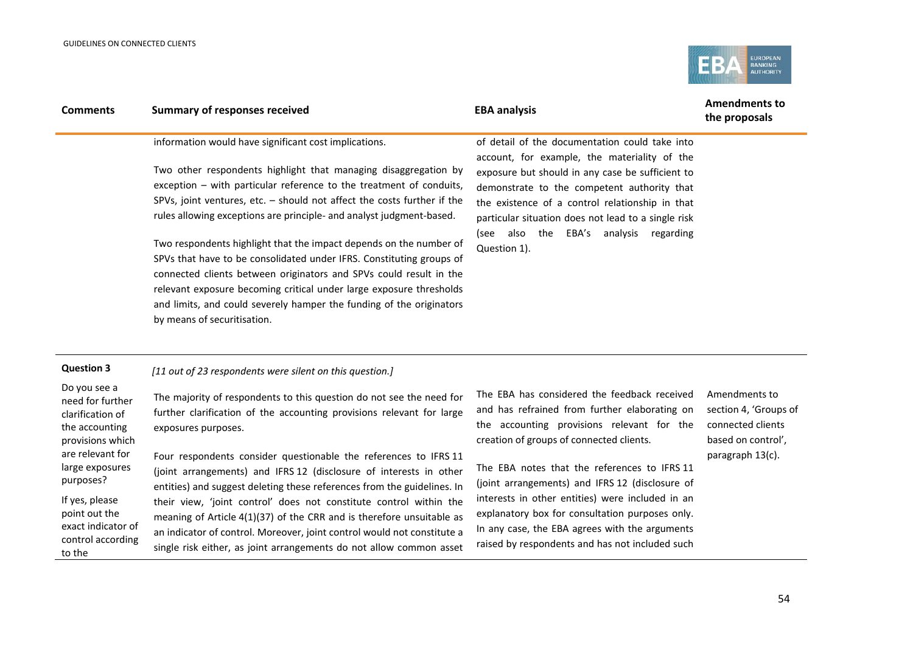

| <b>Comments</b>                                                                                                                                                                                                                        | <b>Summary of responses received</b>                                                                                                                                                                                                                                                                                                                                                                                                                                                                                                                                                                                                                                                                                                                   | <b>EBA analysis</b>                                                                                                                                                                                                                                                                                                                                                                                                                                                                                    | <b>Amendments to</b><br>the proposals                                                                 |
|----------------------------------------------------------------------------------------------------------------------------------------------------------------------------------------------------------------------------------------|--------------------------------------------------------------------------------------------------------------------------------------------------------------------------------------------------------------------------------------------------------------------------------------------------------------------------------------------------------------------------------------------------------------------------------------------------------------------------------------------------------------------------------------------------------------------------------------------------------------------------------------------------------------------------------------------------------------------------------------------------------|--------------------------------------------------------------------------------------------------------------------------------------------------------------------------------------------------------------------------------------------------------------------------------------------------------------------------------------------------------------------------------------------------------------------------------------------------------------------------------------------------------|-------------------------------------------------------------------------------------------------------|
|                                                                                                                                                                                                                                        | information would have significant cost implications.<br>Two other respondents highlight that managing disaggregation by<br>exception - with particular reference to the treatment of conduits,<br>SPVs, joint ventures, etc. $-$ should not affect the costs further if the<br>rules allowing exceptions are principle- and analyst judgment-based.<br>Two respondents highlight that the impact depends on the number of<br>SPVs that have to be consolidated under IFRS. Constituting groups of<br>connected clients between originators and SPVs could result in the<br>relevant exposure becoming critical under large exposure thresholds<br>and limits, and could severely hamper the funding of the originators<br>by means of securitisation. | of detail of the documentation could take into<br>account, for example, the materiality of the<br>exposure but should in any case be sufficient to<br>demonstrate to the competent authority that<br>the existence of a control relationship in that<br>particular situation does not lead to a single risk<br>(see also the EBA's analysis regarding<br>Question 1).                                                                                                                                  |                                                                                                       |
| <b>Question 3</b>                                                                                                                                                                                                                      | [11 out of 23 respondents were silent on this question.]                                                                                                                                                                                                                                                                                                                                                                                                                                                                                                                                                                                                                                                                                               |                                                                                                                                                                                                                                                                                                                                                                                                                                                                                                        |                                                                                                       |
| Do you see a<br>need for further<br>clarification of<br>the accounting<br>provisions which<br>are relevant for<br>large exposures<br>purposes?<br>If yes, please<br>point out the<br>exact indicator of<br>control according<br>to the | The majority of respondents to this question do not see the need for<br>further clarification of the accounting provisions relevant for large<br>exposures purposes.<br>Four respondents consider questionable the references to IFRS 11<br>(joint arrangements) and IFRS 12 (disclosure of interests in other<br>entities) and suggest deleting these references from the guidelines. In<br>their view, 'joint control' does not constitute control within the<br>meaning of Article 4(1)(37) of the CRR and is therefore unsuitable as<br>an indicator of control. Moreover, joint control would not constitute a<br>single risk either, as joint arrangements do not allow common asset                                                             | The EBA has considered the feedback received<br>and has refrained from further elaborating on<br>the accounting provisions relevant for the<br>creation of groups of connected clients.<br>The EBA notes that the references to IFRS 11<br>(joint arrangements) and IFRS 12 (disclosure of<br>interests in other entities) were included in an<br>explanatory box for consultation purposes only.<br>In any case, the EBA agrees with the arguments<br>raised by respondents and has not included such | Amendments to<br>section 4, 'Groups of<br>connected clients<br>based on control',<br>paragraph 13(c). |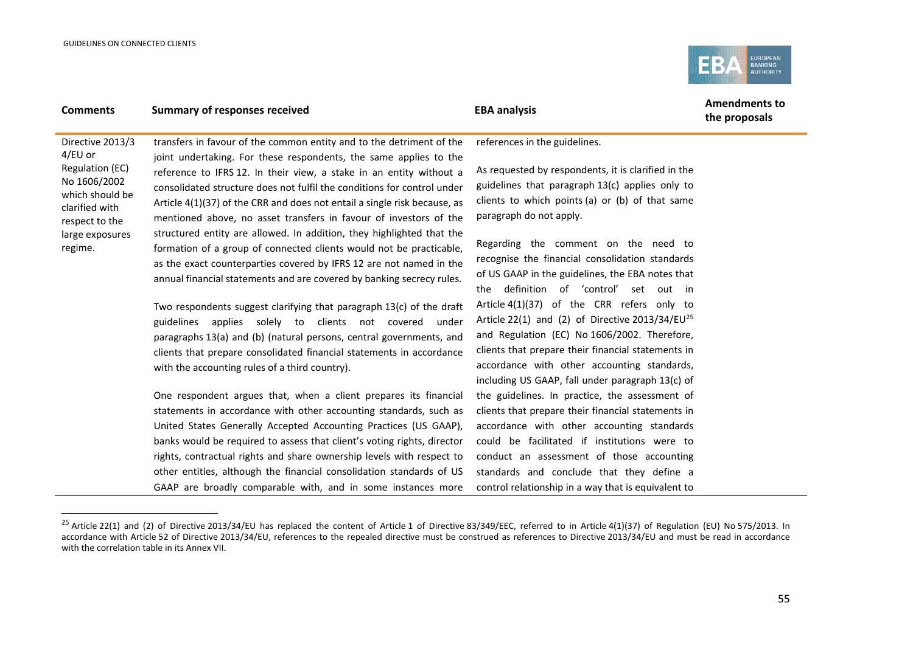j

<span id="page-54-0"></span>

## **Comments Summary of responses received EBA** analysis **EBA** analysis **Amendments to**

**the proposals**

Directive 2013/3 4/EU or Regulation (EC) No 1606/2002 which should be clarified with respect to the large exposures regime. transfers in favour of the common entity and to the detriment of the joint undertaking. For these respondents, the same applies to the reference to IFRS 12. In their view, a stake in an entity without a consolidated structure does not fulfil the conditions for control under Article 4(1)(37) of the CRR and does not entail a single risk because, as mentioned above, no asset transfers in favour of investors of the structured entity are allowed. In addition, they highlighted that the formation of a group of connected clients would not be practicable, as the exact counterparties covered by IFRS 12 are not named in the annual financial statements and are covered by banking secrecy rules.

> Two respondents suggest clarifying that paragraph 13(c) of the draft guidelines applies solely to clients not covered under paragraphs 13(a) and (b) (natural persons, central governments, and clients that prepare consolidated financial statements in accordance with the accounting rules of a third country).

> One respondent argues that, when a client prepares its financial statements in accordance with other accounting standards, such as United States Generally Accepted Accounting Practices (US GAAP), banks would be required to assess that client's voting rights, director rights, contractual rights and share ownership levels with respect to other entities, although the financial consolidation standards of US GAAP are broadly comparable with, and in some instances more

references in the guidelines.

As requested by respondents, it is clarified in the guidelines that paragraph 13(c) applies only to clients to which points (a) or (b) of that same paragraph do not apply.

Regarding the comment on the need to recognise the financial consolidation standards of US GAAP in the guidelines, the EBA notes that the definition of 'control' set out in Article 4(1)(37) of the CRR refers only to Article 22(1) and (2) of Directive 2013/34/EU<sup>[25](#page-54-0)</sup> and Regulation (EC) No 1606/2002. Therefore, clients that prepare their financial statements in accordance with other accounting standards, including US GAAP, fall under paragraph 13(c) of the guidelines. In practice, the assessment of clients that prepare their financial statements in accordance with other accounting standards could be facilitated if institutions were to conduct an assessment of those accounting standards and conclude that they define a control relationship in a way that is equivalent to

<sup>&</sup>lt;sup>25</sup> Article 22(1) and (2) of Directive 2013/34/EU has replaced the content of Article 1 of Directive 83/349/EEC, referred to in Article 4(1)(37) of Regulation (EU) No 575/2013. In accordance with Article 52 of Directive 2013/34/EU, references to the repealed directive must be construed as references to Directive 2013/34/EU and must be read in accordance with the correlation table in its Annex VII.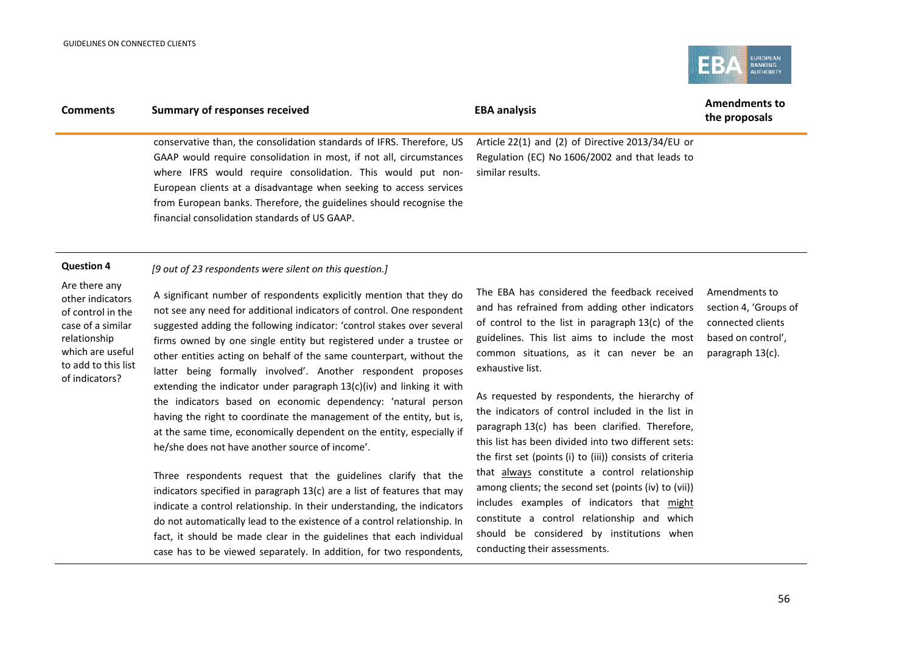

| <b>Comments</b>                    | <b>Summary of responses received</b>                                                                                                                                                                                                                                                                                                                                                                      | <b>EBA analysis</b>                                                                                                    | <b>Amendments to</b><br>the proposals |  |
|------------------------------------|-----------------------------------------------------------------------------------------------------------------------------------------------------------------------------------------------------------------------------------------------------------------------------------------------------------------------------------------------------------------------------------------------------------|------------------------------------------------------------------------------------------------------------------------|---------------------------------------|--|
|                                    | conservative than, the consolidation standards of IFRS. Therefore, US<br>GAAP would require consolidation in most, if not all, circumstances<br>where IFRS would require consolidation. This would put non-<br>European clients at a disadvantage when seeking to access services<br>from European banks. Therefore, the guidelines should recognise the<br>financial consolidation standards of US GAAP. | Article 22(1) and (2) of Directive 2013/34/EU or<br>Regulation (EC) No 1606/2002 and that leads to<br>similar results. |                                       |  |
| <b>Question 4</b><br>Are there any | [9 out of 23 respondents were silent on this question.]                                                                                                                                                                                                                                                                                                                                                   | The EBA has considered the feedback received                                                                           |                                       |  |
| athar indicatare                   | A significant number of respondents explicitly mention that they do                                                                                                                                                                                                                                                                                                                                       |                                                                                                                        | Amendments to                         |  |

other indicators of control in the case of a similar relationship which are useful to add to this list of indicators?

A significant number of respondents explicitly mention that they do not see any need for additional indicators of control. One respondent suggested adding the following indicator: 'control stakes over several firms owned by one single entity but registered under a trustee or other entities acting on behalf of the same counterpart, without the latter being formally involved'. Another respondent proposes extending the indicator under paragraph 13(c)(iv) and linking it with the indicators based on economic dependency: 'natural person having the right to coordinate the management of the entity, but is, at the same time, economically dependent on the entity, especially if he/she does not have another source of income'.

Three respondents request that the guidelines clarify that the indicators specified in paragraph 13(c) are a list of features that may indicate a control relationship. In their understanding, the indicators do not automatically lead to the existence of a control relationship. In fact, it should be made clear in the guidelines that each individual case has to be viewed separately. In addition, for two respondents,

The EBA has considered the feedback received and has refrained from adding other indicators of control to the list in paragraph 13(c) of the guidelines. This list aims to include the most common situations, as it can never be an exhaustive list.

As requested by respondents, the hierarchy of the indicators of control included in the list in paragraph 13(c) has been clarified. Therefore, this list has been divided into two different sets: the first set (points (i) to (iii)) consists of criteria that always constitute a control relationship among clients; the second set (points (iv) to (vii)) includes examples of indicators that might constitute a control relationship and which should be considered by institutions when conducting their assessments.

section 4, 'Groups of connected clients based on control', paragraph 13(c).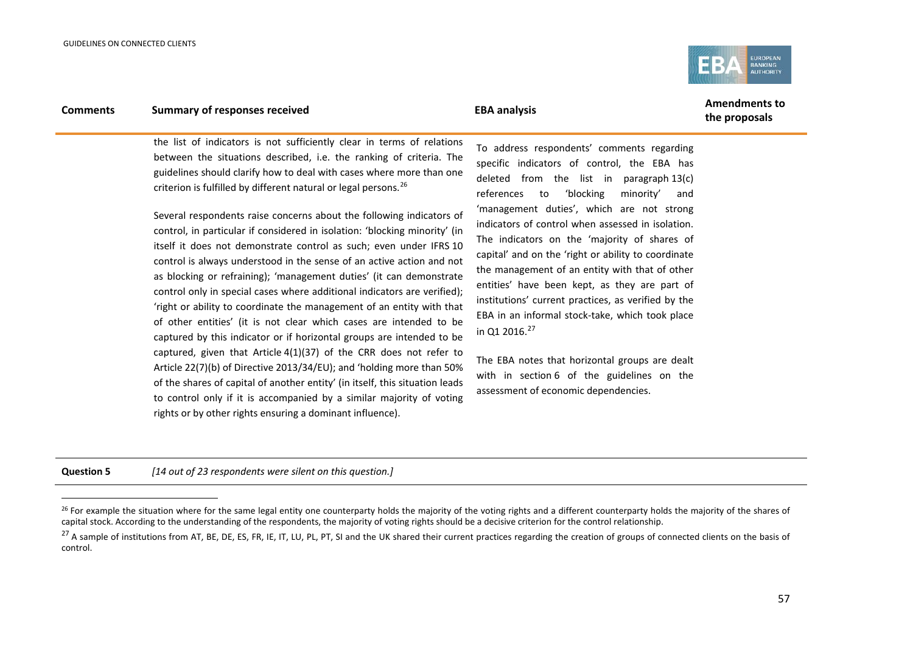j

<span id="page-56-1"></span><span id="page-56-0"></span>

## **Comments Summary of responses received EBA analysis EBA analysis EBA EBA** analysis

**the proposals**

the list of indicators is not sufficiently clear in terms of relations between the situations described, i.e. the ranking of criteria. The guidelines should clarify how to deal with cases where more than one criterion is fulfilled by different natural or legal persons.[26](#page-56-0)

Several respondents raise concerns about the following indicators of control, in particular if considered in isolation: 'blocking minority' (in itself it does not demonstrate control as such; even under IFRS 10 control is always understood in the sense of an active action and not as blocking or refraining); 'management duties' (it can demonstrate control only in special cases where additional indicators are verified); 'right or ability to coordinate the management of an entity with that of other entities' (it is not clear which cases are intended to be captured by this indicator or if horizontal groups are intended to be captured, given that Article 4(1)(37) of the CRR does not refer to Article 22(7)(b) of Directive 2013/34/EU); and 'holding more than 50% of the shares of capital of another entity' (in itself, this situation leads to control only if it is accompanied by a similar majority of voting rights or by other rights ensuring a dominant influence).

To address respondents' comments regarding specific indicators of control, the EBA has deleted from the list in paragraph 13(c) references to 'blocking minority' and 'management duties', which are not strong indicators of control when assessed in isolation. The indicators on the 'majority of shares of capital' and on the 'right or ability to coordinate the management of an entity with that of other entities' have been kept, as they are part of institutions' current practices, as verified by the EBA in an informal stock-take, which took place in Q1 2016. $^{27}$  $^{27}$  $^{27}$ 

The EBA notes that horizontal groups are dealt with in section 6 of the guidelines on the assessment of economic dependencies.

**Question 5** *[14 out of 23 respondents were silent on this question.]*

<sup>&</sup>lt;sup>26</sup> For example the situation where for the same legal entity one counterparty holds the majority of the voting rights and a different counterparty holds the majority of the shares of capital stock. According to the understanding of the respondents, the majority of voting rights should be a decisive criterion for the control relationship.

<sup>&</sup>lt;sup>27</sup> A sample of institutions from AT, BE, DE, ES, FR, IE, IT, LU, PL, PT, SI and the UK shared their current practices regarding the creation of groups of connected clients on the basis of control.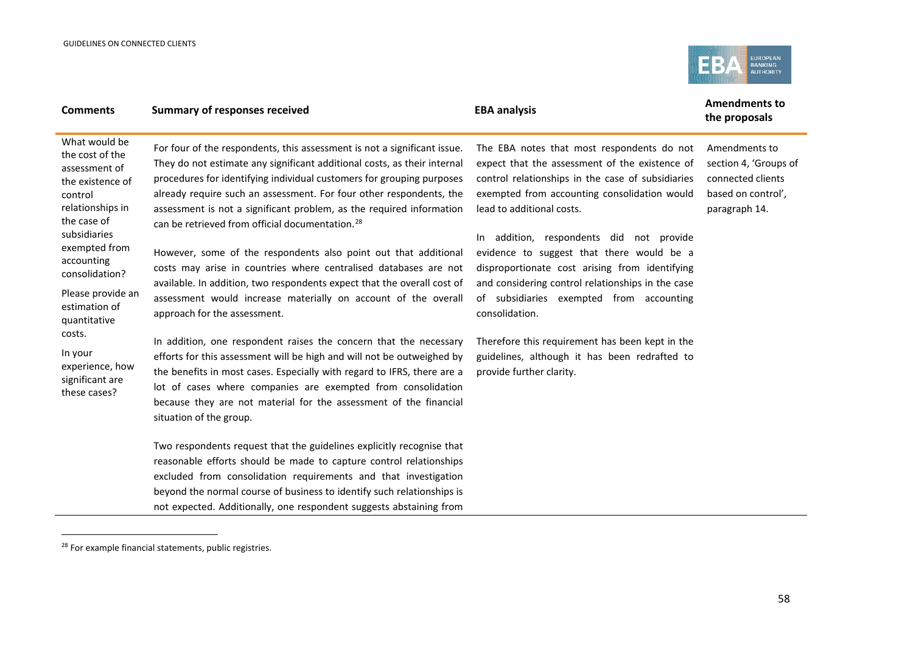<span id="page-57-0"></span>

| <b>Comments</b>                                                                                                                                                                                                                                                                                                       | <b>Summary of responses received</b>                                                                                                                                                                                                                                                                                                                                                                                                                                                                                                                                                                                                                                                                                                                                                                                                                                                                                                                                                                                                                                                                                                                                                                                                                                                                                                                                                                                                                  | <b>EBA analysis</b>                                                                                                                                                                                                                                                                                                                                                                                                                                                                                                                                                                                                          | <b>Amendments to</b><br>the proposals                                                              |  |
|-----------------------------------------------------------------------------------------------------------------------------------------------------------------------------------------------------------------------------------------------------------------------------------------------------------------------|-------------------------------------------------------------------------------------------------------------------------------------------------------------------------------------------------------------------------------------------------------------------------------------------------------------------------------------------------------------------------------------------------------------------------------------------------------------------------------------------------------------------------------------------------------------------------------------------------------------------------------------------------------------------------------------------------------------------------------------------------------------------------------------------------------------------------------------------------------------------------------------------------------------------------------------------------------------------------------------------------------------------------------------------------------------------------------------------------------------------------------------------------------------------------------------------------------------------------------------------------------------------------------------------------------------------------------------------------------------------------------------------------------------------------------------------------------|------------------------------------------------------------------------------------------------------------------------------------------------------------------------------------------------------------------------------------------------------------------------------------------------------------------------------------------------------------------------------------------------------------------------------------------------------------------------------------------------------------------------------------------------------------------------------------------------------------------------------|----------------------------------------------------------------------------------------------------|--|
| What would be<br>the cost of the<br>assessment of<br>the existence of<br>control<br>relationships in<br>the case of<br>subsidiaries<br>exempted from<br>accounting<br>consolidation?<br>Please provide an<br>estimation of<br>quantitative<br>costs.<br>In your<br>experience, how<br>significant are<br>these cases? | For four of the respondents, this assessment is not a significant issue.<br>They do not estimate any significant additional costs, as their internal<br>procedures for identifying individual customers for grouping purposes<br>already require such an assessment. For four other respondents, the<br>assessment is not a significant problem, as the required information<br>can be retrieved from official documentation. <sup>28</sup><br>However, some of the respondents also point out that additional<br>costs may arise in countries where centralised databases are not<br>available. In addition, two respondents expect that the overall cost of<br>assessment would increase materially on account of the overall<br>approach for the assessment.<br>In addition, one respondent raises the concern that the necessary<br>efforts for this assessment will be high and will not be outweighed by<br>the benefits in most cases. Especially with regard to IFRS, there are a<br>lot of cases where companies are exempted from consolidation<br>because they are not material for the assessment of the financial<br>situation of the group.<br>Two respondents request that the guidelines explicitly recognise that<br>reasonable efforts should be made to capture control relationships<br>excluded from consolidation requirements and that investigation<br>beyond the normal course of business to identify such relationships is | The EBA notes that most respondents do not<br>expect that the assessment of the existence of<br>control relationships in the case of subsidiaries<br>exempted from accounting consolidation would<br>lead to additional costs.<br>In addition, respondents did not provide<br>evidence to suggest that there would be a<br>disproportionate cost arising from identifying<br>and considering control relationships in the case<br>of subsidiaries exempted from accounting<br>consolidation.<br>Therefore this requirement has been kept in the<br>guidelines, although it has been redrafted to<br>provide further clarity. | Amendments to<br>section 4, 'Groups of<br>connected clients<br>based on control',<br>paragraph 14. |  |
|                                                                                                                                                                                                                                                                                                                       | not expected. Additionally, one respondent suggests abstaining from                                                                                                                                                                                                                                                                                                                                                                                                                                                                                                                                                                                                                                                                                                                                                                                                                                                                                                                                                                                                                                                                                                                                                                                                                                                                                                                                                                                   |                                                                                                                                                                                                                                                                                                                                                                                                                                                                                                                                                                                                                              |                                                                                                    |  |

<sup>&</sup>lt;sup>28</sup> For example financial statements, public registries.

 $\overline{\phantom{a}}$ 

j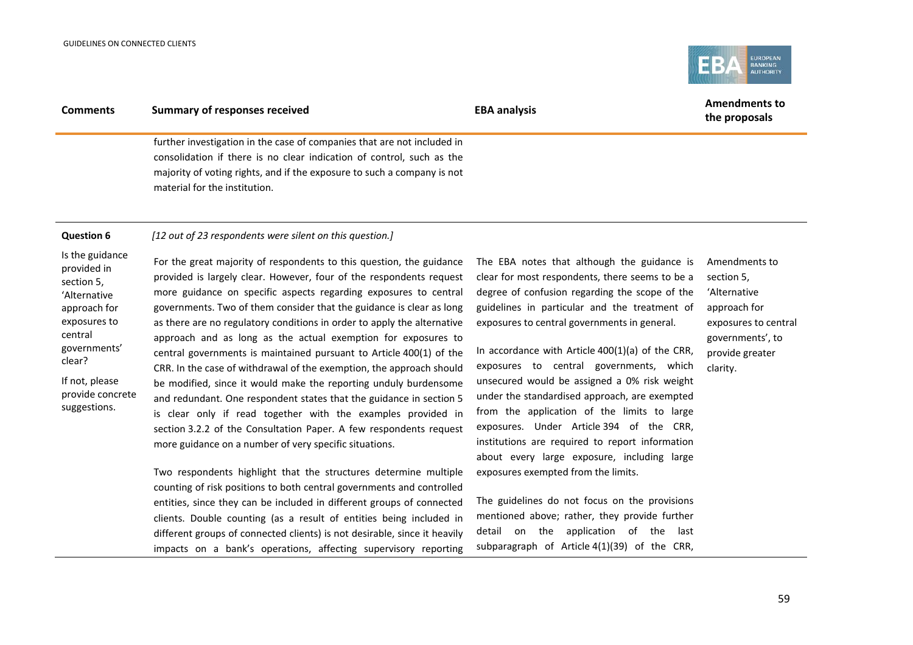

| <b>Comments</b>                                                                                                                                                                         | <b>Summary of responses received</b>                                                                                                                                                                                                                                                                                                                                                                                                                                                                                                                                                                                                                                                                                                                                                                                                                                                                                                                                                                                                                                       | <b>EBA analysis</b>                                                                                                                                                                                                                                                                                                                                                                                                                                                                                                                                                                                                                                                                   | <b>Amendments to</b><br>the proposals                                                                                                  |  |
|-----------------------------------------------------------------------------------------------------------------------------------------------------------------------------------------|----------------------------------------------------------------------------------------------------------------------------------------------------------------------------------------------------------------------------------------------------------------------------------------------------------------------------------------------------------------------------------------------------------------------------------------------------------------------------------------------------------------------------------------------------------------------------------------------------------------------------------------------------------------------------------------------------------------------------------------------------------------------------------------------------------------------------------------------------------------------------------------------------------------------------------------------------------------------------------------------------------------------------------------------------------------------------|---------------------------------------------------------------------------------------------------------------------------------------------------------------------------------------------------------------------------------------------------------------------------------------------------------------------------------------------------------------------------------------------------------------------------------------------------------------------------------------------------------------------------------------------------------------------------------------------------------------------------------------------------------------------------------------|----------------------------------------------------------------------------------------------------------------------------------------|--|
|                                                                                                                                                                                         | further investigation in the case of companies that are not included in<br>consolidation if there is no clear indication of control, such as the<br>majority of voting rights, and if the exposure to such a company is not<br>material for the institution.                                                                                                                                                                                                                                                                                                                                                                                                                                                                                                                                                                                                                                                                                                                                                                                                               |                                                                                                                                                                                                                                                                                                                                                                                                                                                                                                                                                                                                                                                                                       |                                                                                                                                        |  |
| <b>Question 6</b>                                                                                                                                                                       | [12 out of 23 respondents were silent on this question.]                                                                                                                                                                                                                                                                                                                                                                                                                                                                                                                                                                                                                                                                                                                                                                                                                                                                                                                                                                                                                   |                                                                                                                                                                                                                                                                                                                                                                                                                                                                                                                                                                                                                                                                                       |                                                                                                                                        |  |
| Is the guidance<br>provided in<br>section 5,<br>'Alternative<br>approach for<br>exposures to<br>central<br>governments'<br>clear?<br>If not, please<br>provide concrete<br>suggestions. | For the great majority of respondents to this question, the guidance<br>provided is largely clear. However, four of the respondents request<br>more guidance on specific aspects regarding exposures to central<br>governments. Two of them consider that the guidance is clear as long<br>as there are no regulatory conditions in order to apply the alternative<br>approach and as long as the actual exemption for exposures to<br>central governments is maintained pursuant to Article 400(1) of the<br>CRR. In the case of withdrawal of the exemption, the approach should<br>be modified, since it would make the reporting unduly burdensome<br>and redundant. One respondent states that the guidance in section 5<br>is clear only if read together with the examples provided in<br>section 3.2.2 of the Consultation Paper. A few respondents request<br>more guidance on a number of very specific situations.<br>Two respondents highlight that the structures determine multiple<br>counting of risk positions to both central governments and controlled | The EBA notes that although the guidance is<br>clear for most respondents, there seems to be a<br>degree of confusion regarding the scope of the<br>guidelines in particular and the treatment of<br>exposures to central governments in general.<br>In accordance with Article 400(1)(a) of the CRR,<br>exposures to central governments, which<br>unsecured would be assigned a 0% risk weight<br>under the standardised approach, are exempted<br>from the application of the limits to large<br>exposures. Under Article 394 of the CRR,<br>institutions are required to report information<br>about every large exposure, including large<br>exposures exempted from the limits. | Amendments to<br>section 5,<br>'Alternative<br>approach for<br>exposures to central<br>governments', to<br>provide greater<br>clarity. |  |
|                                                                                                                                                                                         | entities, since they can be included in different groups of connected<br>clients. Double counting (as a result of entities being included in<br>different groups of connected clients) is not desirable, since it heavily                                                                                                                                                                                                                                                                                                                                                                                                                                                                                                                                                                                                                                                                                                                                                                                                                                                  | The guidelines do not focus on the provisions<br>mentioned above; rather, they provide further<br>detail on the application of the<br>last                                                                                                                                                                                                                                                                                                                                                                                                                                                                                                                                            |                                                                                                                                        |  |
|                                                                                                                                                                                         | impacts on a bank's operations, affecting supervisory reporting                                                                                                                                                                                                                                                                                                                                                                                                                                                                                                                                                                                                                                                                                                                                                                                                                                                                                                                                                                                                            | subparagraph of Article 4(1)(39) of the CRR,                                                                                                                                                                                                                                                                                                                                                                                                                                                                                                                                                                                                                                          |                                                                                                                                        |  |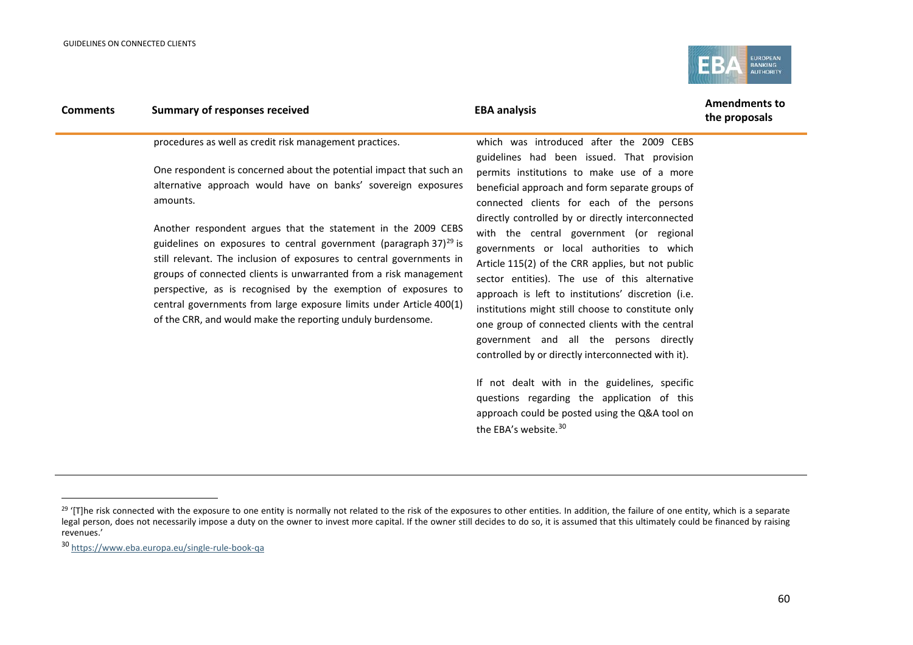<span id="page-59-1"></span><span id="page-59-0"></span>

| <b>Comments</b> | <b>Summary of responses received</b>                                                                                                                                                                                                                                                                                                                                                                                                                                                                                                                                                                                                                                                                         | <b>EBA analysis</b>                                                                                                                                                                                                                                                                                                                                                                                                                                                                                                                                                                                                                                                                                | <b>Amendments to</b><br>the proposals |
|-----------------|--------------------------------------------------------------------------------------------------------------------------------------------------------------------------------------------------------------------------------------------------------------------------------------------------------------------------------------------------------------------------------------------------------------------------------------------------------------------------------------------------------------------------------------------------------------------------------------------------------------------------------------------------------------------------------------------------------------|----------------------------------------------------------------------------------------------------------------------------------------------------------------------------------------------------------------------------------------------------------------------------------------------------------------------------------------------------------------------------------------------------------------------------------------------------------------------------------------------------------------------------------------------------------------------------------------------------------------------------------------------------------------------------------------------------|---------------------------------------|
|                 | procedures as well as credit risk management practices.<br>One respondent is concerned about the potential impact that such an<br>alternative approach would have on banks' sovereign exposures<br>amounts.<br>Another respondent argues that the statement in the 2009 CEBS<br>guidelines on exposures to central government (paragraph 37) $^{29}$ is<br>still relevant. The inclusion of exposures to central governments in<br>groups of connected clients is unwarranted from a risk management<br>perspective, as is recognised by the exemption of exposures to<br>central governments from large exposure limits under Article 400(1)<br>of the CRR, and would make the reporting unduly burdensome. | which was introduced after the 2009 CEBS<br>guidelines had been issued. That provision<br>permits institutions to make use of a more<br>beneficial approach and form separate groups of<br>connected clients for each of the persons<br>directly controlled by or directly interconnected<br>with the central government (or regional<br>governments or local authorities to which<br>Article 115(2) of the CRR applies, but not public<br>sector entities). The use of this alternative<br>approach is left to institutions' discretion (i.e.<br>institutions might still choose to constitute only<br>one group of connected clients with the central<br>government and all the persons directly |                                       |
|                 |                                                                                                                                                                                                                                                                                                                                                                                                                                                                                                                                                                                                                                                                                                              |                                                                                                                                                                                                                                                                                                                                                                                                                                                                                                                                                                                                                                                                                                    |                                       |

If not dealt with in the guidelines, specific questions regarding the application of this approach could be posted using the Q&A tool on the EBA's website.<sup>[30](#page-59-1)</sup>

controlled by or directly interconnected with it).

j

<sup>&</sup>lt;sup>29</sup> '[T]he risk connected with the exposure to one entity is normally not related to the risk of the exposures to other entities. In addition, the failure of one entity, which is a separate legal person, does not necessarily impose a duty on the owner to invest more capital. If the owner still decides to do so, it is assumed that this ultimately could be financed by raising revenues.'

<sup>30</sup> <https://www.eba.europa.eu/single-rule-book-qa>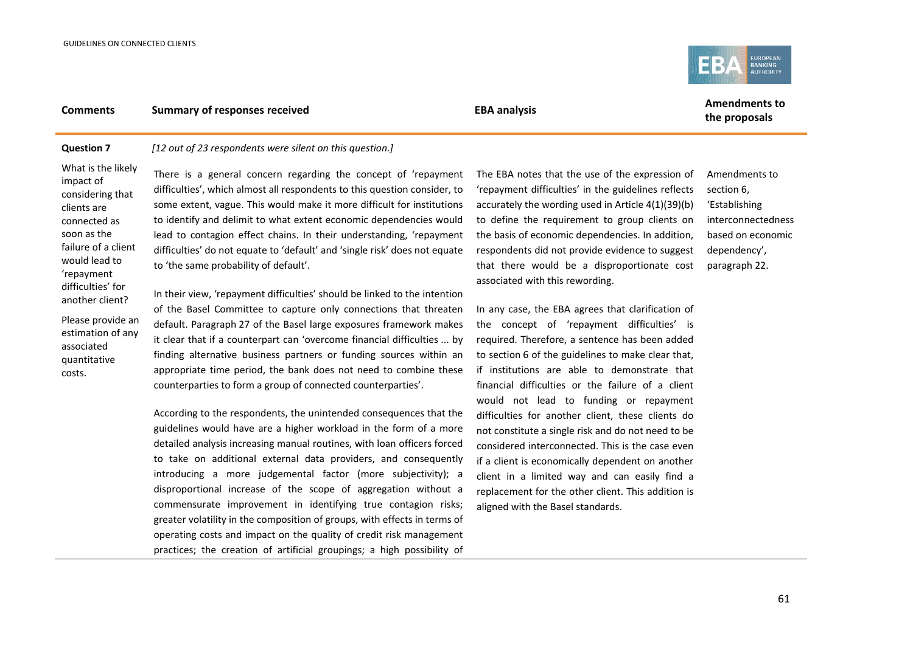

## **Comments Summary of responses received EBA** analysis **EBA** analysis **Amendments to**

## **the proposals**

### **Question 7** *[12 out of 23 respondents were silent on this question.]*

What is the likely impact of considering that clients are connected as soon as the failure of a client would lead to 'repayment difficulties' for another client?

associated quantitative costs.

There is a general concern regarding the concept of 'repayment difficulties', which almost all respondents to this question consider, to some extent, vague. This would make it more difficult for institutions to identify and delimit to what extent economic dependencies would lead to contagion effect chains. In their understanding, 'repayment difficulties' do not equate to 'default' and 'single risk' does not equate to 'the same probability of default'.

Please provide an estimation of any In their view, 'repayment difficulties' should be linked to the intention of the Basel Committee to capture only connections that threaten default. Paragraph 27 of the Basel large exposures framework makes it clear that if a counterpart can 'overcome financial difficulties ... by finding alternative business partners or funding sources within an appropriate time period, the bank does not need to combine these counterparties to form a group of connected counterparties'.

> According to the respondents, the unintended consequences that the guidelines would have are a higher workload in the form of a more detailed analysis increasing manual routines, with loan officers forced to take on additional external data providers, and consequently introducing a more judgemental factor (more subjectivity); a disproportional increase of the scope of aggregation without a commensurate improvement in identifying true contagion risks; greater volatility in the composition of groups, with effects in terms of operating costs and impact on the quality of credit risk management practices; the creation of artificial groupings; a high possibility of

The EBA notes that the use of the expression of 'repayment difficulties' in the guidelines reflects accurately the wording used in Article 4(1)(39)(b) to define the requirement to group clients on the basis of economic dependencies. In addition, respondents did not provide evidence to suggest that there would be a disproportionate cost associated with this rewording.

In any case, the EBA agrees that clarification of the concept of 'repayment difficulties' is required. Therefore, a sentence has been added to section 6 of the guidelines to make clear that, if institutions are able to demonstrate that financial difficulties or the failure of a client would not lead to funding or repayment difficulties for another client, these clients do not constitute a single risk and do not need to be considered interconnected. This is the case even if a client is economically dependent on another client in a limited way and can easily find a replacement for the other client. This addition is aligned with the Basel standards.

Amendments to section 6, 'Establishing interconnectedness based on economic dependency', paragraph 22.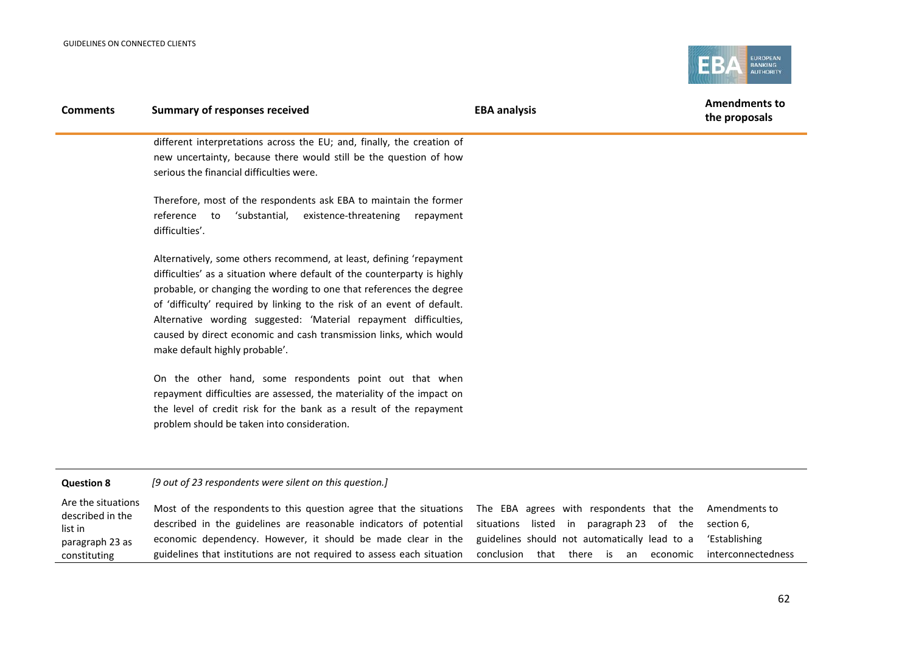

| <b>Comments</b>   | <b>Summary of responses received</b>                                                                                                                                                                                                                                                                                                                                                                                                                                          | <b>EBA analysis</b> | <b>Amendments to</b><br>the proposals |
|-------------------|-------------------------------------------------------------------------------------------------------------------------------------------------------------------------------------------------------------------------------------------------------------------------------------------------------------------------------------------------------------------------------------------------------------------------------------------------------------------------------|---------------------|---------------------------------------|
|                   | different interpretations across the EU; and, finally, the creation of<br>new uncertainty, because there would still be the question of how<br>serious the financial difficulties were.                                                                                                                                                                                                                                                                                       |                     |                                       |
|                   | Therefore, most of the respondents ask EBA to maintain the former<br>reference<br>'substantial,<br>existence-threatening<br>to<br>repayment<br>difficulties'.                                                                                                                                                                                                                                                                                                                 |                     |                                       |
|                   | Alternatively, some others recommend, at least, defining 'repayment<br>difficulties' as a situation where default of the counterparty is highly<br>probable, or changing the wording to one that references the degree<br>of 'difficulty' required by linking to the risk of an event of default.<br>Alternative wording suggested: 'Material repayment difficulties,<br>caused by direct economic and cash transmission links, which would<br>make default highly probable'. |                     |                                       |
|                   | On the other hand, some respondents point out that when<br>repayment difficulties are assessed, the materiality of the impact on<br>the level of credit risk for the bank as a result of the repayment<br>problem should be taken into consideration.                                                                                                                                                                                                                         |                     |                                       |
| <b>Question 8</b> | [9 out of 23 respondents were silent on this question.]                                                                                                                                                                                                                                                                                                                                                                                                                       |                     |                                       |

| Are the situations<br>described in the | Most of the respondents to this question agree that the situations The EBA agrees with respondents that the Amendments to |                                                               |
|----------------------------------------|---------------------------------------------------------------------------------------------------------------------------|---------------------------------------------------------------|
| list in                                | described in the guidelines are reasonable indicators of potential situations listed in paragraph 23 of the section 6,    |                                                               |
| paragraph 23 as                        | economic dependency. However, it should be made clear in the guidelines should not automatically lead to a 'Establishing  |                                                               |
| constituting                           | guidelines that institutions are not required to assess each situation                                                    | conclusion that there is an<br>economic<br>interconnectedness |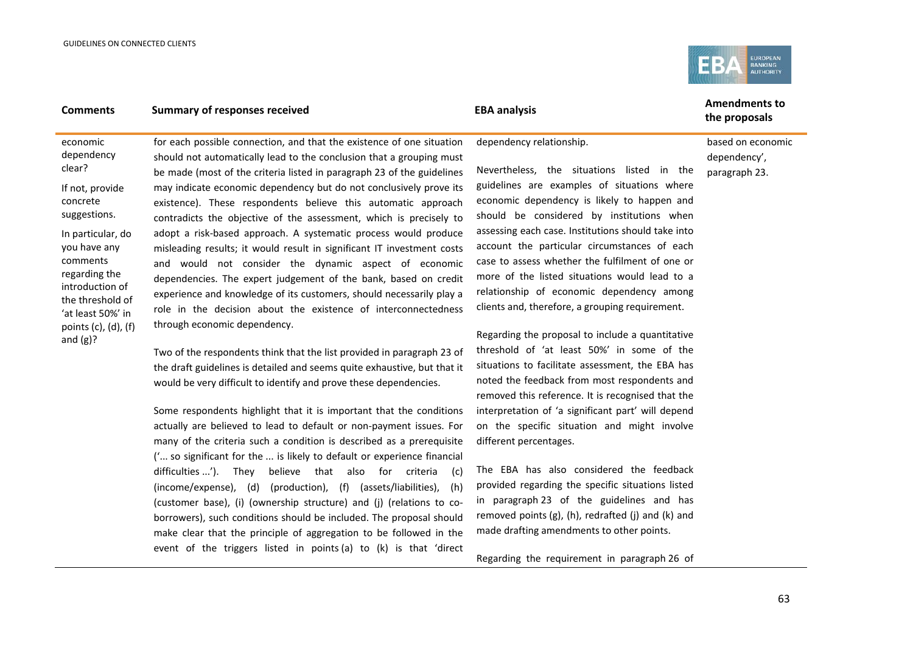and  $(g)?$ 



## **Comments Summary of responses received EBA analysis EBA analysis EBA EBA** analysis

economic dependency clear? If not, provide concrete suggestions. In particular, do you have any comments regarding the introduction of the threshold of 'at least 50%' in points (c), (d), (f) for each possible connection, and that the existence of one situation should not automatically lead to the conclusion that a grouping must be made (most of the criteria listed in paragraph 23 of the guidelines may indicate economic dependency but do not conclusively prove its existence). These respondents believe this automatic approach contradicts the objective of the assessment, which is precisely to adopt a risk-based approach. A systematic process would produce misleading results; it would result in significant IT investment costs and would not consider the dynamic aspect of economic dependencies. The expert judgement of the bank, based on credit experience and knowledge of its customers, should necessarily play a role in the decision about the existence of interconnectedness through economic dependency.

> Two of the respondents think that the list provided in paragraph 23 of the draft guidelines is detailed and seems quite exhaustive, but that it would be very difficult to identify and prove these dependencies.

> Some respondents highlight that it is important that the conditions actually are believed to lead to default or non-payment issues. For many of the criteria such a condition is described as a prerequisite ('... so significant for the ... is likely to default or experience financial difficulties ...'). They believe that also for criteria (c) (income/expense), (d) (production), (f) (assets/liabilities), (h) (customer base), (i) (ownership structure) and (j) (relations to coborrowers), such conditions should be included. The proposal should make clear that the principle of aggregation to be followed in the event of the triggers listed in points (a) to (k) is that 'direct

dependency relationship.

Nevertheless, the situations listed in the guidelines are examples of situations where economic dependency is likely to happen and should be considered by institutions when assessing each case. Institutions should take into account the particular circumstances of each case to assess whether the fulfilment of one or more of the listed situations would lead to a relationship of economic dependency among clients and, therefore, a grouping requirement.

Regarding the proposal to include a quantitative threshold of 'at least 50%' in some of the situations to facilitate assessment, the EBA has noted the feedback from most respondents and removed this reference. It is recognised that the interpretation of 'a significant part' will depend on the specific situation and might involve different percentages.

The EBA has also considered the feedback provided regarding the specific situations listed in paragraph 23 of the guidelines and has removed points (g), (h), redrafted (j) and (k) and made drafting amendments to other points.

Regarding the requirement in paragraph 26 of

**the proposals**

based on economic dependency', paragraph 23.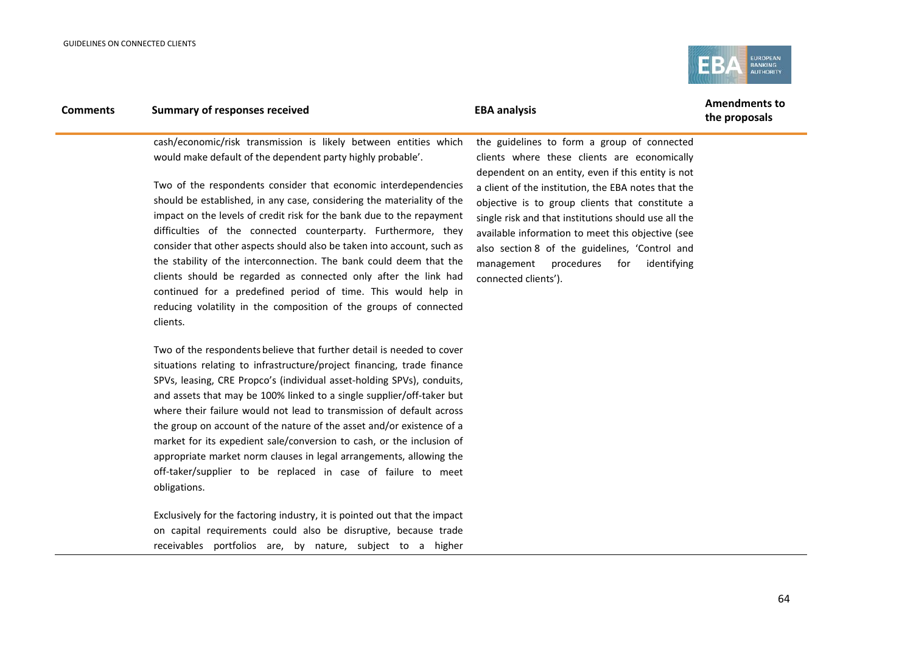

## **Comments Summary of responses received EBA** analysis **EBA** analysis **Amendments to**

# **the proposals**

cash/economic/risk transmission is likely between entities which would make default of the dependent party highly probable'.

Two of the respondents consider that economic interdependencies should be established, in any case, considering the materiality of the impact on the levels of credit risk for the bank due to the repayment difficulties of the connected counterparty. Furthermore, they consider that other aspects should also be taken into account, such as the stability of the interconnection. The bank could deem that the clients should be regarded as connected only after the link had continued for a predefined period of time. This would help in reducing volatility in the composition of the groups of connected clients.

Two of the respondents believe that further detail is needed to cover situations relating to infrastructure/project financing, trade finance SPVs, leasing, CRE Propco's (individual asset-holding SPVs), conduits, and assets that may be 100% linked to a single supplier/off-taker but where their failure would not lead to transmission of default across the group on account of the nature of the asset and/or existence of a market for its expedient sale/conversion to cash, or the inclusion of appropriate market norm clauses in legal arrangements, allowing the off-taker/supplier to be replaced in case of failure to meet obligations.

Exclusively for the factoring industry, it is pointed out that the impact on capital requirements could also be disruptive, because trade receivables portfolios are, by nature, subject to a higher the guidelines to form a group of connected clients where these clients are economically dependent on an entity, even if this entity is not a client of the institution, the EBA notes that the objective is to group clients that constitute a single risk and that institutions should use all the available information to meet this objective (see also section 8 of the guidelines, 'Control and management procedures for identifying connected clients').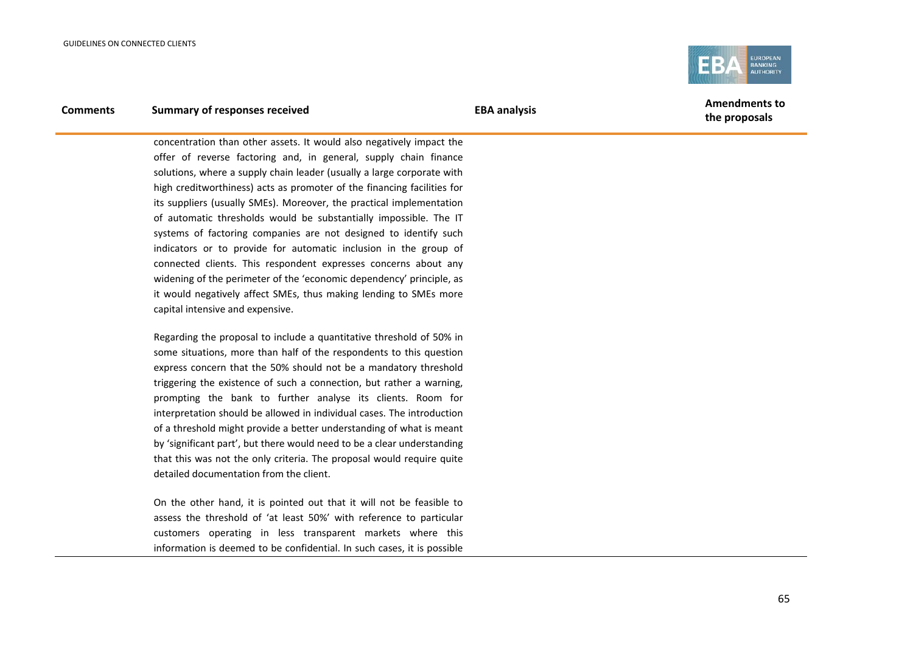

## **Comments Summary of responses received EBA analysis EBA analysis EBA EBA** analysis

concentration than other assets. It would also negatively impact the offer of reverse factoring and, in general, supply chain finance solutions, where a supply chain leader (usually a large corporate with high creditworthiness) acts as promoter of the financing facilities for its suppliers (usually SMEs). Moreover, the practical implementation of automatic thresholds would be substantially impossible. The IT systems of factoring companies are not designed to identify such indicators or to provide for automatic inclusion in the group of connected clients. This respondent expresses concerns about any widening of the perimeter of the 'economic dependency' principle, as it would negatively affect SMEs, thus making lending to SMEs more capital intensive and expensive.

Regarding the proposal to include a quantitative threshold of 50% in some situations, more than half of the respondents to this question express concern that the 50% should not be a mandatory threshold triggering the existence of such a connection, but rather a warning, prompting the bank to further analyse its clients. Room for interpretation should be allowed in individual cases. The introduction of a threshold might provide a better understanding of what is meant by 'significant part', but there would need to be a clear understanding that this was not the only criteria. The proposal would require quite detailed documentation from the client.

On the other hand, it is pointed out that it will not be feasible to assess the threshold of 'at least 50%' with reference to particular customers operating in less transparent markets where this information is deemed to be confidential. In such cases, it is possible

**the proposals**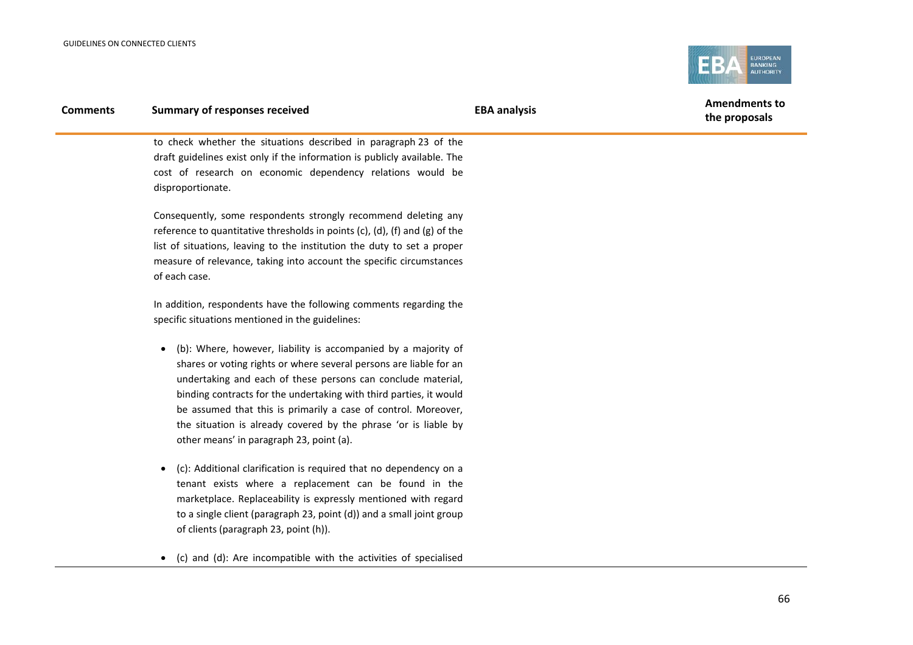

| <b>Comments</b> | <b>Summary of responses received</b>                                            | <b>EBA analysis</b> | <b>Amendments to</b><br>the proposals |
|-----------------|---------------------------------------------------------------------------------|---------------------|---------------------------------------|
|                 | to check whether the situations described in paragraph 23 of the                |                     |                                       |
|                 | draft guidelines exist only if the information is publicly available. The       |                     |                                       |
|                 | cost of research on economic dependency relations would be<br>disproportionate. |                     |                                       |
|                 | Consequently, some respondents strongly recommend deleting any                  |                     |                                       |
|                 | reference to quantitative thresholds in points (c), (d), (f) and (g) of the     |                     |                                       |
|                 | list of situations, leaving to the institution the duty to set a proper         |                     |                                       |
|                 | measure of relevance, taking into account the specific circumstances            |                     |                                       |
|                 | of each case.                                                                   |                     |                                       |
|                 | In addition, respondents have the following comments regarding the              |                     |                                       |
|                 | specific situations mentioned in the guidelines:                                |                     |                                       |
|                 | (b): Where, however, liability is accompanied by a majority of                  |                     |                                       |
|                 | shares or voting rights or where several persons are liable for an              |                     |                                       |
|                 | undertaking and each of these persons can conclude material,                    |                     |                                       |
|                 | binding contracts for the undertaking with third parties, it would              |                     |                                       |
|                 | be assumed that this is primarily a case of control. Moreover,                  |                     |                                       |
|                 | the situation is already covered by the phrase 'or is liable by                 |                     |                                       |
|                 | other means' in paragraph 23, point (a).                                        |                     |                                       |
|                 |                                                                                 |                     |                                       |

- (c): Additional clarification is required that no dependency on a tenant exists where a replacement can be found in the marketplace. Replaceability is expressly mentioned with regard to a single client (paragraph 23, point (d)) and a small joint group of clients (paragraph 23, point (h)).
- (c) and (d): Are incompatible with the activities of specialised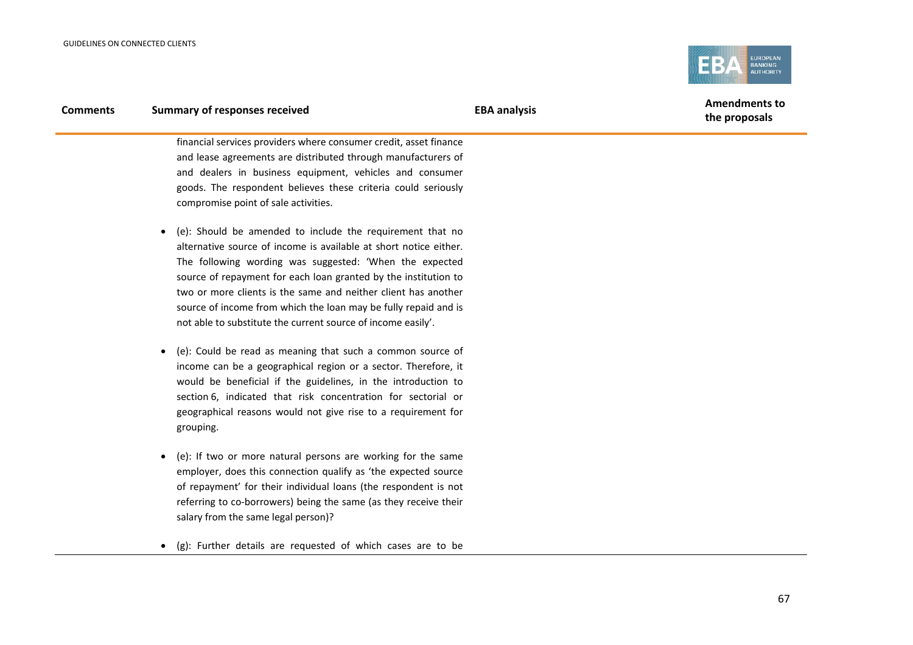

| <b>Comments</b> | <b>Summary of responses received</b>                                      | <b>EBA analysis</b> | <b>Amendments to</b><br>the proposals |
|-----------------|---------------------------------------------------------------------------|---------------------|---------------------------------------|
|                 | financial services providers where consumer credit, asset finance         |                     |                                       |
|                 | and lease agreements are distributed through manufacturers of             |                     |                                       |
|                 | and dealers in business equipment, vehicles and consumer                  |                     |                                       |
|                 | goods. The respondent believes these criteria could seriously             |                     |                                       |
|                 | compromise point of sale activities.                                      |                     |                                       |
|                 | (e): Should be amended to include the requirement that no                 |                     |                                       |
|                 | alternative source of income is available at short notice either.         |                     |                                       |
|                 | The following wording was suggested: 'When the expected                   |                     |                                       |
|                 | source of repayment for each loan granted by the institution to           |                     |                                       |
|                 | two or more clients is the same and neither client has another            |                     |                                       |
|                 | source of income from which the loan may be fully repaid and is           |                     |                                       |
|                 | not able to substitute the current source of income easily'.              |                     |                                       |
|                 | (e): Could be read as meaning that such a common source of                |                     |                                       |
|                 | income can be a geographical region or a sector. Therefore, it            |                     |                                       |
|                 | would be beneficial if the guidelines, in the introduction to             |                     |                                       |
|                 | section 6, indicated that risk concentration for sectorial or             |                     |                                       |
|                 | geographical reasons would not give rise to a requirement for             |                     |                                       |
|                 | grouping.                                                                 |                     |                                       |
|                 | (e): If two or more natural persons are working for the same<br>$\bullet$ |                     |                                       |

- employer, does this connection qualify as 'the expected source of repayment' for their individual loans (the respondent is not referring to co-borrowers) being the same (as they receive their salary from the same legal person)?
- (g): Further details are requested of which cases are to be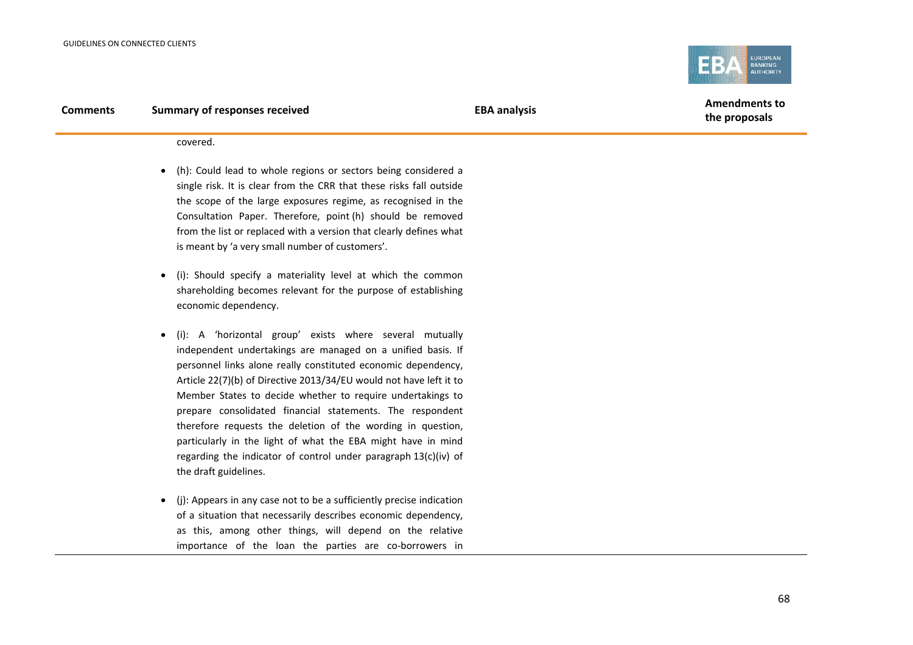

**the proposals**

covered.

- (h): Could lead to whole regions or sectors being considered a single risk. It is clear from the CRR that these risks fall outside the scope of the large exposures regime, as recognised in the Consultation Paper. Therefore, point (h) should be removed from the list or replaced with a version that clearly defines what is meant by 'a very small number of customers'.
- (i): Should specify a materiality level at which the common shareholding becomes relevant for the purpose of establishing economic dependency.
- (i): A 'horizontal group' exists where several mutually independent undertakings are managed on a unified basis. If personnel links alone really constituted economic dependency, Article 22(7)(b) of Directive 2013/34/EU would not have left it to Member States to decide whether to require undertakings to prepare consolidated financial statements. The respondent therefore requests the deletion of the wording in question, particularly in the light of what the EBA might have in mind regarding the indicator of control under paragraph 13(c)(iv) of the draft guidelines.
- (j): Appears in any case not to be a sufficiently precise indication of a situation that necessarily describes economic dependency, as this, among other things, will depend on the relative importance of the loan the parties are co-borrowers in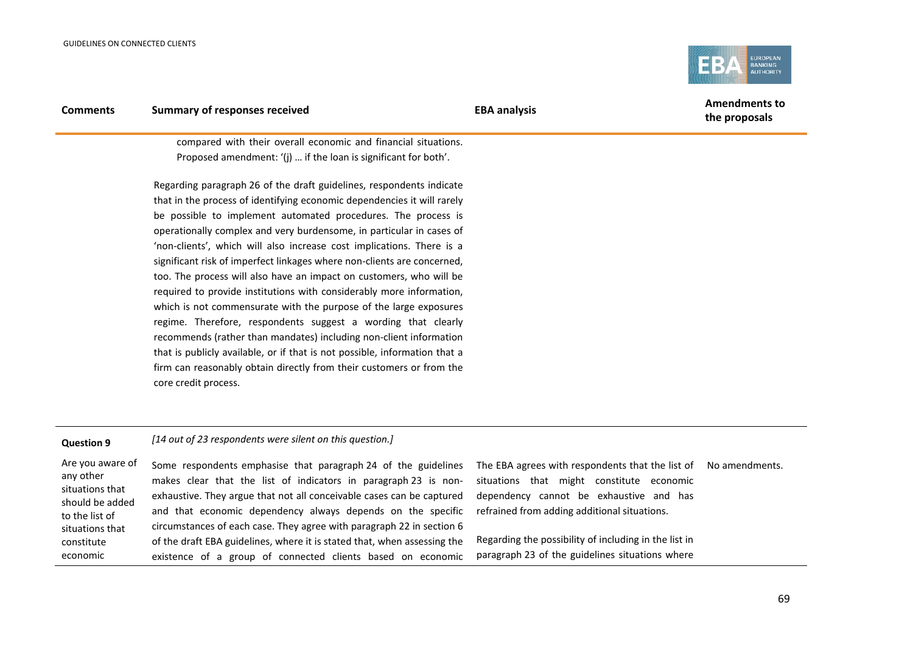to the list of situations that constitute economic



| <b>Comments</b>                                                     | <b>Summary of responses received</b>                                                                                                                                                                                                                                                                                                                                                                                                                                                                                                                                                                                                                                                                                                                                                                                                                                                                                                                                                  | <b>EBA analysis</b>                                                                                                                      | <b>Amendments to</b><br>the proposals |
|---------------------------------------------------------------------|---------------------------------------------------------------------------------------------------------------------------------------------------------------------------------------------------------------------------------------------------------------------------------------------------------------------------------------------------------------------------------------------------------------------------------------------------------------------------------------------------------------------------------------------------------------------------------------------------------------------------------------------------------------------------------------------------------------------------------------------------------------------------------------------------------------------------------------------------------------------------------------------------------------------------------------------------------------------------------------|------------------------------------------------------------------------------------------------------------------------------------------|---------------------------------------|
|                                                                     | compared with their overall economic and financial situations.<br>Proposed amendment: '(j)  if the loan is significant for both'.                                                                                                                                                                                                                                                                                                                                                                                                                                                                                                                                                                                                                                                                                                                                                                                                                                                     |                                                                                                                                          |                                       |
|                                                                     | Regarding paragraph 26 of the draft guidelines, respondents indicate<br>that in the process of identifying economic dependencies it will rarely<br>be possible to implement automated procedures. The process is<br>operationally complex and very burdensome, in particular in cases of<br>'non-clients', which will also increase cost implications. There is a<br>significant risk of imperfect linkages where non-clients are concerned,<br>too. The process will also have an impact on customers, who will be<br>required to provide institutions with considerably more information,<br>which is not commensurate with the purpose of the large exposures<br>regime. Therefore, respondents suggest a wording that clearly<br>recommends (rather than mandates) including non-client information<br>that is publicly available, or if that is not possible, information that a<br>firm can reasonably obtain directly from their customers or from the<br>core credit process. |                                                                                                                                          |                                       |
| <b>Question 9</b>                                                   | [14 out of 23 respondents were silent on this question.]                                                                                                                                                                                                                                                                                                                                                                                                                                                                                                                                                                                                                                                                                                                                                                                                                                                                                                                              |                                                                                                                                          |                                       |
| Are you aware of<br>any other<br>situations that<br>should be added | Some respondents emphasise that paragraph 24 of the guidelines<br>makes clear that the list of indicators in paragraph 23 is non-<br>exhaustive. They argue that not all conceivable cases can be captured                                                                                                                                                                                                                                                                                                                                                                                                                                                                                                                                                                                                                                                                                                                                                                            | The EBA agrees with respondents that the list of<br>situations that might constitute economic<br>dependency cannot be exhaustive and has | No amendments.                        |

and that economic dependency always depends on the specific circumstances of each case. They agree with paragraph 22 in section 6 of the draft EBA guidelines, where it is stated that, when assessing the existence of a group of connected clients based on economic

Regarding the possibility of including in the list in paragraph 23 of the guidelines situations where

refrained from adding additional situations.

69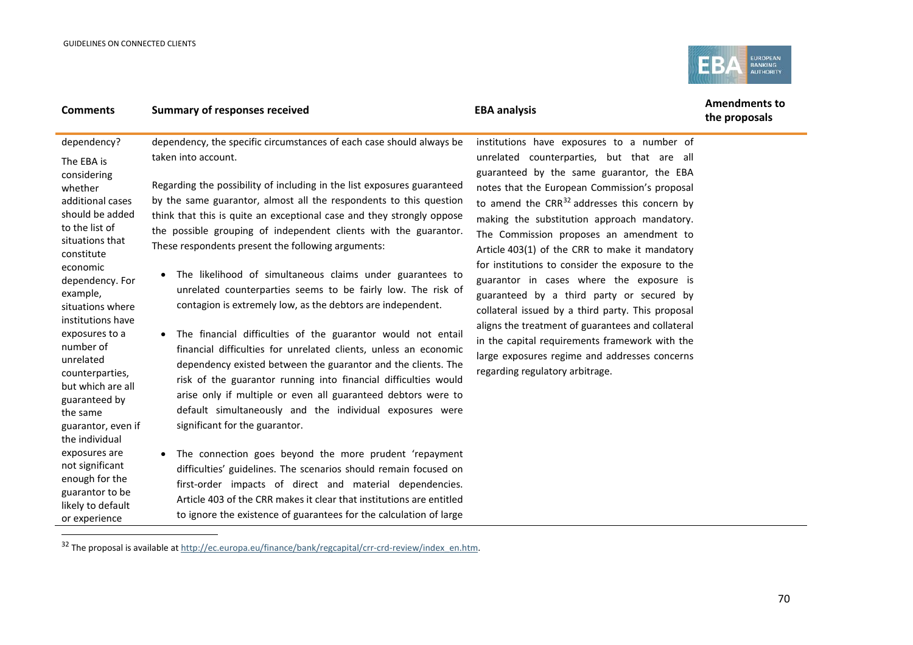j

<span id="page-69-0"></span>

| dependency?<br>dependency, the specific circumstances of each case should always be<br>institutions have exposures to a number of<br>taken into account.<br>unrelated counterparties, but that are all<br>The EBA is<br>guaranteed by the same guarantor, the EBA<br>considering<br>Regarding the possibility of including in the list exposures guaranteed<br>notes that the European Commission's proposal<br>whether<br>by the same guarantor, almost all the respondents to this question<br>additional cases<br>to amend the $CRR^{32}$ addresses this concern by<br>should be added<br>think that this is quite an exceptional case and they strongly oppose<br>making the substitution approach mandatory.<br>to the list of<br>the possible grouping of independent clients with the guarantor.<br>The Commission proposes an amendment to<br>situations that<br>These respondents present the following arguments:<br>Article 403(1) of the CRR to make it mandatory<br>constitute                                                                                                                                                                                                                                                                                                                                                                                                                                                                                                                                                                                                                                                                                   | <b>Comments</b> | <b>Summary of responses received</b> | <b>EBA analysis</b>                              | <b>Amendments to</b><br>the proposals |
|-------------------------------------------------------------------------------------------------------------------------------------------------------------------------------------------------------------------------------------------------------------------------------------------------------------------------------------------------------------------------------------------------------------------------------------------------------------------------------------------------------------------------------------------------------------------------------------------------------------------------------------------------------------------------------------------------------------------------------------------------------------------------------------------------------------------------------------------------------------------------------------------------------------------------------------------------------------------------------------------------------------------------------------------------------------------------------------------------------------------------------------------------------------------------------------------------------------------------------------------------------------------------------------------------------------------------------------------------------------------------------------------------------------------------------------------------------------------------------------------------------------------------------------------------------------------------------------------------------------------------------------------------------------------------------|-----------------|--------------------------------------|--------------------------------------------------|---------------------------------------|
| The likelihood of simultaneous claims under guarantees to<br>$\bullet$<br>guarantor in cases where the exposure is<br>dependency. For<br>unrelated counterparties seems to be fairly low. The risk of<br>example,<br>guaranteed by a third party or secured by<br>contagion is extremely low, as the debtors are independent.<br>situations where<br>collateral issued by a third party. This proposal<br>institutions have<br>aligns the treatment of guarantees and collateral<br>The financial difficulties of the guarantor would not entail<br>exposures to a<br>in the capital requirements framework with the<br>number of<br>financial difficulties for unrelated clients, unless an economic<br>large exposures regime and addresses concerns<br>unrelated<br>dependency existed between the guarantor and the clients. The<br>regarding regulatory arbitrage.<br>counterparties,<br>risk of the guarantor running into financial difficulties would<br>but which are all<br>arise only if multiple or even all guaranteed debtors were to<br>guaranteed by<br>default simultaneously and the individual exposures were<br>the same<br>significant for the guarantor.<br>guarantor, even if<br>the individual<br>exposures are<br>The connection goes beyond the more prudent 'repayment<br>not significant<br>difficulties' guidelines. The scenarios should remain focused on<br>enough for the<br>first-order impacts of direct and material dependencies.<br>guarantor to be<br>Article 403 of the CRR makes it clear that institutions are entitled<br>likely to default<br>to ignore the existence of guarantees for the calculation of large<br>or experience | economic        |                                      | for institutions to consider the exposure to the |                                       |

<sup>&</sup>lt;sup>32</sup> The proposal is available at [http://ec.europa.eu/finance/bank/regcapital/crr-crd-review/index\\_en.htm.](http://ec.europa.eu/finance/bank/regcapital/crr-crd-review/index_en.htm)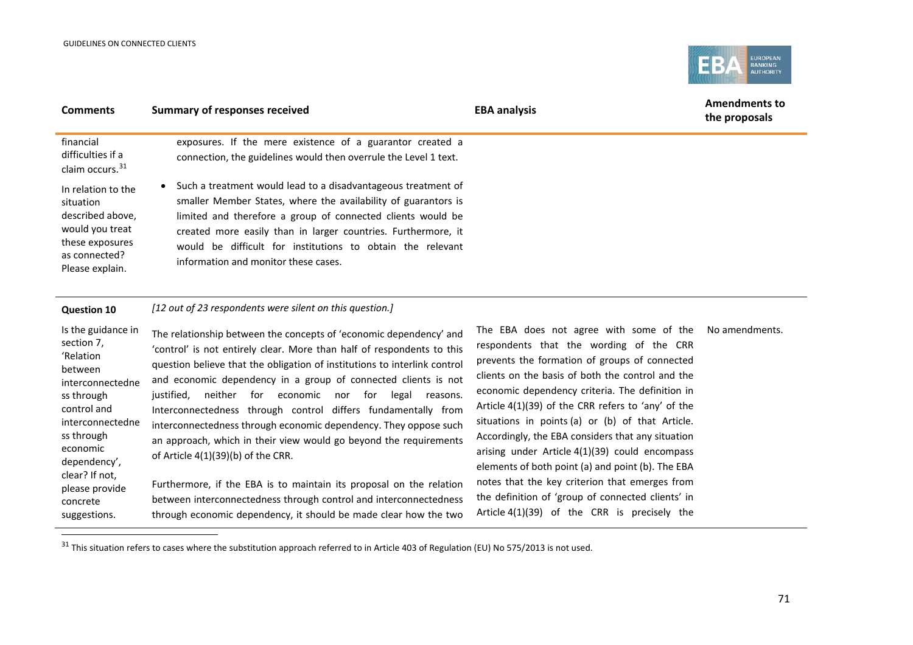concrete suggestions.

j

<span id="page-70-0"></span>

| <b>Comments</b>                                                                                                               | <b>Summary of responses received</b>                                                                                                                                                                                                                                                                                                                                  | <b>Amendments to</b><br><b>EBA analysis</b><br>the proposals |
|-------------------------------------------------------------------------------------------------------------------------------|-----------------------------------------------------------------------------------------------------------------------------------------------------------------------------------------------------------------------------------------------------------------------------------------------------------------------------------------------------------------------|--------------------------------------------------------------|
| financial<br>difficulties if a<br>claim occurs. <sup>31</sup>                                                                 | exposures. If the mere existence of a guarantor created a<br>connection, the guidelines would then overrule the Level 1 text.                                                                                                                                                                                                                                         |                                                              |
| In relation to the<br>situation<br>described above,<br>would you treat<br>these exposures<br>as connected?<br>Please explain. | Such a treatment would lead to a disadvantageous treatment of<br>smaller Member States, where the availability of guarantors is<br>limited and therefore a group of connected clients would be<br>created more easily than in larger countries. Furthermore, it<br>would be difficult for institutions to obtain the relevant<br>information and monitor these cases. |                                                              |
| <b>Question 10</b>                                                                                                            | [12 out of 23 respondents were silent on this question.]                                                                                                                                                                                                                                                                                                              |                                                              |
| Is the guidance in<br>coction 7                                                                                               | The relationship between the concepts of 'economic dependency' and                                                                                                                                                                                                                                                                                                    | The EBA does not agree with some of the<br>No amendments.    |

section 7, 'Relation between interconnectedne ss through control and interconnectedne ss through economic dependency', clear? If not, please provide 'control' is not entirely clear. More than half of respondents to this question believe that the obligation of institutions to interlink control and economic dependency in a group of connected clients is not justified, neither for economic nor for legal reasons. Interconnectedness through control differs fundamentally from interconnectedness through economic dependency. They oppose such an approach, which in their view would go beyond the requirements of Article 4(1)(39)(b) of the CRR. Furthermore, if the EBA is to maintain its proposal on the relation between interconnectedness through control and interconnectedness

respondents that the wording of the CRR prevents the formation of groups of connected clients on the basis of both the control and the economic dependency criteria. The definition in Article 4(1)(39) of the CRR refers to 'any' of the situations in points (a) or (b) of that Article. Accordingly, the EBA considers that any situation arising under Article 4(1)(39) could encompass elements of both point (a) and point (b). The EBA notes that the key criterion that emerges from the definition of 'group of connected clients' in Article 4(1)(39) of the CRR is precisely the

through economic dependency, it should be made clear how the two

 $31$  This situation refers to cases where the substitution approach referred to in Article 403 of Regulation (EU) No 575/2013 is not used.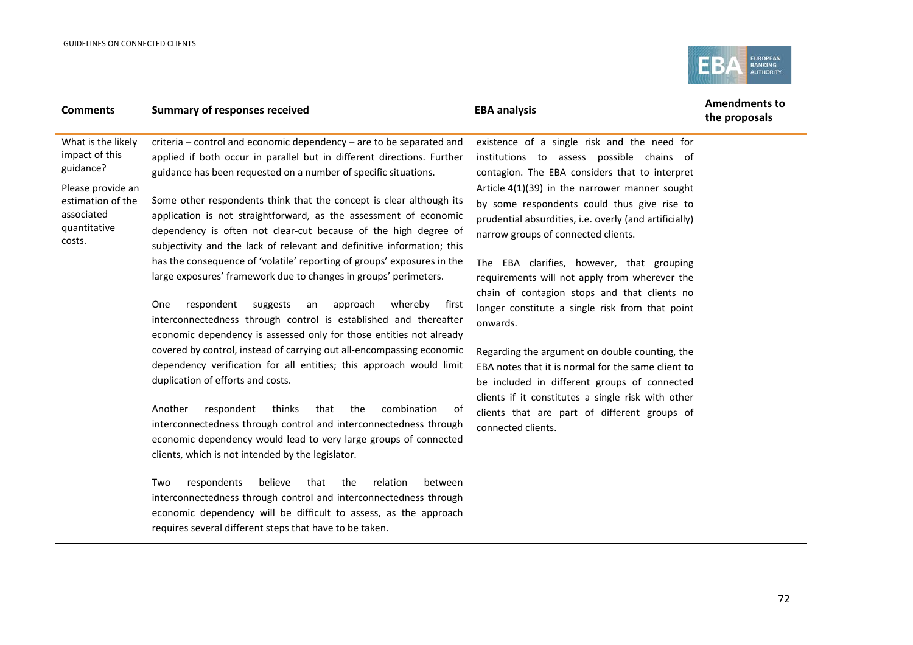

| <b>Comments</b>                                                                | <b>Summary of responses received</b>                                                                                                                                                                                                                                                  | <b>EBA analysis</b>                                                                                                                                                                              | <b>Amendments to</b><br>the proposals |
|--------------------------------------------------------------------------------|---------------------------------------------------------------------------------------------------------------------------------------------------------------------------------------------------------------------------------------------------------------------------------------|--------------------------------------------------------------------------------------------------------------------------------------------------------------------------------------------------|---------------------------------------|
| What is the likely<br>impact of this<br>guidance?                              | criteria – control and economic dependency – are to be separated and<br>applied if both occur in parallel but in different directions. Further<br>guidance has been requested on a number of specific situations.                                                                     | existence of a single risk and the need for<br>institutions to assess possible chains of<br>contagion. The EBA considers that to interpret                                                       |                                       |
| Please provide an<br>estimation of the<br>associated<br>quantitative<br>costs. | Some other respondents think that the concept is clear although its<br>application is not straightforward, as the assessment of economic<br>dependency is often not clear-cut because of the high degree of<br>subjectivity and the lack of relevant and definitive information; this | Article $4(1)(39)$ in the narrower manner sought<br>by some respondents could thus give rise to<br>prudential absurdities, i.e. overly (and artificially)<br>narrow groups of connected clients. |                                       |
|                                                                                | has the consequence of 'volatile' reporting of groups' exposures in the<br>large exposures' framework due to changes in groups' perimeters.                                                                                                                                           | The EBA clarifies, however, that grouping<br>requirements will not apply from wherever the<br>chain of contagion stops and that clients no                                                       |                                       |
|                                                                                | <b>One</b><br>respondent<br>suggests<br>approach<br>whereby<br>first<br>an<br>interconnectedness through control is established and thereafter<br>economic dependency is assessed only for those entities not already                                                                 | longer constitute a single risk from that point<br>onwards.                                                                                                                                      |                                       |
|                                                                                | covered by control, instead of carrying out all-encompassing economic<br>dependency verification for all entities; this approach would limit<br>duplication of efforts and costs.                                                                                                     | Regarding the argument on double counting, the<br>EBA notes that it is normal for the same client to<br>be included in different groups of connected                                             |                                       |

Another respondent thinks that the combination of interconnectedness through control and interconnectedness through economic dependency would lead to very large groups of connected clients, which is not intended by the legislator.

Two respondents believe that the relation between interconnectedness through control and interconnectedness through economic dependency will be difficult to assess, as the approach requires several different steps that have to be taken.

be included in different groups of connected clients if it constitutes a single risk with other clients that are part of different groups of connected clients.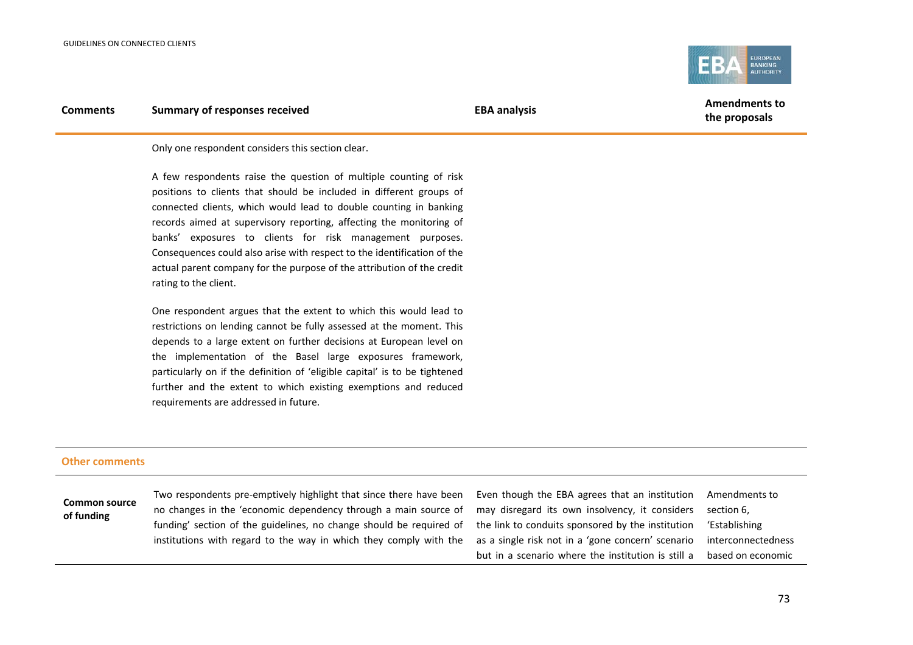

Only one respondent considers this section clear.

A few respondents raise the question of multiple counting of risk positions to clients that should be included in different groups of connected clients, which would lead to double counting in banking records aimed at supervisory reporting, affecting the monitoring of banks' exposures to clients for risk management purposes. Consequences could also arise with respect to the identification of the actual parent company for the purpose of the attribution of the credit rating to the client.

One respondent argues that the extent to which this would lead to restrictions on lending cannot be fully assessed at the moment. This depends to a large extent on further decisions at European level on the implementation of the Basel large exposures framework, particularly on if the definition of 'eligible capital' is to be tightened further and the extent to which existing exemptions and reduced requirements are addressed in future.

#### **Other comments**

**Common source of funding**

Two respondents [pre-emptively](http://www.wordreference.com/enit/pre-emptively) highlight that since there have been no changes in the 'economic dependency through a main source of funding' section of the guidelines, no change should be required of institutions with regard to the way in which they comply with the Even though the EBA agrees that an institution may disregard its own insolvency, it considers the link to conduits sponsored by the institution as a single risk not in a 'gone concern' scenario but in a scenario where the institution is still a Amendments to section 6, 'Establishing interconnectedness based on economic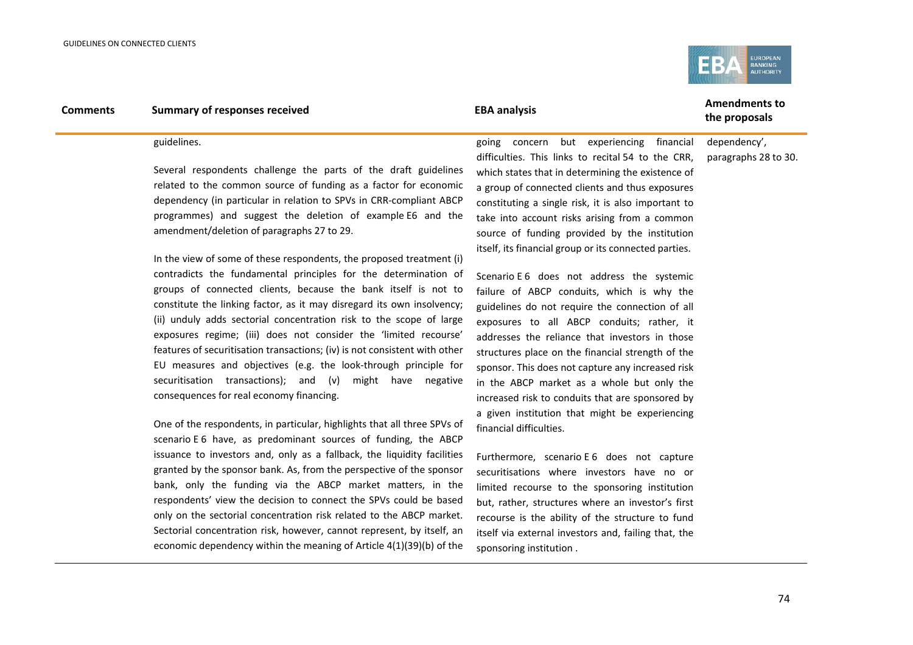

#### guidelines.

Several respondents challenge the parts of the draft guidelines related to the common source of funding as a factor for economic dependency (in particular in relation to SPVs in CRR-compliant ABCP programmes) and suggest the deletion of example E6 and the amendment/deletion of paragraphs 27 to 29.

In the view of some of these respondents, the proposed treatment (i) contradicts the fundamental principles for the determination of groups of connected clients, because the bank itself is not to constitute the linking factor, as it may disregard its own insolvency; (ii) unduly adds sectorial concentration risk to the scope of large exposures regime; (iii) does not consider the 'limited recourse' features of securitisation transactions; (iv) is not consistent with other EU measures and objectives (e.g. the look-through principle for securitisation transactions); and (v) might have negative consequences for real economy financing.

One of the respondents, in particular, highlights that all three SPVs of scenario E 6 have, as predominant sources of funding, the ABCP issuance to investors and, only as a fallback, the liquidity facilities granted by the sponsor bank. As, from the perspective of the sponsor bank, only the funding via the ABCP market matters, in the respondents' view the decision to connect the SPVs could be based only on the sectorial concentration risk related to the ABCP market. Sectorial concentration risk, however, cannot represent, by itself, an economic dependency within the meaning of Article 4(1)(39)(b) of the

going concern but experiencing financial difficulties. This links to recital 54 to the CRR, which states that in determining the existence of a group of connected clients and thus exposures constituting a single risk, it is also important to take into account risks arising from a common source of funding provided by the institution itself, its financial group or its connected parties.

Scenario E 6 does not address the systemic failure of ABCP conduits, which is why the guidelines do not require the connection of all exposures to all ABCP conduits; rather, it addresses the reliance that investors in those structures place on the financial strength of the sponsor. This does not capture any increased risk in the ABCP market as a whole but only the increased risk to conduits that are sponsored by a given institution that might be experiencing financial difficulties.

Furthermore, scenario E 6 does not capture securitisations where investors have no or limited recourse to the sponsoring institution but, rather, structures where an investor's first recourse is the ability of the structure to fund itself via external investors and, failing that, the sponsoring institution .

# **the proposals**

dependency', paragraphs 28 to 30.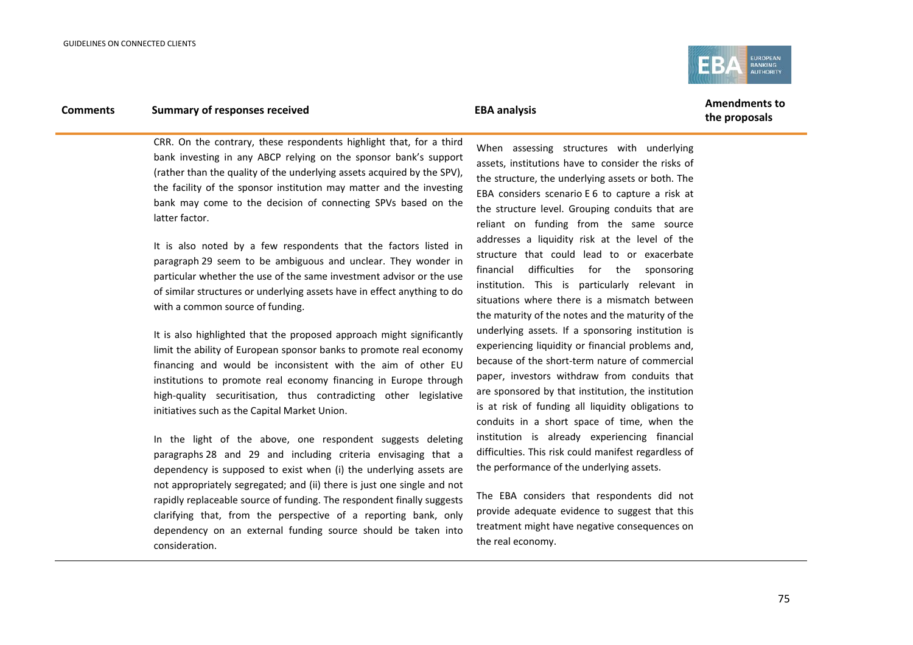

**the proposals**

CRR. On the contrary, these respondents highlight that, for a third bank investing in any ABCP relying on the sponsor bank's support (rather than the quality of the underlying assets acquired by the SPV), the facility of the sponsor institution may matter and the investing bank may come to the decision of connecting SPVs based on the latter factor.

It is also noted by a few respondents that the factors listed in paragraph 29 seem to be ambiguous and unclear. They wonder in particular whether the use of the same investment advisor or the use of similar structures or underlying assets have in effect anything to do with a common source of funding.

It is also highlighted that the proposed approach might significantly limit the ability of European sponsor banks to promote real economy financing and would be inconsistent with the aim of other EU institutions to promote real economy financing in Europe through high-quality securitisation, thus contradicting other legislative initiatives such as the Capital Market Union.

In the light of the above, one respondent suggests deleting paragraphs 28 and 29 and including criteria envisaging that a dependency is supposed to exist when (i) the underlying assets are not appropriately segregated; and (ii) there is just one single and not rapidly replaceable source of funding. The respondent finally suggests clarifying that, from the perspective of a reporting bank, only dependency on an external funding source should be taken into consideration.

When assessing structures with underlying assets, institutions have to consider the risks of the structure, the underlying assets or both. The EBA considers scenario E 6 to capture a risk at the structure level. Grouping conduits that are reliant on funding from the same source addresses a liquidity risk at the level of the structure that could lead to or exacerbate financial difficulties for the sponsoring institution. This is particularly relevant in situations where there is a mismatch between the maturity of the notes and the maturity of the underlying assets. If a sponsoring institution is experiencing liquidity or financial problems and, because of the short-term nature of commercial paper, investors withdraw from conduits that are sponsored by that institution, the institution is at risk of funding all liquidity obligations to conduits in a short space of time, when the institution is already experiencing financial difficulties. This risk could manifest regardless of the performance of the underlying assets.

The EBA considers that respondents did not provide adequate evidence to suggest that this treatment might have negative consequences on the real economy.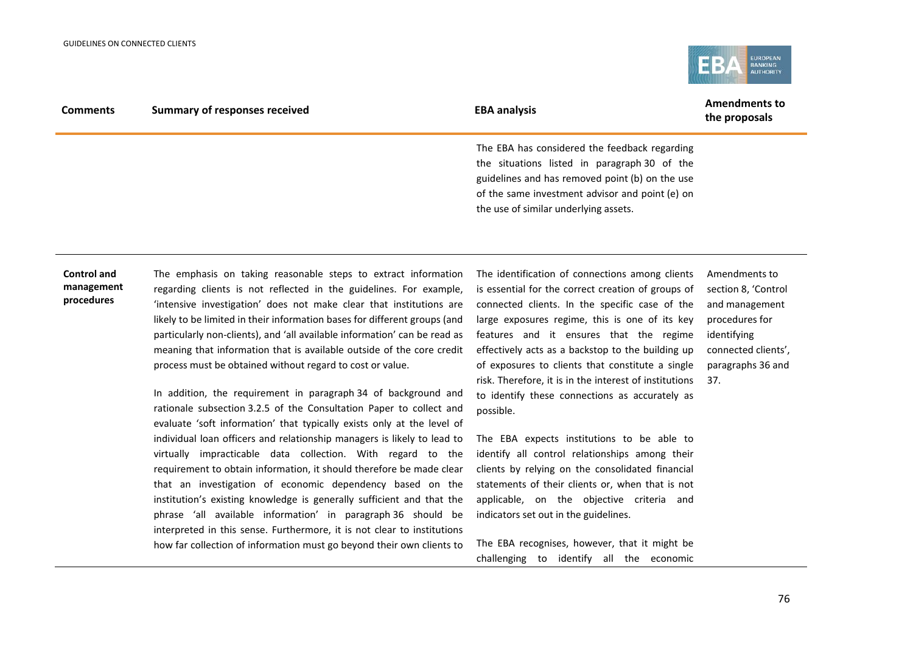

|                 | <b>Summary of responses received</b> | <b>EBA analysis</b> | <b>Amendments to</b> |
|-----------------|--------------------------------------|---------------------|----------------------|
| <b>Comments</b> |                                      |                     | the proposals        |

The EBA has considered the feedback regarding the situations listed in paragraph 30 of the guidelines and has removed point (b) on the use of the same investment advisor and point (e) on the use of similar underlying assets.

#### **Control and management procedures**

The emphasis on taking reasonable steps to extract information regarding clients is not reflected in the guidelines. For example, 'intensive investigation' does not make clear that institutions are likely to be limited in their information bases for different groups (and particularly non-clients), and 'all available information' can be read as meaning that information that is available outside of the core credit process must be obtained without regard to cost or value.

In addition, the requirement in paragraph 34 of background and rationale subsection 3.2.5 of the Consultation Paper to collect and evaluate 'soft information' that typically exists only at the level of individual loan officers and relationship managers is likely to lead to virtually impracticable data collection. With regard to the requirement to obtain information, it should therefore be made clear that an investigation of economic dependency based on the institution's existing knowledge is generally sufficient and that the phrase 'all available information' in paragraph 36 should be interpreted in this sense. Furthermore, it is not clear to institutions how far collection of information must go beyond their own clients to

The identification of connections among clients is essential for the correct creation of groups of connected clients. In the specific case of the large exposures regime, this is one of its key features and it ensures that the regime effectively acts as a backstop to the building up of exposures to clients that constitute a single risk. Therefore, it is in the interest of institutions to identify these connections as accurately as possible.

The EBA expects institutions to be able to identify all control relationships among their clients by relying on the consolidated financial statements of their clients or, when that is not applicable, on the objective criteria and indicators set out in the guidelines.

The EBA recognises, however, that it might be challenging to identify all the economic

Amendments to section 8, 'Control and management procedures for identifying connected clients', paragraphs 36 and 37.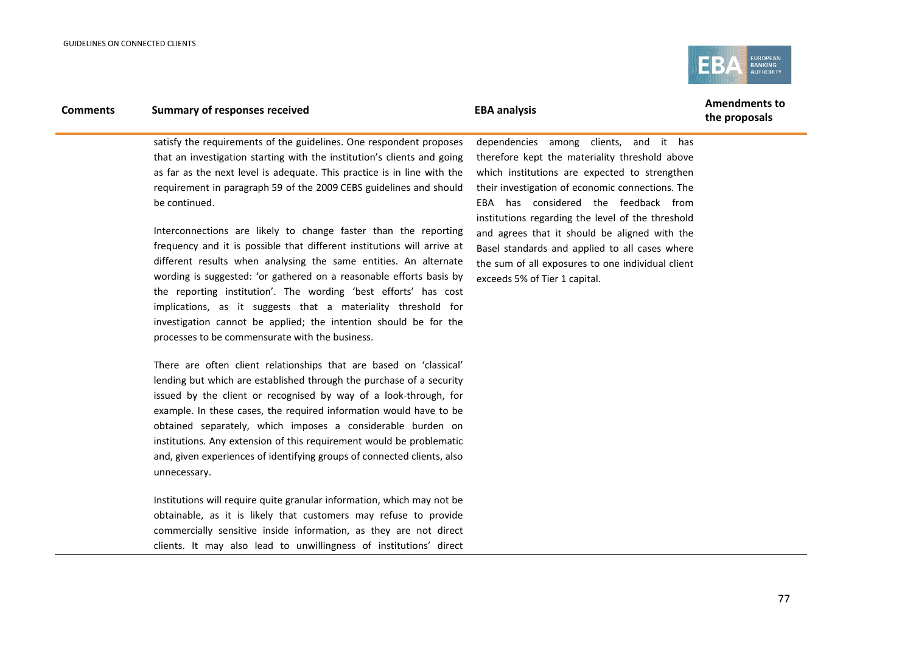

**the proposals**

satisfy the requirements of the guidelines. One respondent proposes that an investigation starting with the institution's clients and going as far as the next level is adequate. This practice is in line with the requirement in paragraph 59 of the 2009 CEBS guidelines and should be continued.

Interconnections are likely to change faster than the reporting frequency and it is possible that different institutions will arrive at different results when analysing the same entities. An alternate wording is suggested: 'or gathered on a reasonable efforts basis by the reporting institution'. The wording 'best efforts' has cost implications, as it suggests that a materiality threshold for investigation cannot be applied; the intention should be for the processes to be commensurate with the business.

There are often client relationships that are based on 'classical' lending but which are established through the purchase of a security issued by the client or recognised by way of a look-through, for example. In these cases, the required information would have to be obtained separately, which imposes a considerable burden on institutions. Any extension of this requirement would be problematic and, given experiences of identifying groups of connected clients, also unnecessary.

Institutions will require quite granular information, which may not be obtainable, as it is likely that customers may refuse to provide commercially sensitive inside information, as they are not direct clients. It may also lead to unwillingness of institutions' direct

dependencies among clients, and it has therefore kept the materiality threshold above which institutions are expected to strengthen their investigation of economic connections. The EBA has considered the feedback from institutions regarding the level of the threshold and agrees that it should be aligned with the Basel standards and applied to all cases where the sum of all exposures to one individual client exceeds 5% of Tier 1 capital.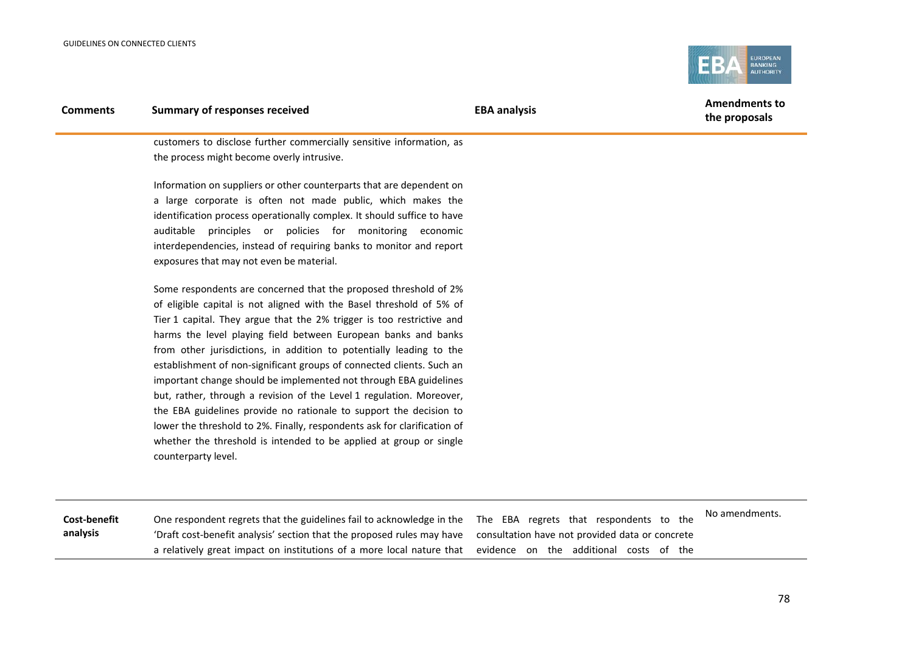

customers to disclose further commercially sensitive information, as the process might become overly intrusive.

Information on suppliers or other counterparts that are dependent on a large corporate is often not made public, which makes the identification process operationally complex. It should suffice to have auditable principles or policies for monitoring economic interdependencies, instead of requiring banks to monitor and report exposures that may not even be material.

Some respondents are concerned that the proposed threshold of 2% of eligible capital is not aligned with the Basel threshold of 5% of Tier 1 capital. They argue that the 2% trigger is too restrictive and harms the level playing field between European banks and banks from other jurisdictions, in addition to potentially leading to the establishment of non-significant groups of connected clients. Such an important change should be implemented not through EBA guidelines but, rather, through a revision of the Level 1 regulation. Moreover, the EBA guidelines provide no rationale to support the decision to lower the threshold to 2%. Finally, respondents ask for clarification of whether the threshold is intended to be applied at group or single counterparty level.

| Cost-benefit | One respondent regrets that the guidelines fail to acknowledge in the The EBA regrets that respondents to the          | No amendments. |
|--------------|------------------------------------------------------------------------------------------------------------------------|----------------|
| analysis     | 'Draft cost-benefit analysis' section that the proposed rules may have consultation have not provided data or concrete |                |
|              | a relatively great impact on institutions of a more local nature that evidence on the additional costs of the          |                |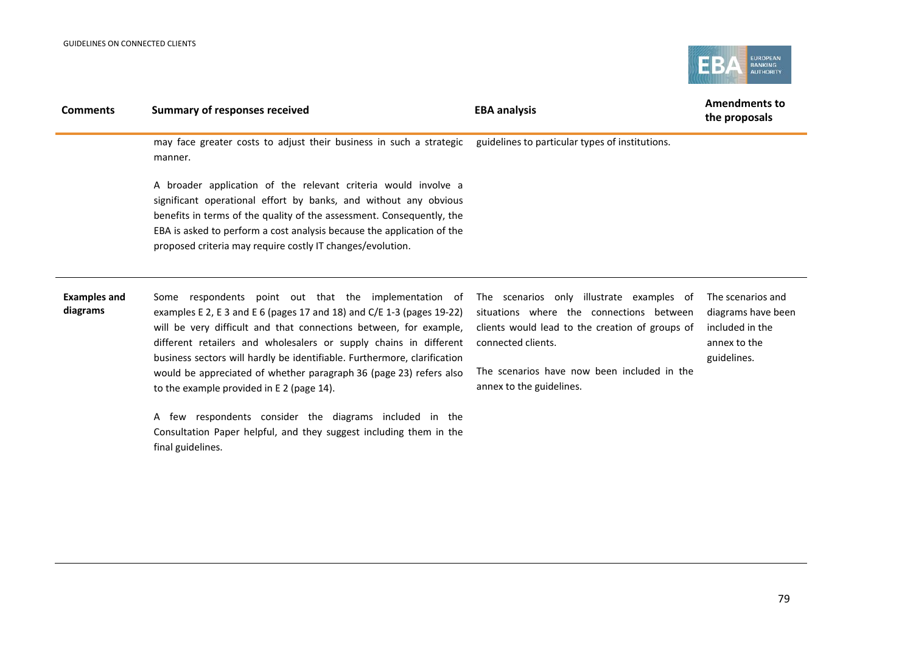

| <b>Comments</b>                 | <b>Summary of responses received</b>                                                                                                                                                                                                                                                                                                                                                                                                                                    | <b>EBA analysis</b>                                                                                                                                                                                                                       | <b>Amendments to</b><br>the proposals                                                     |
|---------------------------------|-------------------------------------------------------------------------------------------------------------------------------------------------------------------------------------------------------------------------------------------------------------------------------------------------------------------------------------------------------------------------------------------------------------------------------------------------------------------------|-------------------------------------------------------------------------------------------------------------------------------------------------------------------------------------------------------------------------------------------|-------------------------------------------------------------------------------------------|
|                                 | may face greater costs to adjust their business in such a strategic<br>manner.                                                                                                                                                                                                                                                                                                                                                                                          | guidelines to particular types of institutions.                                                                                                                                                                                           |                                                                                           |
|                                 | A broader application of the relevant criteria would involve a<br>significant operational effort by banks, and without any obvious<br>benefits in terms of the quality of the assessment. Consequently, the<br>EBA is asked to perform a cost analysis because the application of the<br>proposed criteria may require costly IT changes/evolution.                                                                                                                     |                                                                                                                                                                                                                                           |                                                                                           |
| <b>Examples and</b><br>diagrams | Some respondents point out that the implementation of<br>examples E 2, E 3 and E 6 (pages 17 and 18) and C/E 1-3 (pages 19-22)<br>will be very difficult and that connections between, for example,<br>different retailers and wholesalers or supply chains in different<br>business sectors will hardly be identifiable. Furthermore, clarification<br>would be appreciated of whether paragraph 36 (page 23) refers also<br>to the example provided in E 2 (page 14). | The scenarios only illustrate examples of<br>situations where the connections between<br>clients would lead to the creation of groups of<br>connected clients.<br>The scenarios have now been included in the<br>annex to the guidelines. | The scenarios and<br>diagrams have been<br>included in the<br>annex to the<br>guidelines. |
|                                 | A few respondents consider the diagrams included in the<br>Consultation Paper helpful, and they suggest including them in the<br>final guidelines.                                                                                                                                                                                                                                                                                                                      |                                                                                                                                                                                                                                           |                                                                                           |
|                                 |                                                                                                                                                                                                                                                                                                                                                                                                                                                                         |                                                                                                                                                                                                                                           |                                                                                           |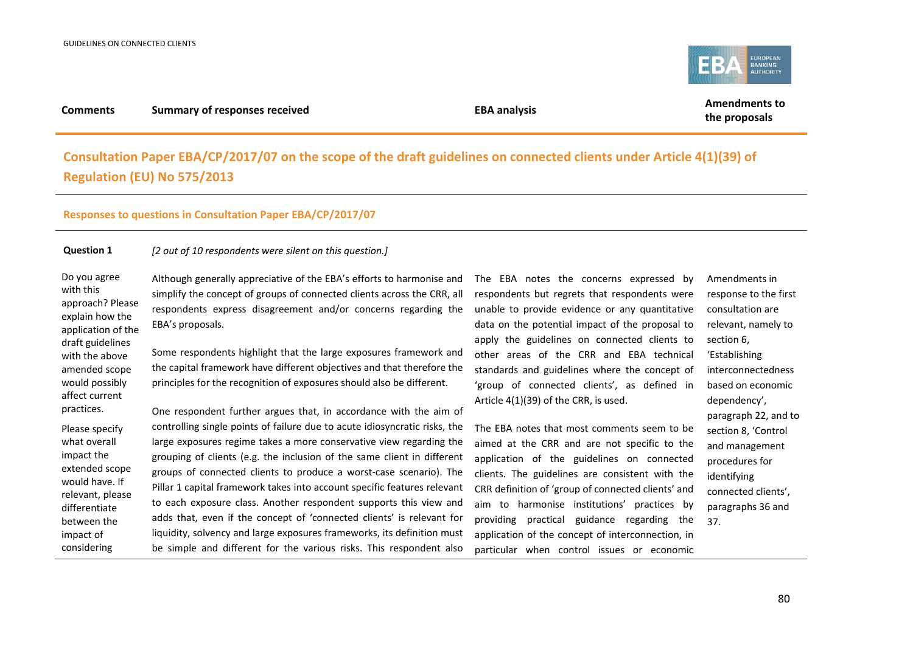

#### **Consultation Paper EBA/CP/2017/07 on the scope of the draft guidelines on connected clients under Article 4(1)(39) of Regulation (EU) No 575/2013**

#### **Responses to questions in Consultation Paper EBA/CP/2017/07**

#### **Question 1** *[2 out of 10 respondents were silent on this question.]*

Do you agree with this approach? Please explain how the application of the draft guidelines with the above amended scope would possibly affect current practices.

impact the

impact of considering

Although generally appreciative of the EBA's efforts to harmonise and simplify the concept of groups of connected clients across the CRR, all respondents express disagreement and/or concerns regarding the EBA's proposals.

Some respondents highlight that the large exposures framework and the capital framework have different objectives and that therefore the principles for the recognition of exposures should also be different.

Please specify what overall extended scope would have. If relevant, please differentiate between the One respondent further argues that, in accordance with the aim of controlling single points of failure due to acute idiosyncratic risks, the large exposures regime takes a more conservative view regarding the grouping of clients (e.g. the inclusion of the same client in different groups of connected clients to produce a worst-case scenario). The Pillar 1 capital framework takes into account specific features relevant to each exposure class. Another respondent supports this view and adds that, even if the concept of 'connected clients' is relevant for liquidity, solvency and large exposures frameworks, its definition must be simple and different for the various risks. This respondent also

The EBA notes the concerns expressed by respondents but regrets that respondents were unable to provide evidence or any quantitative data on the potential impact of the proposal to apply the guidelines on connected clients to other areas of the CRR and EBA technical standards and guidelines where the concept of 'group of connected clients', as defined in Article 4(1)(39) of the CRR, is used.

The EBA notes that most comments seem to be aimed at the CRR and are not specific to the application of the guidelines on connected clients. The guidelines are consistent with the CRR definition of 'group of connected clients' and aim to harmonise institutions' practices by providing practical guidance regarding the application of the concept of interconnection, in particular when control issues or economic Amendments in response to the first consultation are relevant, namely to section 6, 'Establishing interconnectedness based on economic dependency', paragraph 22, and to section 8, 'Control and management procedures for identifying connected clients', paragraphs 36 and

37.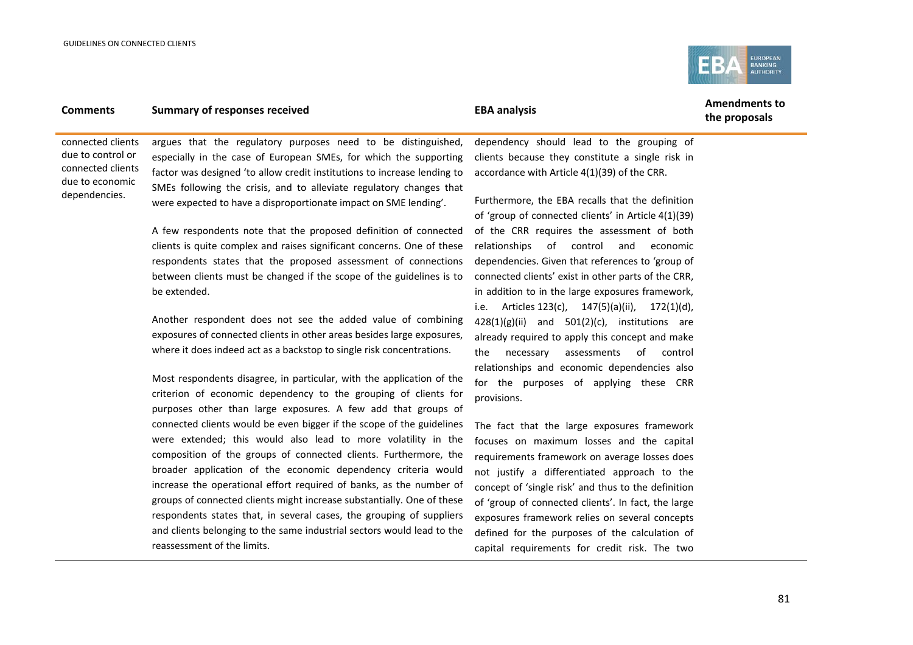

**the proposals**

connected clients due to control or connected clients due to economic dependencies.

argues that the regulatory purposes need to be distinguished, especially in the case of European SMEs, for which the supporting factor was designed 'to allow credit institutions to increase lending to SMEs following the crisis, and to alleviate regulatory changes that were expected to have a disproportionate impact on SME lending'.

A few respondents note that the proposed definition of connected clients is quite complex and raises significant concerns. One of these respondents states that the proposed assessment of connections between clients must be changed if the scope of the guidelines is to be extended.

Another respondent does not see the added value of combining exposures of connected clients in other areas besides large exposures, where it does indeed act as a backstop to single risk concentrations.

Most respondents disagree, in particular, with the application of the criterion of economic dependency to the grouping of clients for purposes other than large exposures. A few add that groups of connected clients would be even bigger if the scope of the guidelines were extended; this would also lead to more volatility in the composition of the groups of connected clients. Furthermore, the broader application of the economic dependency criteria would increase the operational effort required of banks, as the number of groups of connected clients might increase substantially. One of these respondents states that, in several cases, the grouping of suppliers and clients belonging to the same industrial sectors would lead to the reassessment of the limits.

dependency should lead to the grouping of clients because they constitute a single risk in accordance with Article 4(1)(39) of the CRR.

Furthermore, the EBA recalls that the definition of 'group of connected clients' in Article 4(1)(39) of the CRR requires the assessment of both relationships of control and economic dependencies. Given that references to 'group of connected clients' exist in other parts of the CRR, in addition to in the large exposures framework, i.e. Articles 123(c), 147(5)(a)(ii), 172(1)(d),  $428(1)(g)(ii)$  and  $501(2)(c)$ , institutions are already required to apply this concept and make the necessary assessments of control relationships and economic dependencies also for the purposes of applying these CRR provisions.

The fact that the large exposures framework focuses on maximum losses and the capital requirements framework on average losses does not justify a differentiated approach to the concept of 'single risk' and thus to the definition of 'group of connected clients'. In fact, the large exposures framework relies on several concepts defined for the purposes of the calculation of capital requirements for credit risk. The two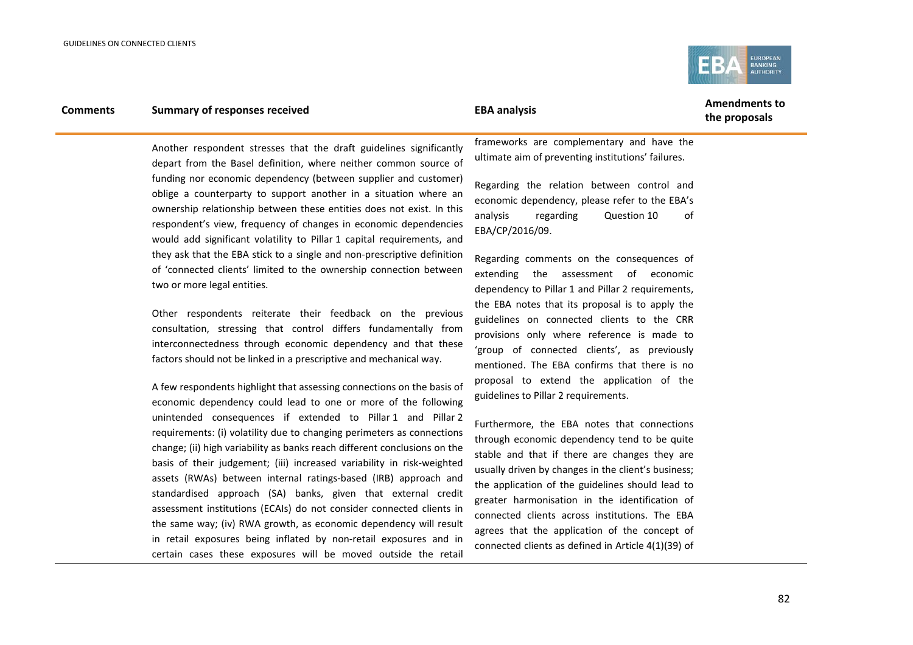

Another respondent stresses that the draft guidelines significantly depart from the Basel definition, where neither common source of funding nor economic dependency (between supplier and customer) oblige a counterparty to support another in a situation where an ownership relationship between these entities does not exist. In this respondent's view, frequency of changes in economic dependencies would add significant volatility to Pillar 1 capital requirements, and they ask that the EBA stick to a single and non-prescriptive definition of 'connected clients' limited to the ownership connection between two or more legal entities.

Other respondents reiterate their feedback on the previous consultation, stressing that control differs fundamentally from interconnectedness through economic dependency and that these factors should not be linked in a prescriptive and mechanical way.

A few respondents highlight that assessing connections on the basis of economic dependency could lead to one or more of the following unintended consequences if extended to Pillar 1 and Pillar 2 requirements: (i) volatility due to changing perimeters as connections change; (ii) high variability as banks reach different conclusions on the basis of their judgement; (iii) increased variability in risk-weighted assets (RWAs) between internal ratings-based (IRB) approach and standardised approach (SA) banks, given that external credit assessment institutions (ECAIs) do not consider connected clients in the same way; (iv) RWA growth, as economic dependency will result in retail exposures being inflated by non-retail exposures and in certain cases these exposures will be moved outside the retail

frameworks are complementary and have the ultimate aim of preventing institutions' failures.

Regarding the relation between control and economic dependency, please refer to the EBA's analysis regarding Question 10 of EBA/CP/2016/09.

Regarding comments on the consequences of extending the assessment of economic dependency to Pillar 1 and Pillar 2 requirements, the EBA notes that its proposal is to apply the guidelines on connected clients to the CRR provisions only where reference is made to 'group of connected clients', as previously mentioned. The EBA confirms that there is no proposal to extend the application of the guidelines to Pillar 2 requirements.

Furthermore, the EBA notes that connections through economic dependency tend to be quite stable and that if there are changes they are usually driven by changes in the client's business; the application of the guidelines should lead to greater harmonisation in the identification of connected clients across institutions. The EBA agrees that the application of the concept of connected clients as defined in Article 4(1)(39) of

**the proposals**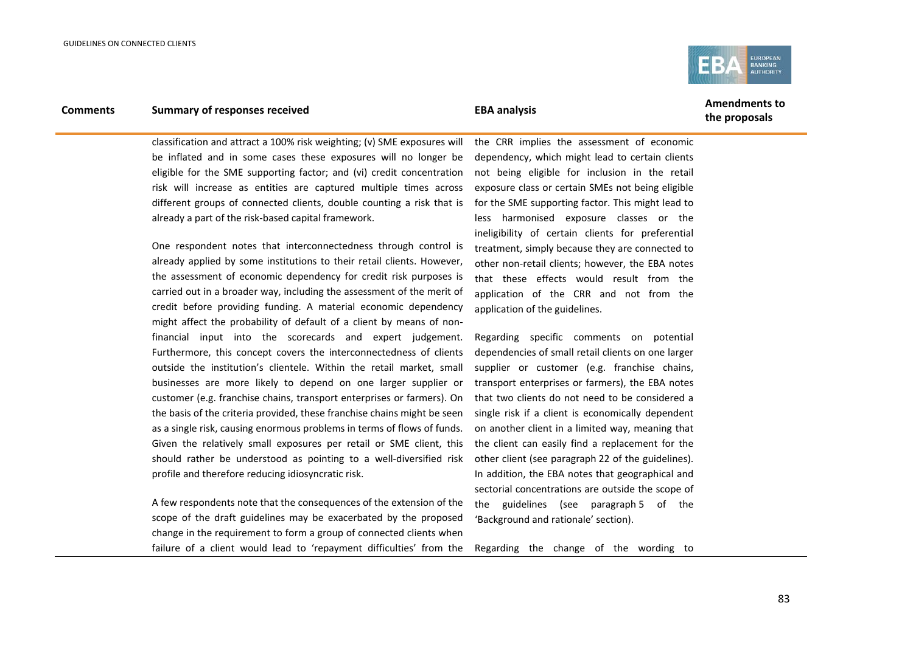

**the proposals**

classification and attract a 100% risk weighting; (v) SME exposures will be inflated and in some cases these exposures will no longer be eligible for the SME supporting factor; and (vi) credit concentration risk will increase as entities are captured multiple times across different groups of connected clients, double counting a risk that is already a part of the risk-based capital framework.

One respondent notes that interconnectedness through control is already applied by some institutions to their retail clients. However, the assessment of economic dependency for credit risk purposes is carried out in a broader way, including the assessment of the merit of credit before providing funding. A material economic dependency might affect the probability of default of a client by means of nonfinancial input into the scorecards and expert judgement. Furthermore, this concept covers the interconnectedness of clients outside the institution's clientele. Within the retail market, small businesses are more likely to depend on one larger supplier or customer (e.g. franchise chains, transport enterprises or farmers). On the basis of the criteria provided, these franchise chains might be seen as a single risk, causing enormous problems in terms of flows of funds. Given the relatively small exposures per retail or SME client, this should rather be understood as pointing to a well-diversified risk profile and therefore reducing idiosyncratic risk.

A few respondents note that the consequences of the extension of the scope of the draft guidelines may be exacerbated by the proposed change in the requirement to form a group of connected clients when failure of a client would lead to 'repayment difficulties' from the

the CRR implies the assessment of economic dependency, which might lead to certain clients not being eligible for inclusion in the retail exposure class or certain SMEs not being eligible for the SME supporting factor. This might lead to less harmonised exposure classes or the ineligibility of certain clients for preferential treatment, simply because they are connected to other non-retail clients; however, the EBA notes that these effects would result from the application of the CRR and not from the application of the guidelines.

Regarding specific comments on potential dependencies of small retail clients on one larger supplier or customer (e.g. franchise chains, transport enterprises or farmers), the EBA notes that two clients do not need to be considered a single risk if a client is economically dependent on another client in a limited way, meaning that the client can easily find a replacement for the other client (see paragraph 22 of the guidelines). In addition, the EBA notes that geographical and sectorial concentrations are outside the scope of the guidelines (see paragraph 5 of the 'Background and rationale' section).

Regarding the change of the wording to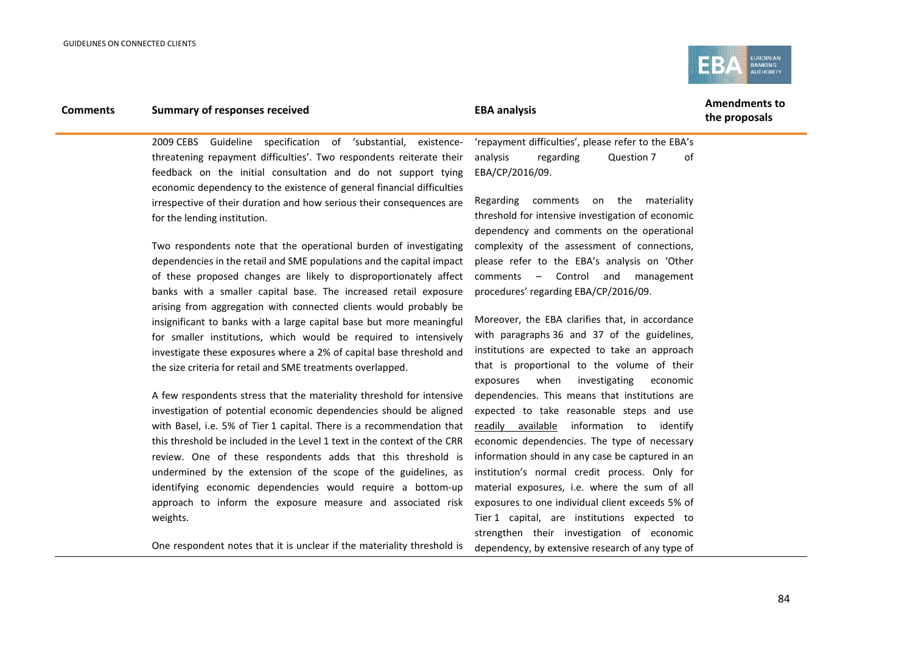

### **Comments Summary of responses received EBA analysis EBA analysis EBA EBA** analysis

**the proposals**

2009 CEBS Guideline specification of 'substantial, existencethreatening repayment difficulties'. Two respondents reiterate their feedback on the initial consultation and do not support tying economic dependency to the existence of general financial difficulties irrespective of their duration and how serious their consequences are for the lending institution.

Two respondents note that the operational burden of investigating dependencies in the retail and SME populations and the capital impact of these proposed changes are likely to disproportionately affect banks with a smaller capital base. The increased retail exposure arising from aggregation with connected clients would probably be insignificant to banks with a large capital base but more meaningful for smaller institutions, which would be required to intensively investigate these exposures where a 2% of capital base threshold and the size criteria for retail and SME treatments overlapped.

A few respondents stress that the materiality threshold for intensive investigation of potential economic dependencies should be aligned with Basel, i.e. 5% of Tier 1 capital. There is a recommendation that this threshold be included in the Level 1 text in the context of the CRR review. One of these respondents adds that this threshold is undermined by the extension of the scope of the guidelines, as identifying economic dependencies would require a bottom-up approach to inform the exposure measure and associated risk weights.

One respondent notes that it is unclear if the materiality threshold is

'repayment difficulties', please refer to the EBA's analysis regarding Question 7 of EBA/CP/2016/09.

Regarding comments on the materiality threshold for intensive investigation of economic dependency and comments on the operational complexity of the assessment of connections, please refer to the EBA's analysis on 'Other comments – Control and management procedures' regarding EBA/CP/2016/09.

Moreover, the EBA clarifies that, in accordance with paragraphs 36 and 37 of the guidelines, institutions are expected to take an approach that is proportional to the volume of their exposures when investigating economic dependencies. This means that institutions are expected to take reasonable steps and use readily available information to identify economic dependencies. The type of necessary information should in any case be captured in an institution's normal credit process. Only for material exposures, i.e. where the sum of all exposures to one individual client exceeds 5% of Tier 1 capital, are institutions expected to strengthen their investigation of economic dependency, by extensive research of any type of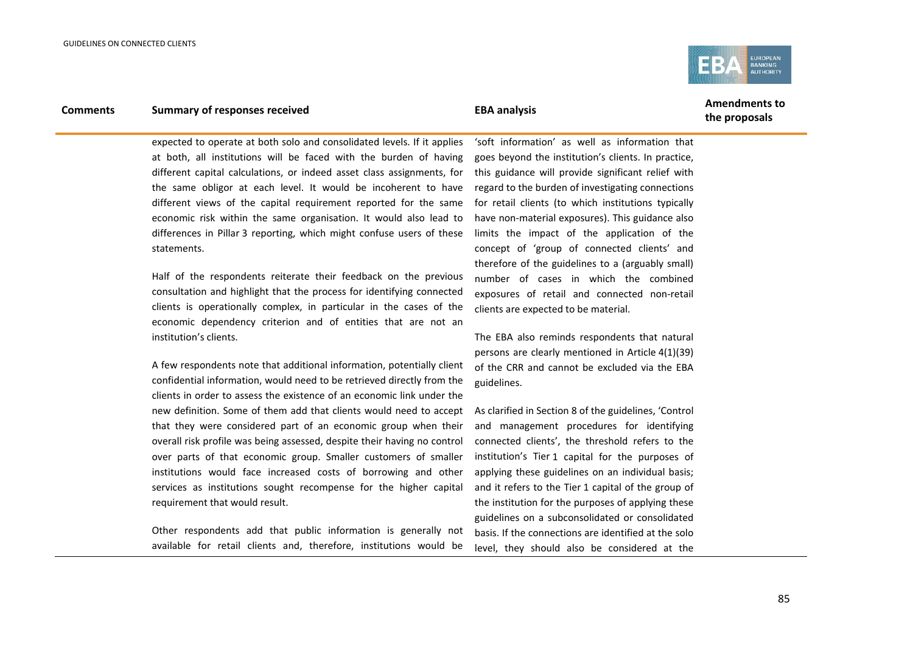

### **Comments Summary of responses received EBA analysis EBA analysis EBA EBA** analysis

**the proposals**

expected to operate at both solo and consolidated levels. If it applies at both, all institutions will be faced with the burden of having different capital calculations, or indeed asset class assignments, for the same obligor at each level. It would be incoherent to have different views of the capital requirement reported for the same economic risk within the same organisation. It would also lead to differences in Pillar 3 reporting, which might confuse users of these statements.

Half of the respondents reiterate their feedback on the previous consultation and highlight that the process for identifying connected clients is operationally complex, in particular in the cases of the economic dependency criterion and of entities that are not an institution's clients.

A few respondents note that additional information, potentially client confidential information, would need to be retrieved directly from the clients in order to assess the existence of an economic link under the new definition. Some of them add that clients would need to accept that they were considered part of an economic group when their overall risk profile was being assessed, despite their having no control over parts of that economic group. Smaller customers of smaller institutions would face increased costs of borrowing and other services as institutions sought recompense for the higher capital requirement that would result.

Other respondents add that public information is generally not available for retail clients and, therefore, institutions would be

'soft information' as well as information that goes beyond the institution's clients. In practice, this guidance will provide significant relief with regard to the burden of investigating connections for retail clients (to which institutions typically have non-material exposures). This guidance also limits the impact of the application of the concept of 'group of connected clients' and therefore of the guidelines to a (arguably small) number of cases in which the combined exposures of retail and connected non-retail clients are expected to be material.

The EBA also reminds respondents that natural persons are clearly mentioned in Article 4(1)(39) of the CRR and cannot be excluded via the EBA guidelines.

As clarified in Section 8 of the guidelines, 'Control and management procedures for identifying connected clients', the threshold refers to the institution's Tier 1 capital for the purposes of applying these guidelines on an individual basis; and it refers to the Tier 1 capital of the group of the institution for the purposes of applying these guidelines on a subconsolidated or consolidated basis. If the connections are identified at the solo level, they should also be considered at the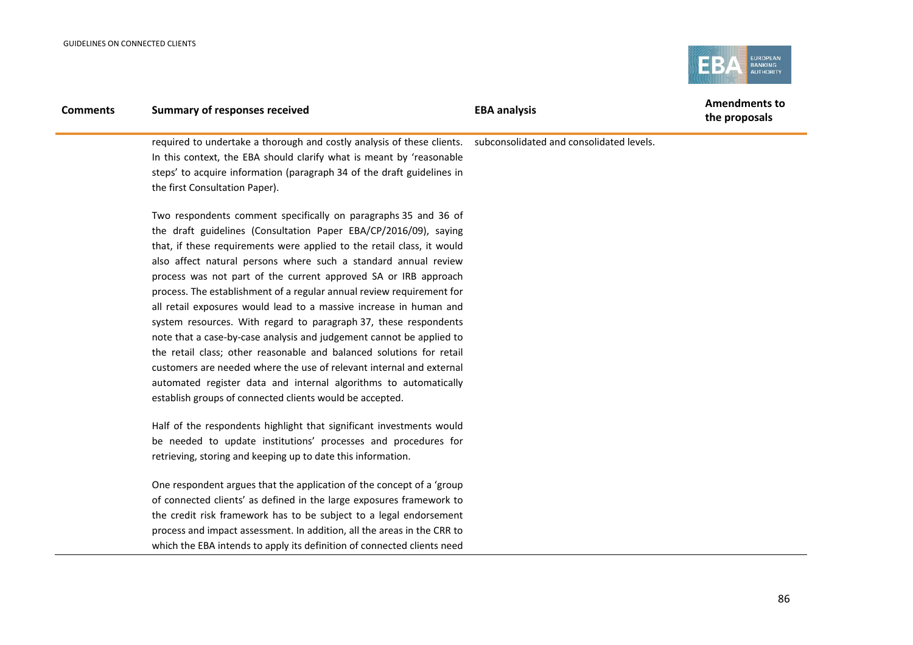

| <b>Comments</b> | <b>Summary of responses received</b>                                                                             | <b>EBA analysis</b> | <b>Amendments to</b><br>the proposals |
|-----------------|------------------------------------------------------------------------------------------------------------------|---------------------|---------------------------------------|
|                 | required to undertake a thorough and costly analysis of these clients.  subconsolidated and consolidated levels. |                     |                                       |
|                 | In this context, the EBA should clarify what is meant by 'reasonable                                             |                     |                                       |
|                 | steps' to acquire information (paragraph 34 of the draft guidelines in                                           |                     |                                       |
|                 | the first Consultation Paper).                                                                                   |                     |                                       |
|                 | Two respondents comment specifically on paragraphs 35 and 36 of                                                  |                     |                                       |
|                 | the draft guidelines (Consultation Paper EBA/CP/2016/09), saying                                                 |                     |                                       |
|                 | that, if these requirements were applied to the retail class, it would                                           |                     |                                       |
|                 | also affect natural persons where such a standard annual review                                                  |                     |                                       |
|                 | process was not part of the current approved SA or IRB approach                                                  |                     |                                       |
|                 | process. The establishment of a regular annual review requirement for                                            |                     |                                       |
|                 | all retail exposures would lead to a massive increase in human and                                               |                     |                                       |
|                 | system resources. With regard to paragraph 37, these respondents                                                 |                     |                                       |
|                 | note that a case-by-case analysis and judgement cannot be applied to                                             |                     |                                       |
|                 | the retail class; other reasonable and balanced solutions for retail                                             |                     |                                       |
|                 | customers are needed where the use of relevant internal and external                                             |                     |                                       |
|                 | automated register data and internal algorithms to automatically                                                 |                     |                                       |
|                 | establish groups of connected clients would be accepted.                                                         |                     |                                       |
|                 |                                                                                                                  |                     |                                       |

Half of the respondents highlight that significant investments would be needed to update institutions' processes and procedures for retrieving, storing and keeping up to date this information.

One respondent argues that the application of the concept of a 'group of connected clients' as defined in the large exposures framework to the credit risk framework has to be subject to a legal endorsement process and impact assessment. In addition, all the areas in the CRR to which the EBA intends to apply its definition of connected clients need

86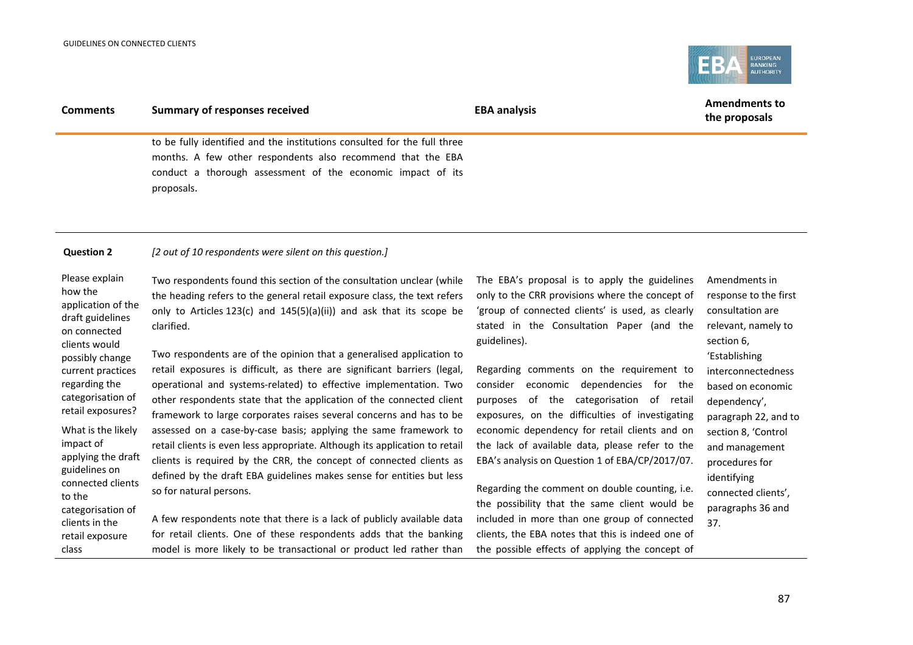

| <b>Comments</b>                                                                                                                                                                                                                                                                                                                                                            | <b>Summary of responses received</b>                                                                                                                                                                                                                                                                                                                                                                                                                                                                                                                                                                                                                                                                                                                                                                                                                                                                                                                                                                                                                                                          | <b>EBA analysis</b>                                                                                                                                                                                                                                                                                                                                                                                                                                                                                                                                                                                                                                                                                                                                                      | <b>Amendments to</b><br>the proposals                                                                                                                                                                                                                                                                                            |
|----------------------------------------------------------------------------------------------------------------------------------------------------------------------------------------------------------------------------------------------------------------------------------------------------------------------------------------------------------------------------|-----------------------------------------------------------------------------------------------------------------------------------------------------------------------------------------------------------------------------------------------------------------------------------------------------------------------------------------------------------------------------------------------------------------------------------------------------------------------------------------------------------------------------------------------------------------------------------------------------------------------------------------------------------------------------------------------------------------------------------------------------------------------------------------------------------------------------------------------------------------------------------------------------------------------------------------------------------------------------------------------------------------------------------------------------------------------------------------------|--------------------------------------------------------------------------------------------------------------------------------------------------------------------------------------------------------------------------------------------------------------------------------------------------------------------------------------------------------------------------------------------------------------------------------------------------------------------------------------------------------------------------------------------------------------------------------------------------------------------------------------------------------------------------------------------------------------------------------------------------------------------------|----------------------------------------------------------------------------------------------------------------------------------------------------------------------------------------------------------------------------------------------------------------------------------------------------------------------------------|
|                                                                                                                                                                                                                                                                                                                                                                            | to be fully identified and the institutions consulted for the full three<br>months. A few other respondents also recommend that the EBA<br>conduct a thorough assessment of the economic impact of its<br>proposals.                                                                                                                                                                                                                                                                                                                                                                                                                                                                                                                                                                                                                                                                                                                                                                                                                                                                          |                                                                                                                                                                                                                                                                                                                                                                                                                                                                                                                                                                                                                                                                                                                                                                          |                                                                                                                                                                                                                                                                                                                                  |
| <b>Question 2</b>                                                                                                                                                                                                                                                                                                                                                          | [2 out of 10 respondents were silent on this question.]                                                                                                                                                                                                                                                                                                                                                                                                                                                                                                                                                                                                                                                                                                                                                                                                                                                                                                                                                                                                                                       |                                                                                                                                                                                                                                                                                                                                                                                                                                                                                                                                                                                                                                                                                                                                                                          |                                                                                                                                                                                                                                                                                                                                  |
| Please explain<br>how the<br>application of the<br>draft guidelines<br>on connected<br>clients would<br>possibly change<br>current practices<br>regarding the<br>categorisation of<br>retail exposures?<br>What is the likely<br>impact of<br>applying the draft<br>guidelines on<br>connected clients<br>to the<br>categorisation of<br>clients in the<br>retail exposure | Two respondents found this section of the consultation unclear (while<br>the heading refers to the general retail exposure class, the text refers<br>only to Articles 123(c) and 145(5)(a)(ii)) and ask that its scope be<br>clarified.<br>Two respondents are of the opinion that a generalised application to<br>retail exposures is difficult, as there are significant barriers (legal,<br>operational and systems-related) to effective implementation. Two<br>other respondents state that the application of the connected client<br>framework to large corporates raises several concerns and has to be<br>assessed on a case-by-case basis; applying the same framework to<br>retail clients is even less appropriate. Although its application to retail<br>clients is required by the CRR, the concept of connected clients as<br>defined by the draft EBA guidelines makes sense for entities but less<br>so for natural persons.<br>A few respondents note that there is a lack of publicly available data<br>for retail clients. One of these respondents adds that the banking | The EBA's proposal is to apply the guidelines<br>only to the CRR provisions where the concept of<br>'group of connected clients' is used, as clearly<br>stated in the Consultation Paper (and the<br>guidelines).<br>Regarding comments on the requirement to<br>consider economic dependencies for the<br>of the categorisation of retail<br>purposes<br>exposures, on the difficulties of investigating<br>economic dependency for retail clients and on<br>the lack of available data, please refer to the<br>EBA's analysis on Question 1 of EBA/CP/2017/07.<br>Regarding the comment on double counting, i.e.<br>the possibility that the same client would be<br>included in more than one group of connected<br>clients, the EBA notes that this is indeed one of | Amendments in<br>response to the first<br>consultation are<br>relevant, namely to<br>section 6,<br>'Establishing<br>interconnectedness<br>based on economic<br>dependency',<br>paragraph 22, and to<br>section 8, 'Control<br>and management<br>procedures for<br>identifying<br>connected clients',<br>paragraphs 36 and<br>37. |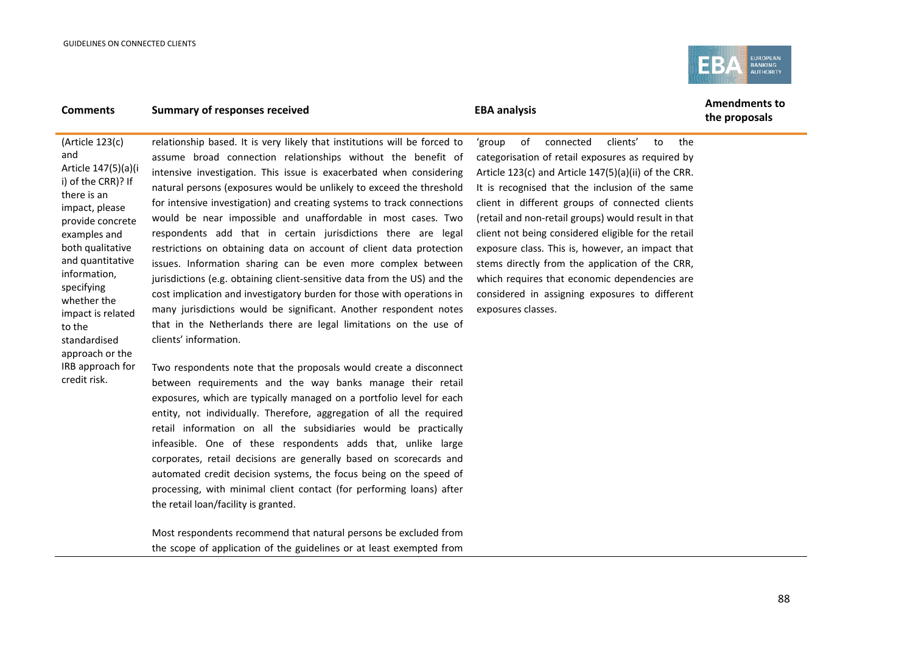and

specifying

approach or the

credit risk.

to the



### **Comments Summary of responses received EBA** analysis **EBA** analysis **Amendments to**

**the proposals**

(Article 123(c) Article 147(5)(a)(i i) of the CRR)? If there is an impact, please provide concrete examples and both qualitative and quantitative information, whether the impact is related standardised relationship based. It is very likely that institutions will be forced to assume broad connection relationships without the benefit of intensive investigation. This issue is exacerbated when considering natural persons (exposures would be unlikely to exceed the threshold for intensive investigation) and creating systems to track connections would be near impossible and unaffordable in most cases. Two respondents add that in certain jurisdictions there are legal restrictions on obtaining data on account of client data protection issues. Information sharing can be even more complex between jurisdictions (e.g. obtaining client-sensitive data from the US) and the cost implication and investigatory burden for those with operations in many jurisdictions would be significant. Another respondent notes that in the Netherlands there are legal limitations on the use of clients' information.

IRB approach for Two respondents note that the proposals would create a disconnect between requirements and the way banks manage their retail exposures, which are typically managed on a portfolio level for each entity, not individually. Therefore, aggregation of all the required retail information on all the subsidiaries would be practically infeasible. One of these respondents adds that, unlike large corporates, retail decisions are generally based on scorecards and automated credit decision systems, the focus being on the speed of processing, with minimal client contact (for performing loans) after the retail loan/facility is granted.

> Most respondents recommend that natural persons be excluded from the scope of application of the guidelines or at least exempted from

'group of connected clients' to the categorisation of retail exposures as required by Article 123(c) and Article 147(5)(a)(ii) of the CRR. It is recognised that the inclusion of the same client in different groups of connected clients (retail and non-retail groups) would result in that client not being considered eligible for the retail exposure class. This is, however, an impact that stems directly from the application of the CRR, which requires that economic dependencies are considered in assigning exposures to different exposures classes.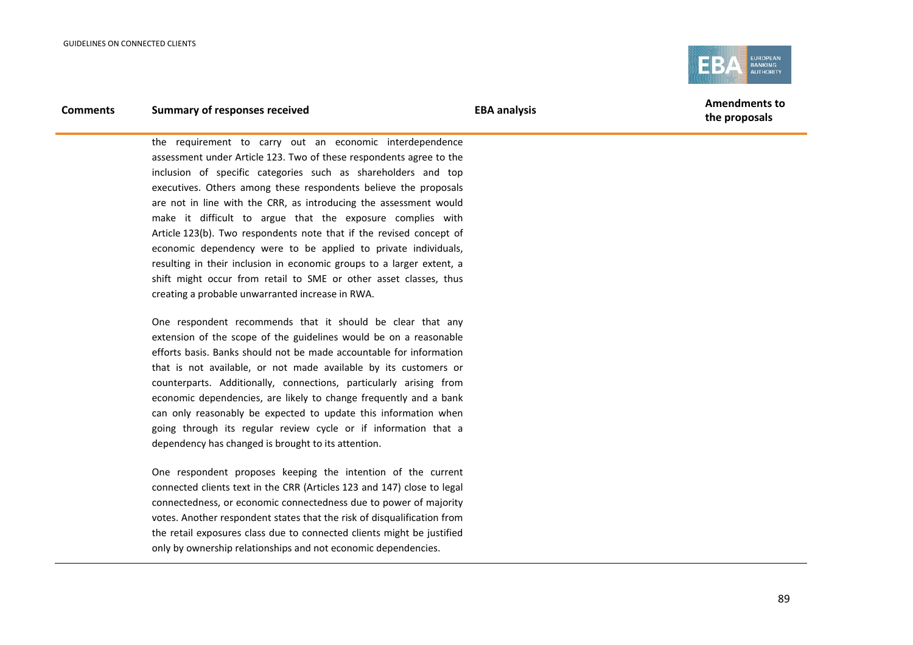

the requirement to carry out an economic interdependence assessment under Article 123. Two of these respondents agree to the inclusion of specific categories such as shareholders and top executives. Others among these respondents believe the proposals are not in line with the CRR, as introducing the assessment would make it difficult to argue that the exposure complies with Article 123(b). Two respondents note that if the revised concept of economic dependency were to be applied to private individuals, resulting in their inclusion in economic groups to a larger extent, a shift might occur from retail to SME or other asset classes, thus creating a probable unwarranted increase in RWA.

One respondent recommends that it should be clear that any extension of the scope of the guidelines would be on a reasonable efforts basis. Banks should not be made accountable for information that is not available, or not made available by its customers or counterparts. Additionally, connections, particularly arising from economic dependencies, are likely to change frequently and a bank can only reasonably be expected to update this information when going through its regular review cycle or if information that a dependency has changed is brought to its attention.

One respondent proposes keeping the intention of the current connected clients text in the CRR (Articles 123 and 147) close to legal connectedness, or economic connectedness due to power of majority votes. Another respondent states that the risk of disqualification from the retail exposures class due to connected clients might be justified only by ownership relationships and not economic dependencies.

**the proposals**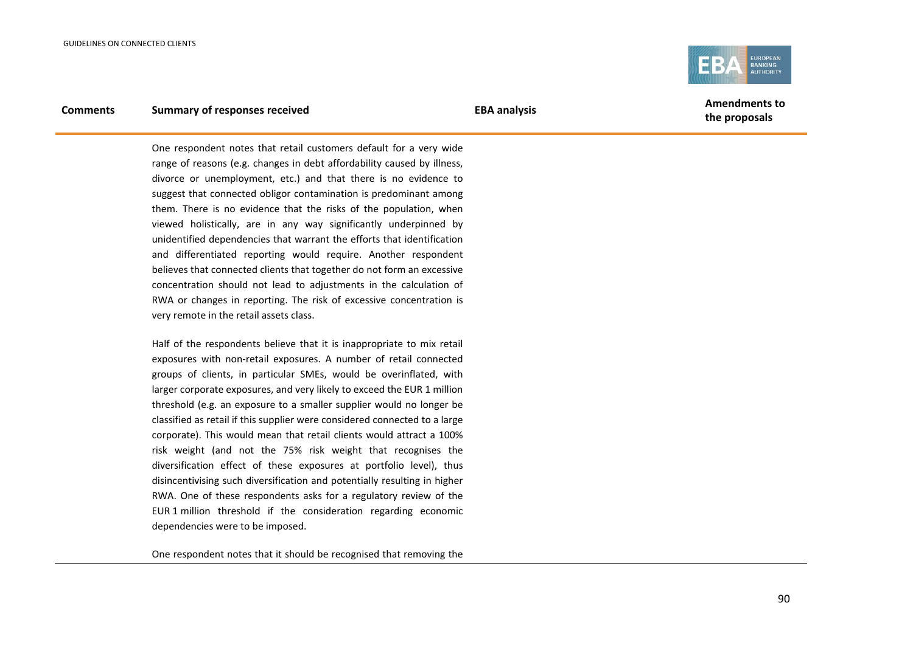

One respondent notes that retail customers default for a very wide range of reasons (e.g. changes in debt affordability caused by illness, divorce or unemployment, etc.) and that there is no evidence to suggest that connected obligor contamination is predominant among them. There is no evidence that the risks of the population, when viewed holistically, are in any way significantly underpinned by unidentified dependencies that warrant the efforts that identification and differentiated reporting would require. Another respondent believes that connected clients that together do not form an excessive concentration should not lead to adjustments in the calculation of RWA or changes in reporting. The risk of excessive concentration is very remote in the retail assets class.

Half of the respondents believe that it is inappropriate to mix retail exposures with non-retail exposures. A number of retail connected groups of clients, in particular SMEs, would be overinflated, with larger corporate exposures, and very likely to exceed the EUR 1 million threshold (e.g. an exposure to a smaller supplier would no longer be classified as retail if this supplier were considered connected to a large corporate). This would mean that retail clients would attract a 100% risk weight (and not the 75% risk weight that recognises the diversification effect of these exposures at portfolio level), thus disincentivising such diversification and potentially resulting in higher RWA. One of these respondents asks for a regulatory review of the EUR 1 million threshold if the consideration regarding economic dependencies were to be imposed.

One respondent notes that it should be recognised that removing the

**the proposals**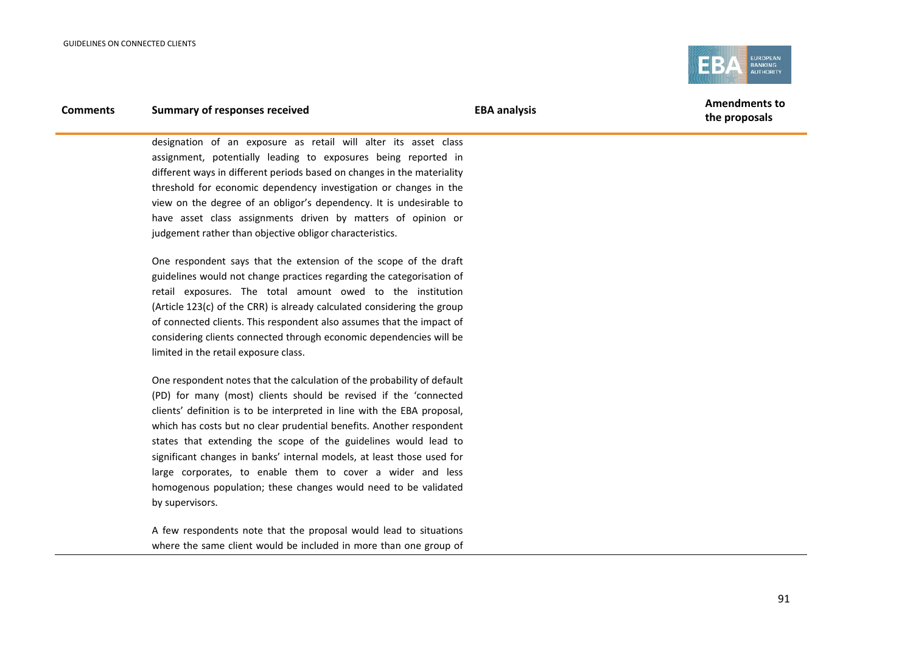

# **Comments Summary of responses received EBA analysis EBA analysis EBA EBA** analysis

designation of an exposure as retail will alter its asset class assignment, potentially leading to exposures being reported in different ways in different periods based on changes in the materiality threshold for economic dependency investigation or changes in the view on the degree of an obligor's dependency. It is undesirable to have asset class assignments driven by matters of opinion or judgement rather than objective obligor characteristics.

One respondent says that the extension of the scope of the draft guidelines would not change practices regarding the categorisation of retail exposures. The total amount owed to the institution (Article 123(c) of the CRR) is already calculated considering the group of connected clients. This respondent also assumes that the impact of considering clients connected through economic dependencies will be limited in the retail exposure class.

One respondent notes that the calculation of the probability of default (PD) for many (most) clients should be revised if the 'connected clients' definition is to be interpreted in line with the EBA proposal, which has costs but no clear prudential benefits. Another respondent states that extending the scope of the guidelines would lead to significant changes in banks' internal models, at least those used for large corporates, to enable them to cover a wider and less homogenous population; these changes would need to be validated by supervisors.

A few respondents note that the proposal would lead to situations where the same client would be included in more than one group of

91

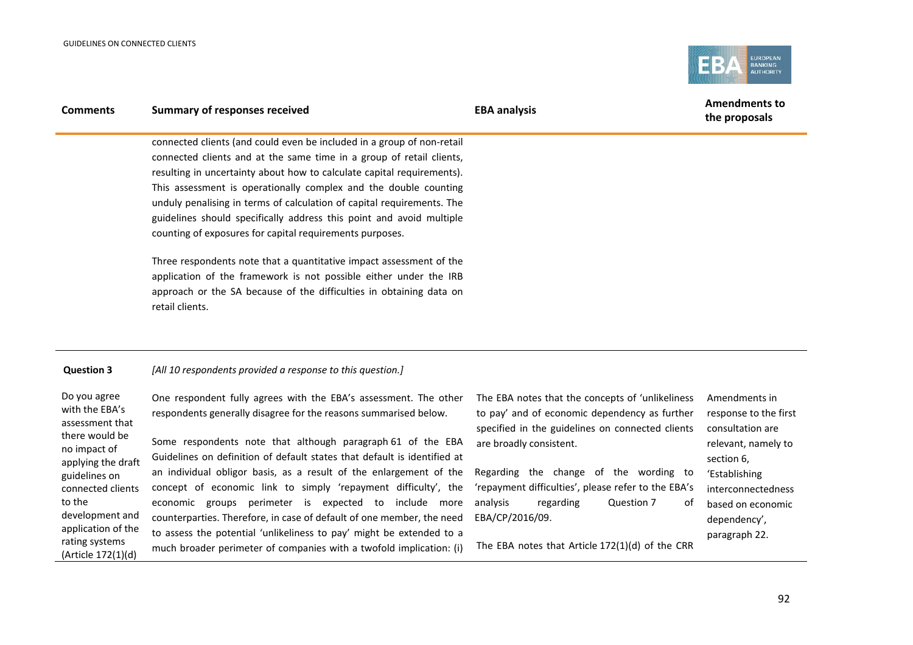

| <b>Comments</b>                                                                                                                                                                                                                            | <b>Summary of responses received</b>                                                                                                                                                                                                                                                                                                                                                                                                                                                                                                                                                                                                                                                                     | <b>EBA analysis</b>                                                                                                                                                                                                                                                                                                                                                                                    | <b>Amendments to</b><br>the proposals                                                                                                                                                        |
|--------------------------------------------------------------------------------------------------------------------------------------------------------------------------------------------------------------------------------------------|----------------------------------------------------------------------------------------------------------------------------------------------------------------------------------------------------------------------------------------------------------------------------------------------------------------------------------------------------------------------------------------------------------------------------------------------------------------------------------------------------------------------------------------------------------------------------------------------------------------------------------------------------------------------------------------------------------|--------------------------------------------------------------------------------------------------------------------------------------------------------------------------------------------------------------------------------------------------------------------------------------------------------------------------------------------------------------------------------------------------------|----------------------------------------------------------------------------------------------------------------------------------------------------------------------------------------------|
|                                                                                                                                                                                                                                            | connected clients (and could even be included in a group of non-retail<br>connected clients and at the same time in a group of retail clients,<br>resulting in uncertainty about how to calculate capital requirements).<br>This assessment is operationally complex and the double counting<br>unduly penalising in terms of calculation of capital requirements. The<br>guidelines should specifically address this point and avoid multiple<br>counting of exposures for capital requirements purposes.                                                                                                                                                                                               |                                                                                                                                                                                                                                                                                                                                                                                                        |                                                                                                                                                                                              |
|                                                                                                                                                                                                                                            | Three respondents note that a quantitative impact assessment of the<br>application of the framework is not possible either under the IRB<br>approach or the SA because of the difficulties in obtaining data on<br>retail clients.                                                                                                                                                                                                                                                                                                                                                                                                                                                                       |                                                                                                                                                                                                                                                                                                                                                                                                        |                                                                                                                                                                                              |
| <b>Question 3</b>                                                                                                                                                                                                                          | [All 10 respondents provided a response to this question.]                                                                                                                                                                                                                                                                                                                                                                                                                                                                                                                                                                                                                                               |                                                                                                                                                                                                                                                                                                                                                                                                        |                                                                                                                                                                                              |
| Do you agree<br>with the EBA's<br>assessment that<br>there would be<br>no impact of<br>applying the draft<br>guidelines on<br>connected clients<br>to the<br>development and<br>application of the<br>rating systems<br>(Article 172(1)(d) | One respondent fully agrees with the EBA's assessment. The other<br>respondents generally disagree for the reasons summarised below.<br>Some respondents note that although paragraph 61 of the EBA<br>Guidelines on definition of default states that default is identified at<br>an individual obligor basis, as a result of the enlargement of the<br>concept of economic link to simply 'repayment difficulty', the<br>economic groups perimeter is expected to include more<br>counterparties. Therefore, in case of default of one member, the need<br>to assess the potential 'unlikeliness to pay' might be extended to a<br>much broader perimeter of companies with a twofold implication: (i) | The EBA notes that the concepts of 'unlikeliness<br>to pay' and of economic dependency as further<br>specified in the guidelines on connected clients<br>are broadly consistent.<br>Regarding the change of the wording to<br>'repayment difficulties', please refer to the EBA's<br>analysis<br>regarding<br>Question 7<br>οf<br>EBA/CP/2016/09.<br>The EBA notes that Article $172(1)(d)$ of the CRR | Amendments in<br>response to the first<br>consultation are<br>relevant, namely to<br>section 6,<br>'Establishing<br>interconnectedness<br>based on economic<br>dependency',<br>paragraph 22. |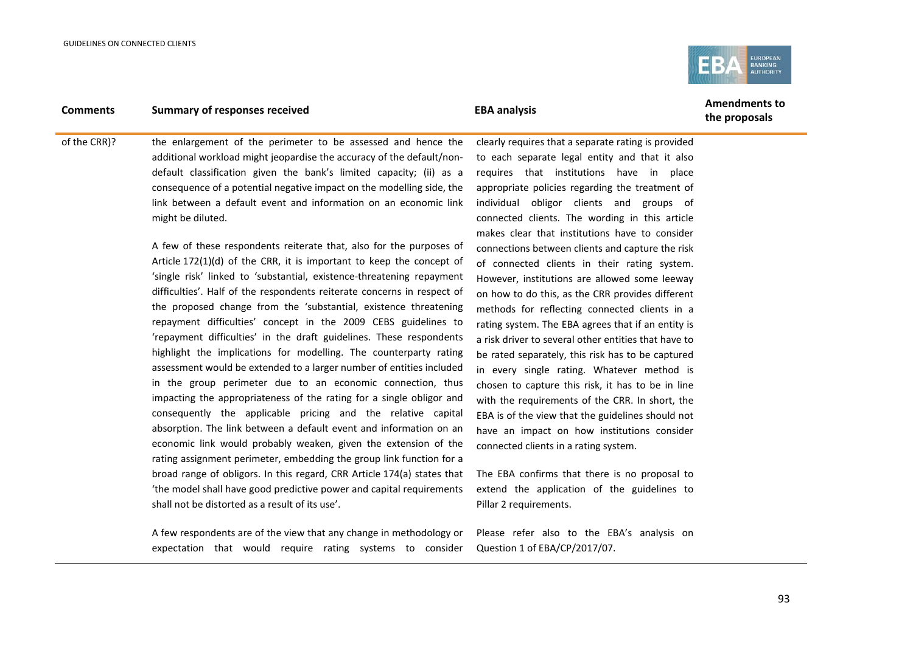

**the proposals**

of the CRR)? the enlargement of the perimeter to be assessed and hence the additional workload might jeopardise the accuracy of the default/nondefault classification given the bank's limited capacity; (ii) as a consequence of a potential negative impact on the modelling side, the link between a default event and information on an economic link might be diluted.

> A few of these respondents reiterate that, also for the purposes of Article 172(1)(d) of the CRR, it is important to keep the concept of 'single risk' linked to 'substantial, existence-threatening repayment difficulties'. Half of the respondents reiterate concerns in respect of the proposed change from the 'substantial, existence threatening repayment difficulties' concept in the 2009 CEBS guidelines to 'repayment difficulties' in the draft guidelines. These respondents highlight the implications for modelling. The counterparty rating assessment would be extended to a larger number of entities included in the group perimeter due to an economic connection, thus impacting the appropriateness of the rating for a single obligor and consequently the applicable pricing and the relative capital absorption. The link between a default event and information on an economic link would probably weaken, given the extension of the rating assignment perimeter, embedding the group link function for a broad range of obligors. In this regard, CRR Article 174(a) states that 'the model shall have good predictive power and capital requirements shall not be distorted as a result of its use'.

> A few respondents are of the view that any change in methodology or expectation that would require rating systems to consider

clearly requires that a separate rating is provided to each separate legal entity and that it also requires that institutions have in place appropriate policies regarding the treatment of individual obligor clients and groups of connected clients. The wording in this article makes clear that institutions have to consider connections between clients and capture the risk of connected clients in their rating system. However, institutions are allowed some leeway on how to do this, as the CRR provides different methods for reflecting connected clients in a rating system. The EBA agrees that if an entity is a risk driver to several other entities that have to be rated separately, this risk has to be captured in every single rating. Whatever method is chosen to capture this risk, it has to be in line with the requirements of the CRR. In short, the EBA is of the view that the guidelines should not have an impact on how institutions consider connected clients in a rating system.

The EBA confirms that there is no proposal to extend the application of the guidelines to Pillar 2 requirements.

Please refer also to the EBA's analysis on Question 1 of EBA/CP/2017/07.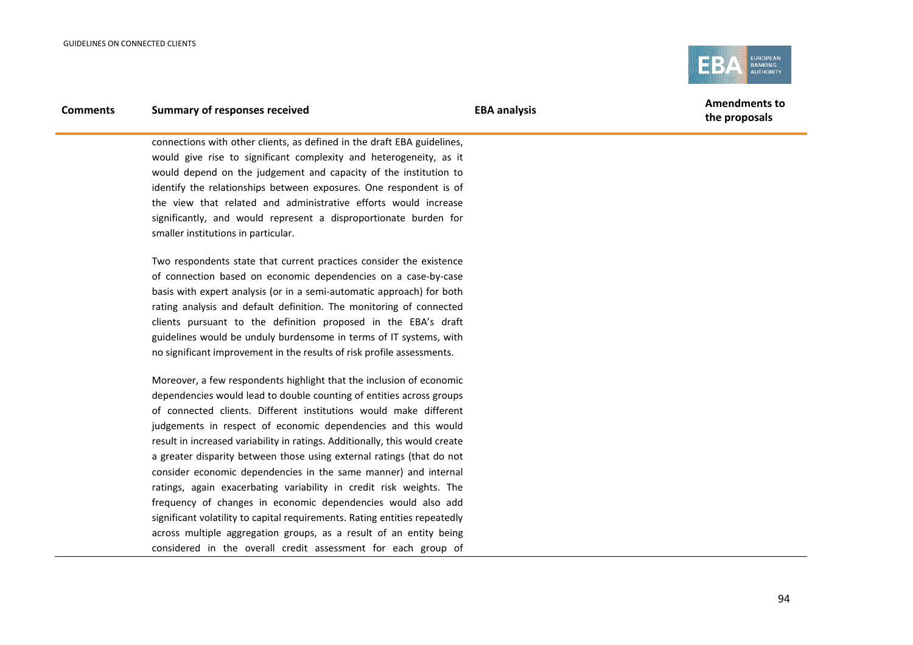

# **Comments Summary of responses received EBA analysis EBA analysis EBA EBA** analysis

connections with other clients, as defined in the draft EBA guidelines, would give rise to significant complexity and heterogeneity, as it would depend on the judgement and capacity of the institution to identify the relationships between exposures. One respondent is of the view that related and administrative efforts would increase significantly, and would represent a disproportionate burden for smaller institutions in particular.

Two respondents state that current practices consider the existence of connection based on economic dependencies on a case-by-case basis with expert analysis (or in a semi-automatic approach) for both rating analysis and default definition. The monitoring of connected clients pursuant to the definition proposed in the EBA's draft guidelines would be unduly burdensome in terms of IT systems, with no significant improvement in the results of risk profile assessments.

Moreover, a few respondents highlight that the inclusion of economic dependencies would lead to double counting of entities across groups of connected clients. Different institutions would make different judgements in respect of economic dependencies and this would result in increased variability in ratings. Additionally, this would create a greater disparity between those using external ratings (that do not consider economic dependencies in the same manner) and internal ratings, again exacerbating variability in credit risk weights. The frequency of changes in economic dependencies would also add significant volatility to capital requirements. Rating entities repeatedly across multiple aggregation groups, as a result of an entity being considered in the overall credit assessment for each group of

**the proposals**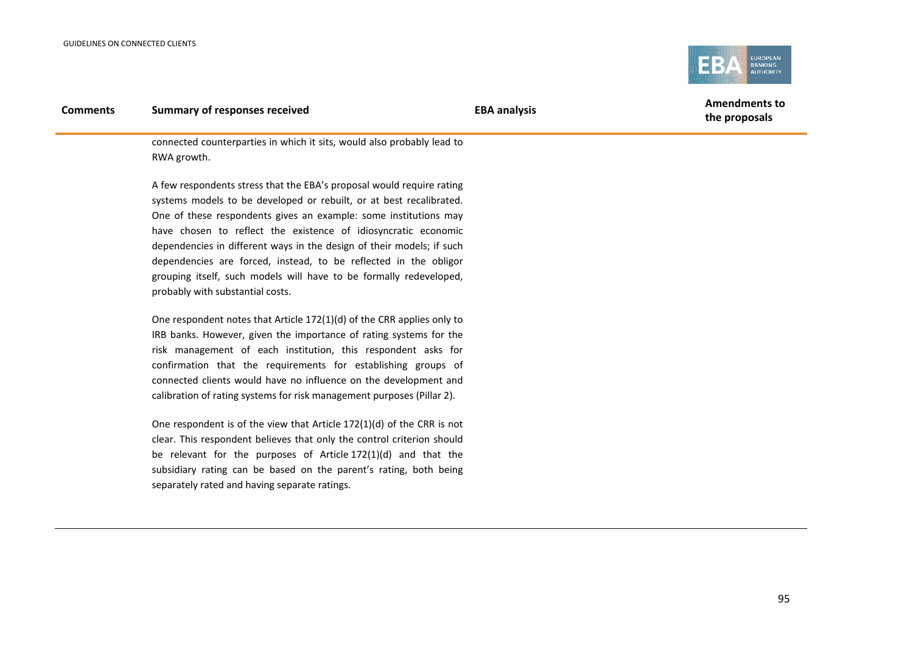

connected counterparties in which it sits, would also probably lead to RWA growth.

A few respondents stress that the EBA's proposal would require rating systems models to be developed or rebuilt, or at best recalibrated. One of these respondents gives an example: some institutions may have chosen to reflect the existence of idiosyncratic economic dependencies in different ways in the design of their models; if such dependencies are forced, instead, to be reflected in the obligor grouping itself, such models will have to be formally redeveloped, probably with substantial costs.

One respondent notes that Article 172(1)(d) of the CRR applies only to IRB banks. However, given the importance of rating systems for the risk management of each institution, this respondent asks for confirmation that the requirements for establishing groups of connected clients would have no influence on the development and calibration of rating systems for risk management purposes (Pillar 2).

One respondent is of the view that Article 172(1)(d) of the CRR is not clear. This respondent believes that only the control criterion should be relevant for the purposes of Article 172(1)(d) and that the subsidiary rating can be based on the parent's rating, both being separately rated and having separate ratings.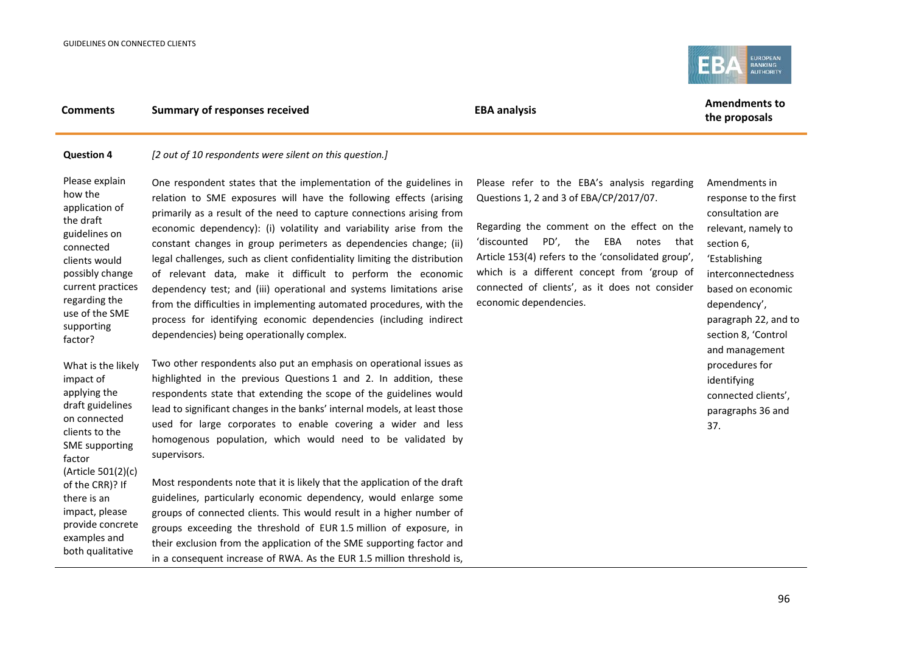

#### **Question 4** *[2 out of 10 respondents were silent on this question.]*

Please explain how the application of the draft guidelines on connected clients would possibly change current practices regarding the use of the SME supporting factor?

factor

One respondent states that the implementation of the guidelines in relation to SME exposures will have the following effects (arising primarily as a result of the need to capture connections arising from economic dependency): (i) volatility and variability arise from the constant changes in group perimeters as dependencies change; (ii) legal challenges, such as client confidentiality limiting the distribution of relevant data, make it difficult to perform the economic dependency test; and (iii) operational and systems limitations arise from the difficulties in implementing automated procedures, with the process for identifying economic dependencies (including indirect dependencies) being operationally complex.

What is the likely impact of applying the draft guidelines on connected clients to the SME supporting Two other respondents also put an emphasis on operational issues as highlighted in the previous Questions 1 and 2. In addition, these respondents state that extending the scope of the guidelines would lead to significant changes in the banks' internal models, at least those used for large corporates to enable covering a wider and less homogenous population, which would need to be validated by supervisors.

(Article 501(2)(c) of the CRR)? If there is an impact, please provide concrete examples and both qualitative Most respondents note that it is likely that the application of the draft guidelines, particularly economic dependency, would enlarge some groups of connected clients. This would result in a higher number of groups exceeding the threshold of EUR 1.5 million of exposure, in their exclusion from the application of the SME supporting factor and in a consequent increase of RWA. As the EUR 1.5 million threshold is,

Please refer to the EBA's analysis regarding Questions 1, 2 and 3 of EBA/CP/2017/07.

Regarding the comment on the effect on the 'discounted PD', the EBA notes that Article 153(4) refers to the 'consolidated group', which is a different concept from 'group of connected of clients', as it does not consider economic dependencies.

Amendments in response to the first consultation are relevant, namely to section 6, 'Establishing interconnectedness based on economic dependency', paragraph 22, and to section 8, 'Control and management procedures for identifying connected clients', paragraphs 36 and 37.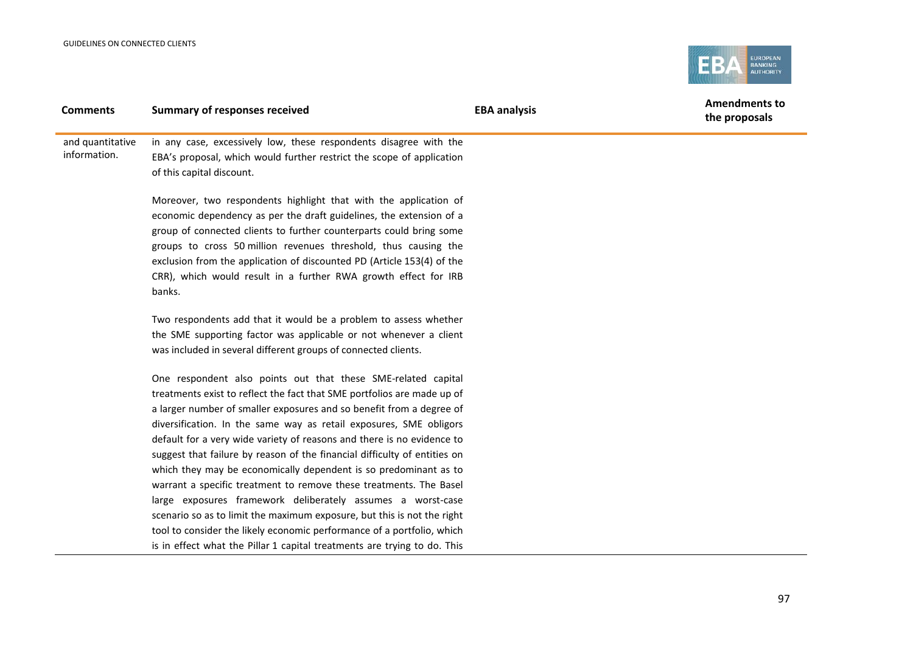

| <b>Comments</b>  | <b>Summary of responses received</b>                                      | <b>EBA analysis</b> | <b>Amendments to</b><br>the proposals |
|------------------|---------------------------------------------------------------------------|---------------------|---------------------------------------|
| and quantitative | in any case, excessively low, these respondents disagree with the         |                     |                                       |
| information.     | EBA's proposal, which would further restrict the scope of application     |                     |                                       |
|                  | of this capital discount.                                                 |                     |                                       |
|                  | Moreover, two respondents highlight that with the application of          |                     |                                       |
|                  | economic dependency as per the draft guidelines, the extension of a       |                     |                                       |
|                  | group of connected clients to further counterparts could bring some       |                     |                                       |
|                  | groups to cross 50 million revenues threshold, thus causing the           |                     |                                       |
|                  | exclusion from the application of discounted PD (Article 153(4) of the    |                     |                                       |
|                  | CRR), which would result in a further RWA growth effect for IRB           |                     |                                       |
|                  | banks.                                                                    |                     |                                       |
|                  | Two respondents add that it would be a problem to assess whether          |                     |                                       |
|                  | the SME supporting factor was applicable or not whenever a client         |                     |                                       |
|                  | was included in several different groups of connected clients.            |                     |                                       |
|                  | One respondent also points out that these SME-related capital             |                     |                                       |
|                  | treatments exist to reflect the fact that SME portfolios are made up of   |                     |                                       |
|                  | a larger number of smaller exposures and so benefit from a degree of      |                     |                                       |
|                  | diversification. In the same way as retail exposures, SME obligors        |                     |                                       |
|                  | default for a very wide variety of reasons and there is no evidence to    |                     |                                       |
|                  | suggest that failure by reason of the financial difficulty of entities on |                     |                                       |
|                  | which they may be economically dependent is so predominant as to          |                     |                                       |
|                  | warrant a specific treatment to remove these treatments. The Basel        |                     |                                       |
|                  | large exposures framework deliberately assumes a worst-case               |                     |                                       |
|                  | scenario so as to limit the maximum exposure, but this is not the right   |                     |                                       |

tool to consider the likely economic performance of a portfolio, which is in effect what the Pillar 1 capital treatments are trying to do. This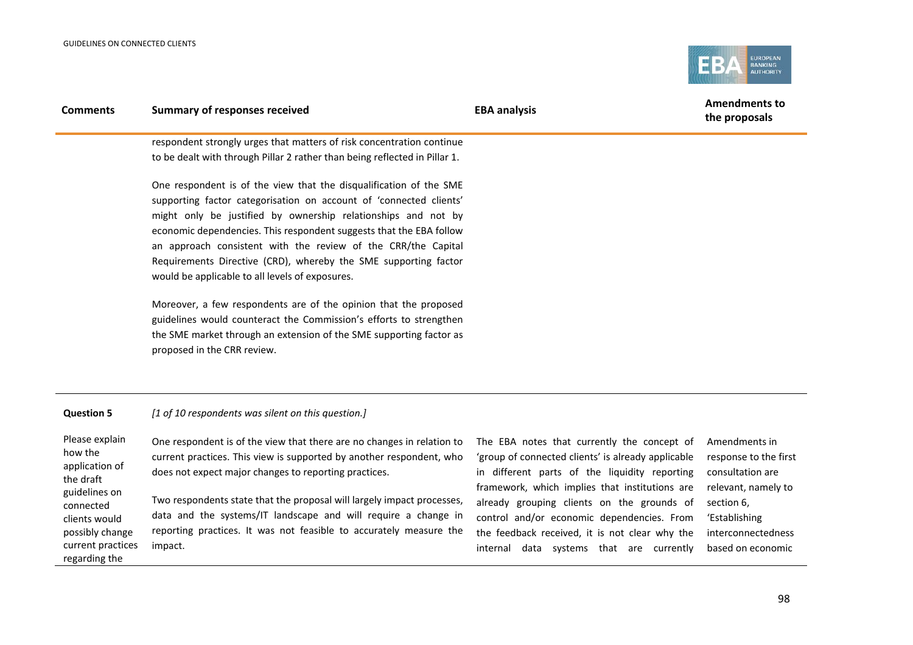connected



| <b>Comments</b>                                          | <b>Summary of responses received</b>                                                                                                                                                                                                                                                                                                                                                                                                                                                                                                                                                                                                                                                                                    | <b>EBA analysis</b>                                                                                                                                | <b>Amendments to</b><br>the proposals                      |
|----------------------------------------------------------|-------------------------------------------------------------------------------------------------------------------------------------------------------------------------------------------------------------------------------------------------------------------------------------------------------------------------------------------------------------------------------------------------------------------------------------------------------------------------------------------------------------------------------------------------------------------------------------------------------------------------------------------------------------------------------------------------------------------------|----------------------------------------------------------------------------------------------------------------------------------------------------|------------------------------------------------------------|
|                                                          | respondent strongly urges that matters of risk concentration continue<br>to be dealt with through Pillar 2 rather than being reflected in Pillar 1.                                                                                                                                                                                                                                                                                                                                                                                                                                                                                                                                                                     |                                                                                                                                                    |                                                            |
|                                                          | One respondent is of the view that the disqualification of the SME<br>supporting factor categorisation on account of 'connected clients'<br>might only be justified by ownership relationships and not by<br>economic dependencies. This respondent suggests that the EBA follow<br>an approach consistent with the review of the CRR/the Capital<br>Requirements Directive (CRD), whereby the SME supporting factor<br>would be applicable to all levels of exposures.<br>Moreover, a few respondents are of the opinion that the proposed<br>guidelines would counteract the Commission's efforts to strengthen<br>the SME market through an extension of the SME supporting factor as<br>proposed in the CRR review. |                                                                                                                                                    |                                                            |
| <b>Question 5</b>                                        | [1 of 10 respondents was silent on this question.]                                                                                                                                                                                                                                                                                                                                                                                                                                                                                                                                                                                                                                                                      |                                                                                                                                                    |                                                            |
| Please explain<br>how the<br>application of<br>the draft | One respondent is of the view that there are no changes in relation to<br>current practices. This view is supported by another respondent, who<br>does not expect major changes to reporting practices.                                                                                                                                                                                                                                                                                                                                                                                                                                                                                                                 | The EBA notes that currently the concept of<br>'group of connected clients' is already applicable<br>in different parts of the liquidity reporting | Amendments in<br>response to the first<br>consultation are |

guidelines on clients would possibly change current practices regarding the Two respondents state that the proposal will largely impact processes, data and the systems/IT landscape and will require a change in reporting practices. It was not feasible to accurately measure the impact.

in different parts of the liquidity reporting framework, which implies that institutions are already grouping clients on the grounds of control and/or economic dependencies. From the feedback received, it is not clear why the internal data systems that are currently

consultation are relevant, namely to section 6, 'Establishing interconnectedness based on economic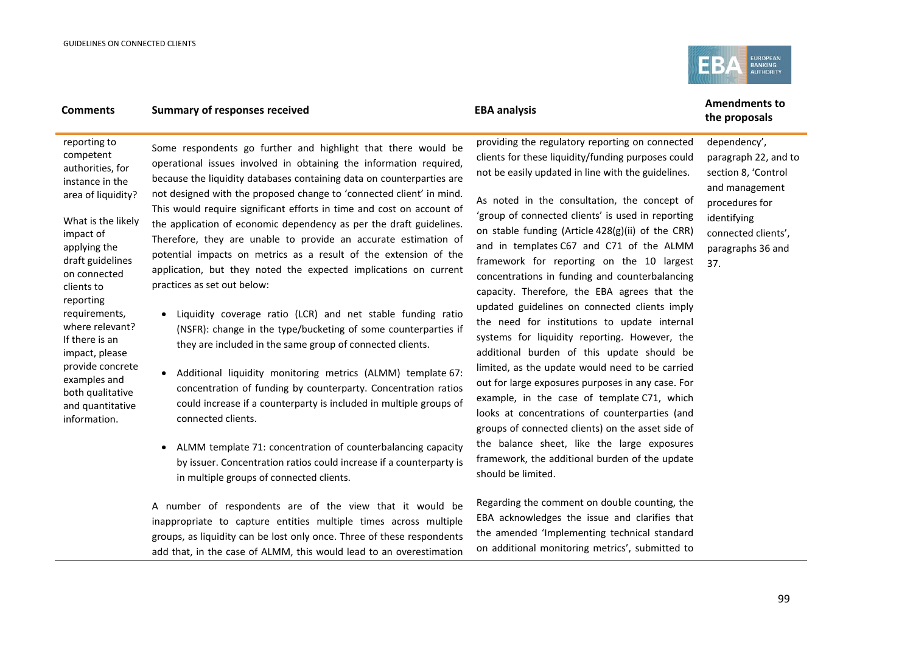

reporting to competent authorities, for instance in the area of liquidity?

What is the likely impact of applying the draft guidelines on connected clients to reporting requirements, where relevant? If there is an impact, please provide concrete examples and both qualitative and quantitative information.

Some respondents go further and highlight that there would be operational issues involved in obtaining the information required, because the liquidity databases containing data on counterparties are not designed with the proposed change to 'connected client' in mind. This would require significant efforts in time and cost on account of the application of economic dependency as per the draft guidelines. Therefore, they are unable to provide an accurate estimation of potential impacts on metrics as a result of the extension of the application, but they noted the expected implications on current practices as set out below:

- Liquidity coverage ratio (LCR) and net stable funding ratio (NSFR): change in the type/bucketing of some counterparties if they are included in the same group of connected clients.
- Additional liquidity monitoring metrics (ALMM) template 67: concentration of funding by counterparty. Concentration ratios could increase if a counterparty is included in multiple groups of connected clients.
- ALMM template 71: concentration of counterbalancing capacity by issuer. Concentration ratios could increase if a counterparty is in multiple groups of connected clients.

A number of respondents are of the view that it would be inappropriate to capture entities multiple times across multiple groups, as liquidity can be lost only once. Three of these respondents add that, in the case of ALMM, this would lead to an overestimation providing the regulatory reporting on connected clients for these liquidity/funding purposes could not be easily updated in line with the guidelines.

As noted in the consultation, the concept of 'group of connected clients' is used in reporting on stable funding (Article 428(g)(ii) of the CRR) and in templates C67 and C71 of the ALMM framework for reporting on the 10 largest concentrations in funding and counterbalancing capacity. Therefore, the EBA agrees that the updated guidelines on connected clients imply the need for institutions to update internal systems for liquidity reporting. However, the additional burden of this update should be limited, as the update would need to be carried out for large exposures purposes in any case. For example, in the case of template C71, which looks at concentrations of counterparties (and groups of connected clients) on the asset side of the balance sheet, like the large exposures framework, the additional burden of the update should be limited.

Regarding the comment on double counting, the EBA acknowledges the issue and clarifies that the amended 'Implementing technical standard on additional monitoring metrics', submitted to

# **the proposals**

dependency', paragraph 22, and to section 8, 'Control and management procedures for identifying connected clients', paragraphs 36 and 37.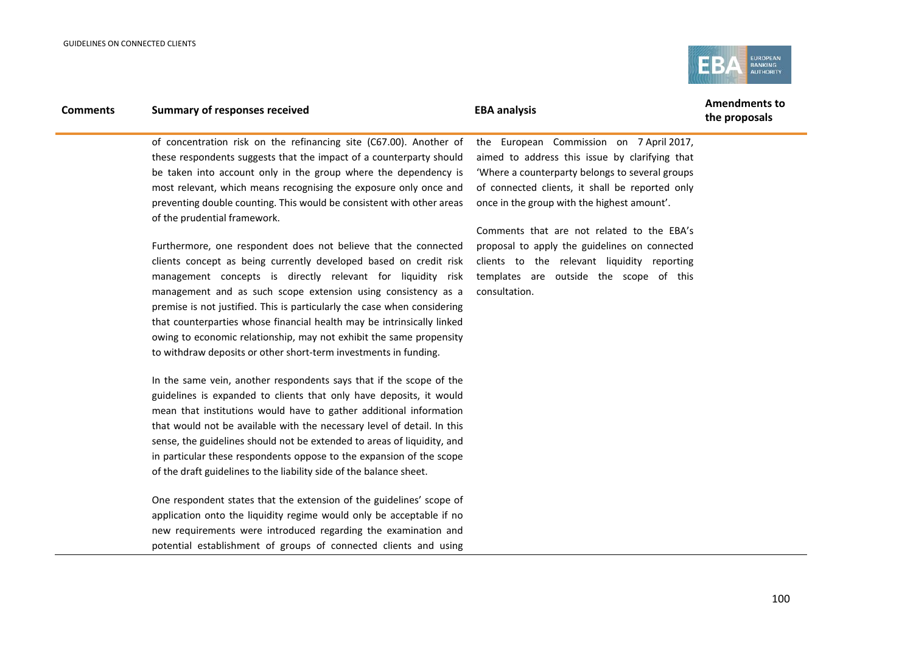

| <b>Comments</b> | <b>Summary of responses received</b>                                                                  | <b>EBA analysis</b>                             | <b>Amendments to</b><br>the proposals |
|-----------------|-------------------------------------------------------------------------------------------------------|-------------------------------------------------|---------------------------------------|
|                 | of concentration risk on the refinancing site (C67.00). Another of                                    | the European Commission on 7 April 2017,        |                                       |
|                 | these respondents suggests that the impact of a counterparty should                                   | aimed to address this issue by clarifying that  |                                       |
|                 | be taken into account only in the group where the dependency is                                       | 'Where a counterparty belongs to several groups |                                       |
|                 | most relevant, which means recognising the exposure only once and                                     | of connected clients, it shall be reported only |                                       |
|                 | preventing double counting. This would be consistent with other areas<br>of the prudential framework. | once in the group with the highest amount'.     |                                       |
|                 |                                                                                                       | Comments that are not related to the EBA's      |                                       |
|                 | Furthermore, one respondent does not believe that the connected                                       | proposal to apply the guidelines on connected   |                                       |
|                 | clients concept as being currently developed based on credit risk                                     | clients to the relevant liquidity reporting     |                                       |
|                 | management concepts is directly relevant for liquidity risk                                           | templates are outside the scope of this         |                                       |
|                 | management and as such scope extension using consistency as a                                         | consultation.                                   |                                       |
|                 | premise is not justified. This is particularly the case when considering                              |                                                 |                                       |
|                 | that counterparties whose financial health may be intrinsically linked                                |                                                 |                                       |
|                 | owing to economic relationship, may not exhibit the same propensity                                   |                                                 |                                       |
|                 | to withdraw deposits or other short-term investments in funding.                                      |                                                 |                                       |
|                 | In the same vein, another respondents says that if the scope of the                                   |                                                 |                                       |
|                 | guidelines is expanded to clients that only have deposits, it would                                   |                                                 |                                       |
|                 | mean that institutions would have to gather additional information                                    |                                                 |                                       |
|                 | that would not be available with the necessary level of detail. In this                               |                                                 |                                       |
|                 | sense, the guidelines should not be extended to areas of liquidity, and                               |                                                 |                                       |
|                 | in particular these respondents oppose to the expansion of the scope                                  |                                                 |                                       |
|                 | of the draft guidelines to the liability side of the balance sheet.                                   |                                                 |                                       |
|                 |                                                                                                       |                                                 |                                       |

One respondent states that the extension of the guidelines' scope of application onto the liquidity regime would only be acceptable if no new requirements were introduced regarding the examination and potential establishment of groups of connected clients and using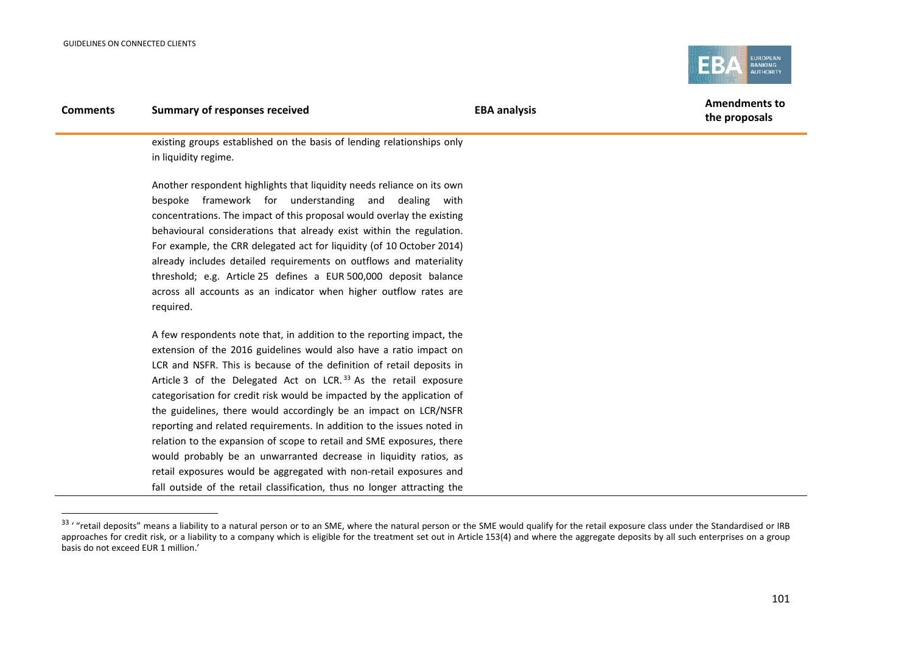j

<span id="page-100-0"></span>

**the proposals**

existing groups established on the basis of lending relationships only in liquidity regime.

Another respondent highlights that liquidity needs reliance on its own bespoke framework for understanding and dealing with concentrations. The impact of this proposal would overlay the existing behavioural considerations that already exist within the regulation. For example, the CRR delegated act for liquidity (of 10 October 2014) already includes detailed requirements on outflows and materiality threshold; e.g. Article 25 defines a EUR 500,000 deposit balance across all accounts as an indicator when higher outflow rates are required.

A few respondents note that, in addition to the reporting impact, the extension of the 2016 guidelines would also have a ratio impact on LCR and NSFR. This is because of the definition of retail deposits in Article 3 of the Delegated Act on LCR.<sup>[33](#page-100-0)</sup> As the retail exposure categorisation for credit risk would be impacted by the application of the guidelines, there would accordingly be an impact on LCR/NSFR reporting and related requirements. In addition to the issues noted in relation to the expansion of scope to retail and SME exposures, there would probably be an unwarranted decrease in liquidity ratios, as retail exposures would be aggregated with non-retail exposures and fall outside of the retail classification, thus no longer attracting the

<sup>33 &#</sup>x27; "retail deposits" means a liability to a natural person or to an SME, where the natural person or the SME would qualify for the retail exposure class under the Standardised or IRB approaches for credit risk, or a liability to a company which is eligible for the treatment set out in Article 153(4) and where the aggregate deposits by all such enterprises on a group basis do not exceed EUR 1 million.'